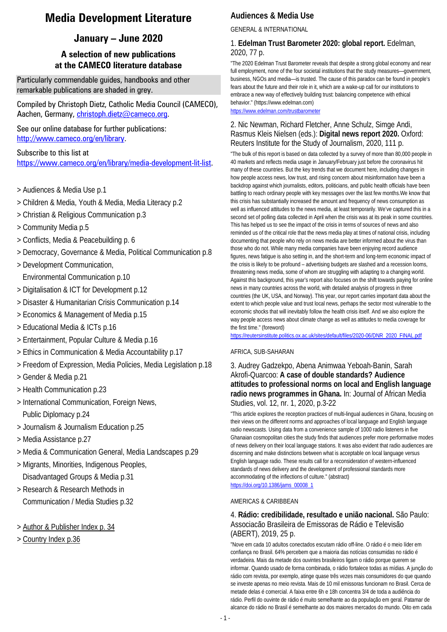## **Media Development Literature**

## **January – June 2020**

### **A selection of new publications at the CAMECO literature database**

Particularly commendable guides, handbooks and other remarkable publications are shaded in grey.

Compiled by Christoph Dietz, Catholic Media Council (CAMECO), Aachen, Germany, [christoph.dietz@cameco.org.](file://10.2.1.4/AltesSYS/FAUSTDOK/christoph.dietz@cameco.org)

See our online database for further publications: [http://www.cameco.org/en/library.](http://www.cameco.org/en/library)

Subscribe to this list at [https://www.cameco.org/en/library/media-development-lit-list.](https://www.cameco.org/en/library/media-development-lit-list)

- > Audiences & Media Use p.1
- > Children & Media, Youth & Media, Media Literacy p.2
- > Christian & Religious Communication p.3
- > Community Media p.5
- > Conflicts, Media & Peacebuilding p. 6
- > Democracy, Governance & Media, Political Communication p.8
- > Development Communication, Environmental Communication p.10
- > Digitalisation & ICT for Development p.12
- > Disaster & Humanitarian Crisis Communication p.14
- > Economics & Management of Media p.15
- > Educational Media & ICTs p.16
- > Entertainment, Popular Culture & Media p.16
- > Ethics in Communication & Media Accountability p.17
- > Freedom of Expression, Media Policies, Media Legislation p.18
- > Gender & Media p.21
- > Health Communication p.23
- > International Communication, Foreign News, Public Diplomacy p.24
- > Journalism & Journalism Education p.25
- > Media Assistance p.27
- > Media & Communication General, Media Landscapes p.29
- > Migrants, Minorities, Indigenous Peoples, Disadvantaged Groups & Media p.31
- > Research & Research Methods in Communication / Media Studies p.32
- > Author & Publisher Index p. 34
- > Country Index p.36

### **Audiences & Media Use**

GENERAL & INTERNATIONAL

#### 1. **Edelman Trust Barometer 2020: global report.** Edelman, 2020, 77 p.

"The 2020 Edelman Trust Barometer reveals that despite a strong global economy and near full employment, none of the four societal institutions that the study measures—government, business, NGOs and media—is trusted. The cause of this paradox can be found in people's fears about the future and their role in it, which are a wake-up call for our institutions to embrace a new way of effectively building trust: balancing competence with ethical behavior." (https://www.edelman.com)

<https://www.edelman.com/trustbarometer>

### 2. Nic Newman, Richard Fletcher, Anne Schulz, Simge Andi, Rasmus Kleis Nielsen (eds.): **Digital news report 2020.** Oxford: Reuters Institute for the Study of Journalism, 2020, 111 p.

"The bulk of this report is based on data collected by a survey of more than 80,000 people in 40 markets and reflects media usage in January/February just before the coronavirus hit many of these countries. But the key trends that we document here, including changes in how people access news, low trust, and rising concern about misinformation have been a backdrop against which journalists, editors, politicians, and public health officials have been battling to reach ordinary people with key messages over the last few months.We know that this crisis has substantially increased the amount and frequency of news consumption as well as influenced attitudes to the news media, at least temporarily. We've captured this in a second set of polling data collected in April when the crisis was at its peak in some countries. This has helped us to see the impact of the crisis in terms of sources of news and also reminded us of the critical role that the news media play at times of national crisis, including documenting that people who rely on news media are better informed about the virus than those who do not. While many media companies have been enjoying record audience figures, news fatigue is also setting in, and the short-term and long-term economic impact of the crisis is likely to be profound – advertising budgets are slashed and a recession looms, threatening news media, some of whom are struggling with adapting to a changing world. Against this background, this year's report also focuses on the shift towards paying for online news in many countries across the world, with detailed analysis of progress in three countries (the UK, USA, and Norway). This year, our report carries important data about the extent to which people value and trust local news, perhaps the sector most vulnerable to the economic shocks that will inevitably follow the health crisis itself. And we also explore the way people access news about climate change as well as attitudes to media coverage for the first time." (foreword)

https://reutersinstitute.politics.ox.ac.uk/sites/default/files/2020-06/DNR\_2020\_FINAL\_pdf

#### AFRICA, SUB-SAHARAN

3. Audrey Gadzekpo, Abena Animwaa Yeboah-Banin, Sarah Akrofi-Quarcoo: **A case of double standards? Audience attitudes to professional norms on local and English language radio news programmes in Ghana.** In: Journal of African Media Studies, vol. 12, nr. 1, 2020, p.3-22

"This article explores the reception practices of multi-lingual audiences in Ghana, focusing on their views on the different norms and approaches of local language and English language radio newscasts. Using data from a convenience sample of 1000 radio listeners in five Ghanaian cosmopolitan cities the study finds that audiences prefer more performative modes of news delivery on their local language stations. It was also evident that radio audiences are discerning and make distinctions between what is acceptable on local language versus English language radio. These results call for a reconsideration of western-influenced standards of news delivery and the development of professional standards more accommodating of the inflections of culture." (abstract) [https://doi.org/10.1386/jams\\_00008\\_1](https://doi.org/10.1386/jams_00008_1)

#### AMERICAS & CARIBBEAN

#### 4. **Rádio: credibilidade, resultado e união nacional.** São Paulo: Associacão Brasileira de Emissoras de Rádio e Televisão (ABERT), 2019, 25 p.

"Nove em cada 10 adultos conectados escutam rádio off-line. O rádio é o meio líder em confiança no Brasil. 64% percebem que a maioria das notícias consumidas no rádio é verdadeira. Mais da metade dos ouvintes brasileiros ligam o rádio porque querem se informar. Quando usado de forma combinada, o rádio fortalece todas as mídias. A junção do rádio com revista, por exemplo, atinge quase três vezes mais consumidores do que quando se investe apenas no meio revista. Mais de 10 mil emissoras funcionam no Brasil. Cerca de metade delas é comercial. A faixa entre 6h e 18h concentra 3/4 de toda a audiência do rádio. Perfil do ouvinte de rádio é muito semelhante ao da população em geral. Patamar de alcance do rádio no Brasil é semelhante ao dos maiores mercados do mundo. Oito em cada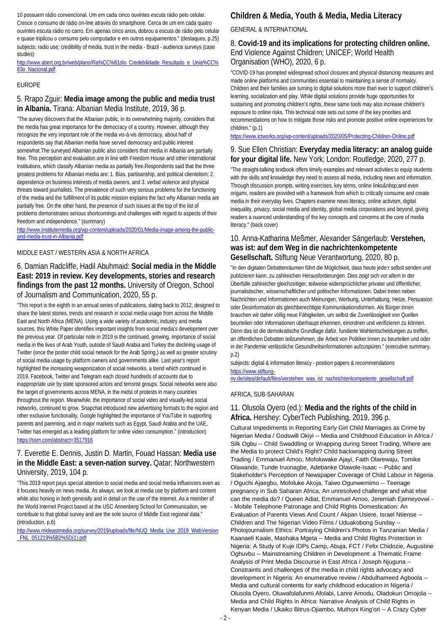10 possuem rádio convencional. Um em cada cinco ouvintes escuta rádio pelo celular. Cresce o consumo de rádio on-line através do smartphone. Cerca de um em cada quatro ouvintes escuta rádio no carro. Em apenas cinco anos, dobrou a escuta de rádio pelo celular e quase triplicou o consumo pelo computador e em outros equipamentos." (destaques, p.25) subjects: radio use; credibility of media, trust in the media - Brazil - audience surveys (case studies)

[http://www.abert.org.br/web/plano/Ra%CC%81dio\\_Credebilidade\\_Resultado\\_e\\_Unia%CC%](http://www.abert.org.br/web/plano/Ra%CC%81dio_Credebilidade_Resultado_e_Unia%CC%83o_Nacional.pdf) [83o\\_Nacional.pdf](http://www.abert.org.br/web/plano/Ra%CC%81dio_Credebilidade_Resultado_e_Unia%CC%83o_Nacional.pdf)

#### EUROPE

### 5. Rrapo Zguir: **Media image among the public and media trust in Albania.** Tirana: Albanian Media Institute, 2019, 36 p.

"The survey discovers that the Albanian public, in its overwhelming majority, considers that the media has great importance for the democracy of a country. However, although they recognize the very important role of the media vis-à-vis democracy, about half of respondents say that Albanian media have served democracy and public interest somewhat.The surveyed Albanian public also considers that media in Albania are partially free. This perception and evaluation are in line with Freedom House and other international institutions, which classify Albanian media as partially free.Respondents said that the three greatest problems for Albanian media are: 1. Bias, partisanship, and political clientelism; 2. dependence on business interests of media owners, and 3. verbal violence and physical threats toward journalists. The prevalence of such very serious problems for the functioning of the media and the fulfillment of its public mission explains the fact why Albanian media are partially free. On the other hand, the presence of such issues at the top of the list of problems demonstrates serious shortcomings and challenges with regard to aspects of their freedom and independence." (summary)

[http://www.institutemedia.org/wp-content/uploads/2020/01/Media-image-among-the-public](http://www.institutemedia.org/wp-content/uploads/2020/01/Media-image-among-the-public-and-media-trust-in-Albania.pdf)[and-media-trust-in-Albania.pdf](http://www.institutemedia.org/wp-content/uploads/2020/01/Media-image-among-the-public-and-media-trust-in-Albania.pdf)

#### MIDDLE EAST / WESTERN ASIA & NORTH AFRICA

### 6. Damian Radcliffe, Hadil Abuhmaid: **Social media in the Middle East: 2019 in review. Key developments, stories and research findings from the past 12 months.** University of Oregon, School of Journalism and Communication, 2020, 55 p.

"This report is the eighth in an annual series of publications, dating back to 2012, designed to share the latest stories, trends and research in social media usage from across the Middle East and North Africa (MENA). Using a wide variety of academic, industry and media sources, this White Paper identifies important insights from social media's development over the previous year. Of particular note in 2019 is the continued, growing, importance of social media in the lives of Arab Youth, outside of Saudi Arabia and Turkey the declining usage of Twitter (once the poster child social network for the Arab Spring,) as well as greater scrutiny of social media usage by platform owners and governments alike. Last year's report highlighted the increasing weaponization of social networks, a trend which continued in 2019. Facebook, Twitter and Telegram each closed hundreds of accounts due to inappropriate use by state sponsored actors and terrorist groups. Social networks were also the target of governments across MENA, in the midst of protests in many countries throughout the region. Meanwhile, the importance of social video and visually-led social networks, continued to grow. Snapchat introduced new advertising formats to the region and other exclusive functionality, Google highlighted the importance of YouTube in supporting parents and parenting, and in major markets such as Egypt, Saudi Arabia and the UAE, Twitter has emerged as a leading platform for online video consumption." (introduction) <https://ssrn.com/abstract=3517916>

#### 7. Everette E. Dennis, Justin D. Martin, Fouad Hassan: **Media use in the Middle East: a seven-nation survey.** Qatar: Northwestern University, 2019, 104 p.

"This 2019 report pays special attention to social media and social media influencers even as it focuses heavily on news media. As always, we look at media use by platform and content while also honing in both generally and in detail on the use of the internet. As a member of the World Internet Project based at the USC Annenberg School for Communication, we contribute to that global survey and are the sole source of Middle East regional data." (introduction, p.6)

[http://www.mideastmedia.org/survey/2019/uploads/file/NUQ\\_Media\\_Use\\_2019\\_WebVersion](http://www.mideastmedia.org/survey/2019/uploads/file/NUQ_Media_Use_2019_WebVersion_FNL_051219%5B2%5D(1).pdf) [\\_FNL\\_051219%5B2%5D\(1\).pdf](http://www.mideastmedia.org/survey/2019/uploads/file/NUQ_Media_Use_2019_WebVersion_FNL_051219%5B2%5D(1).pdf)

### **Children & Media, Youth & Media, Media Literacy**

#### GENERAL & INTERNATIONAL

#### 8. **Covid-19 and its implications for protecting children online.**  End Violence Against Children; UNICEF; World Health Organisation (WHO), 2020, 6 p.

"COVID-19 has prompted widespread school closures and physical distancing measures and made online platforms and communities essential to maintaining a sense of normalcy. Children and their families are turning to digital solutions more than ever to support children's learning, socialization and play. While digital solutions provide huge opportunities for sustaining and promoting children's rights, these same tools may also increase children's exposure to online risks. This technical note sets out some of the key priorities and recommendations on how to mitigate those risks and promote positive online experiences for children." (p.1)

<https://www.ictworks.org/wp-content/uploads/2020/05/Protecting-Children-Online.pdf>

#### 9. Sue Ellen Christian: **Everyday media literacy: an analog guide for your digital life.** New York; London: Routledge, 2020, 277 p.

"The straight-talking textbook offers timely examples and relevant activities to equip students with the skills and knowledge they need to assess all media, including news and information. Through discussion prompts, writing exercises, key terms, online links and even origami, readers are provided with a framework from which to critically consume and create media in their everyday lives. Chapters examine news literacy, online activism, digital inequality, privacy, social media and identity, global media corporations and beyond, giving readers a nuanced understanding of the key concepts and concerns at the core of media literacy." (back cover)

#### 10. Anna-Katharina Meßmer, Alexander Sängerlaub: **Verstehen, was ist: auf dem Weg in die nachrichtenkompetente Gesellschaft.** Stiftung Neue Verantwortung, 2020, 80 p.

"In den digitalen Debattenräumen führt die Möglichkeit, dass heute jede:r selbst senden und publizieren kann, zu zahlreichen Herausforderungen. Dies zeigt sich vor allem in der Überfülle zahlreicher gleichzeitiger, teilweise widersprüchlicher privater und öffentlicher, journalistischer, wissenschaftlicher und politischer Informationen. Dabei treten neben Nachrichten und Informationen auch Meinungen, Werbung, Unterhaltung, Hetze, Persuasion oder Desinformation als gleichberechtigte Kommunikationsformen. Als Bürger:innen brauchen wir daher völlig neue Fähigkeiten, um selbst die Zuverlässigkeit von Quellen beurteilen oder Informationen überhaupt erkennen, einordnen und verifizieren zu können. Denn das ist die demokratische Grundlage dafür, fundierte Wahlentscheidungen zu treffen, an öffentlichen Debatten teilzunehmen, die Arbeit von Politiker:innen zu beurteilen und oder in der Pandemie verlässliche Gesundheitsinformationen aufzuspüren." (executive summary, p.2)

subjects: digital & information literacy - position papers & recommendations [https://www.stiftung-](https://www.stiftung-nv.de/sites/default/files/verstehen_was_ist_nachrichtenkompetente_gesellschaft.pdf)

[nv.de/sites/default/files/verstehen\\_was\\_ist\\_nachrichtenkompetente\\_gesellschaft.pdf](https://www.stiftung-nv.de/sites/default/files/verstehen_was_ist_nachrichtenkompetente_gesellschaft.pdf)

#### AFRICA, SUB-SAHARAN

#### 11. Olusola Oyero (ed.): **Media and the rights of the child in Africa.** Hershey: CyberTech Publishing, 2019, 396 p.

Cultural Impediments in Reporting Early Girl Child Marriages as Crime by Nigerian Media / Godswill Okiyi -- Media and Childhood Education in Africa / Silk Ogbu -- Child Swaddling or Wrapping during Street Trading, Where are the Media to protect Child's Right? Child backwrapping during Street Trading / Emmanuel Amoo, Mofoluwake Ajayi, Faith Olarewaju, Tomike Olawande, Tunde Iruonagbe, Adebanke Olawole-Isaac -- Public and Stakeholder's Perception of Newspaper Coverage of Child Labour in Nigeria / Oguchi Ajaegbu, Mofoluke Akoja, Taiwo Ogunwemimo -- Teenage pregnancy in Sub Saharan Africa, An unresolved challenge and what else can the media do? / Queen Adiat, Emmanuel Amoo, Jeremiah Ejemeyovwi - - Mobile Telephone Patronage and Child Rights Domestication: An Evaluation of Parents Views And Count / Akpan Usiere, Israel Ntiense -- Children and The Nigerian Video Films / Uduakobong Sunday -- Photojournalism Ethics: Portraying Children's Photos in Tanzanian Media / Kaanaeli Kaale, Mashaka Mgeta -- Media and Child Rights Protection in Nigeria: A Study of Kuje IDPs Camp, Abuja, FCT / Felix Chidozie, Augustine Oghuvbu -- Mainstreaming Children in Development: a Thematic Frame Analysis of Print Media Discourse in East Africa / Joseph Njuguna -- Constraints and challenges of the media in child rights advocacy and development in Nigeria: An enumerative review / Abdulhameed Agboola -- Media and cultural contents for early childhood education in Nigeria / Olusola Oyero, Oluwafolafunmi Afolabi, Lanre Amodu, Oladokun Omojola -- Media and Child Rights in Africa: Narrative Analysis of Child Rights in Kenyan Media / Ukaiko Bitrus-Ojiambo, Muthoni King'ori -- A Crazy Cyber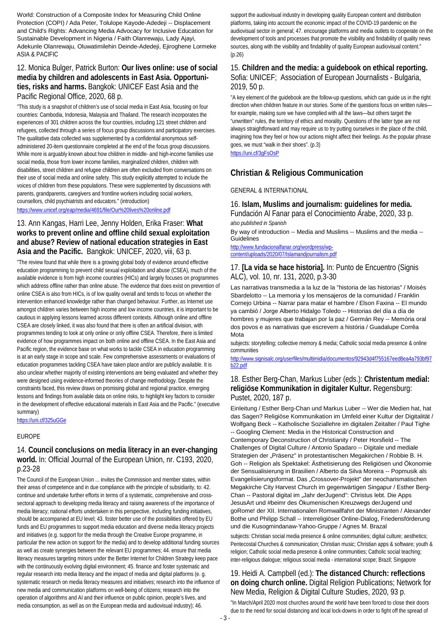World: Construction of a Composite Index for Measuring Child Online Protection (COPI) / Ada Peter, Tolulope Kayode-Adedeji -- Displacement and Child's Rights: Advancing Media Advocacy for Inclusive Education for Sustainable Development in Nigeria / Faith Olanrewaju, Lady Ajayi, Adekunle Olanrewaju, Oluwatimilehin Deinde-Adedeji, Ejiroghene Lormeke ASIA & PACIFIC

### 12. Monica Bulger, Patrick Burton: **Our lives online: use of social media by children and adolescents in East Asia. Opportunities, risks and harms.** Bangkok: UNICEF East Asia and the Pacific Regional Office, 2020, 68 p.

"This study is a snapshot of children's use of social media in East Asia, focusing on four countries: Cambodia, Indonesia, Malaysia and Thailand. The research incorporates the experiences of 301 children across the four countries, including 121 street children and refugees, collected through a series of focus group discussions and participatory exercises. The qualitative data collected was supplemented by a confidential anonymous selfadministered 20-item questionnaire completed at the end of the focus group discussions. While more is arguably known about how children in middle- and high-income families use social media, those from lower income families, marginalized children, children with disabilities, street children and refugee children are often excluded from conversations on their use of social media and online safety. This study explicitly attempted to include the voices of children from these populations. These were supplemented by discussions with parents, grandparents, caregivers and frontline workers including social workers, counsellors, child psychiatrists and educators." (introduction)

#### <https://www.unicef.org/eap/media/4691/file/Our%20lives%20online.pdf>

#### 13. Ann Kangas, Harri Lee, Jenny Holden, Erika Fraser: **What works to prevent online and offline child sexual exploitation and abuse? Review of national education strategies in East Asia and the Pacific.** Bangkok: UNICEF, 2020, viii, 63 p.

"The review found that while there is a growing global body of evidence around effective education programming to prevent child sexual exploitation and abuse (CSEA), much of the available evidence is from high income countries (HICs) and largely focuses on programmes which address offline rather than online abuse. The evidence that does exist on prevention of online CSEA is also from HICs, is of low quality overall and tends to focus on whether the intervention enhanced knowledge rather than changed behaviour. Further, as Internet use amongst children varies between high income and low income countries, it is important to be cautious in applying lessons learned across different contexts. Although online and offline CSEA are closely linked, it was also found that there is often an artificial division, with programmes tending to look at only online or only offline CSEA. Therefore, there is limited evidence of how programmes impact on both online and offline CSEA. In the East Asia and Pacific region, the evidence base on what works to tackle CSEA in education programming is at an early stage in scope and scale. Few comprehensive assessments or evaluations of education programmes tackling CSEA have taken place and/or are publicly available. It is also unclear whether majority of existing interventions are being evaluated and whether they were designed using evidence-informed theories of change methodology. Despite the constraints faced, this review draws on promising global and regional practice, emerging lessons and findings from available data on online risks, to highlight key factors to consider in the development of effective educational materials in East Asia and the Pacific." (executive summary)

<https://uni.cf/325uGGe>

#### EUROPE

### 14. **Council conclusions on media literacy in an ever-changing world.** In: Official Journal of the European Union, nr. C193, 2020, p.23-28

The Council of the European Union ... invites the Commission and member states, within their areas of competence and in due compliance with the principle of subsidiarity, to: 42. continue and undertake further efforts in terms of a systematic, comprehensive and crosssectoral approach to developing media literacy and raising awareness of the importance of media literacy; national efforts undertaken in this perspective, including funding initiatives, should be accompanied at EU level; 43. foster better use of the possibilities offered by EU funds and EU programmes to support media education and diverse media literacy projects and initiatives (e.g. support for the media through the Creative Europe programme, in particular the new action on support for the media) and to develop additional funding sources as well as create synergies between the relevant EU programmes; 44. ensure that media literacy measures targeting minors under the Better Internet for Children Strategy keep pace with the continuously evolving digital environment; 45. finance and foster systematic and regular research into media literacy and the impact of media and digital platforms (e. g. systematic research on media literacy measures and initiatives; research into the influence of new media and communication platforms on well-being of citizens; research into the operation of algorithms and AI and their influence on public opinion, people's lives, and media consumption, as well as on the European media and audiovisual industry); 46.

support the audiovisual industry in developing quality European content and distribution platforms, taking into account the economic impact of the COVID-19 pandemic on the audiovisual sector in general; 47. encourage platforms and media outlets to cooperate on the development of tools and processes that promote the visibility and findability of quality news sources, along with the visibility and findability of quality European audiovisual content." (p.26)

### 15. **Children and the media: a guidebook on ethical reporting.**  Sofia: UNICEF; Association of European Journalists - Bulgaria, 2019, 50 p.

"A key element of the guidebook are the follow-up questions, which can guide us in the right direction when children feature in our stories. Some of the questions focus on written rules for example, making sure we have complied with all the laws—but others target the "unwritten" rules, the territory of ethics and morality. Questions of the latter type are not always straightforward and may require us to try putting ourselves in the place of the child, imagining how they feel or how our actions might affect their feelings. As the popular phrase goes, we must "walk in their shoes". (p.3) <https://uni.cf/3gFsOsP>

### **Christian & Religious Communication**

#### GENERAL & INTERNATIONAL

#### 16. **Islam, Muslims and journalism: guidelines for media.**

Fundación Al Fanar para el Conocimiento Árabe, 2020, 33 p. *also published in Spanish*

By way of introduction -- Media and Muslims -- Muslims and the media -- Guidelines

[http://www.fundacionalfanar.org/wordpress/wp](http://www.fundacionalfanar.org/wordpress/wp-content/uploads/2020/07/Islamandjournalism.pdf)[content/uploads/2020/07/Islamandjournalism.pdf](http://www.fundacionalfanar.org/wordpress/wp-content/uploads/2020/07/Islamandjournalism.pdf)

#### 17. **[La vida se hace historia].** In: Punto de Encuentro (Signis ALC), vol. 10, nr. 131, 2020, p.3-30

Las narrativas transmedia a la luz de la "historia de las historias" / Moisés Sbardelotto -- La memoria y los mensajeros de la comunidad / Franklin Cornejo Urbina -- Narrar para matar el hambre / Elson Faxina -- El mundo ya cambió / Jorge Alberto Hidalgo Toledo -- Historias del día a día de hombres y mujeres que trabajan por la paz / Germán Rey -- Memória oral dos povos e as narrativas que escrevem a história / Guadalupe Corrêa Mota

subjects: storytelling; collective memory & media; Catholic social media presence & online communities

[http://www.signisalc.org/userfiles/multimidia/documentos/92943d4f755167eed8ea4a793bf97](http://www.signisalc.org/userfiles/multimidia/documentos/92943d4f755167eed8ea4a793bf97b22.pdf) [b22.pdf](http://www.signisalc.org/userfiles/multimidia/documentos/92943d4f755167eed8ea4a793bf97b22.pdf)

#### 18. Esther Berg-Chan, Markus Luber (eds.): **Christentum medial: religiöse Kommunikation in digitaler Kultur.** Regensburg: Pustet, 2020, 187 p.

Einleitung / Esther Berg-Chan und Markus Luber -- Wer die Medien hat, hat das Sagen? Religiöse Kommunikation im Umfeld einer Kultur der Digitalität / Wolfgang Beck -- Katholische Soziallehre im digitalen Zeitalter / Paul Tighe -- Googling Clement: Media in the Historical Construction and Contemporary Deconstruction of Christianity / Peter Horsfield -- The Challenges of Digital Culture / Antonio Spadaro -- Digitale und mediale Strategien der "Präsenz" in protestantischen Megakirchen / Robbie B. H. Goh -- Religion als Spektakel: Ästhetisierung des Religiösen und Ökonomie der Sensualisierung in Brasilien / Alberto da Silva Moreira -- Popmusik als Evangelisierungsformat. Das "Crossover-Projekt" der neocharismatischen Megakirche City Harvest Church im gegenwärtigen Singapur / Esther Berg-Chan -- Pastoral digital im "Jahr derJugend": Christus lebt. Die Apps JesusArt und #beimr des Ökumenischen Kreuzwegs derJugend und goRome! der XII. Internationalen Romwallfahrt der Ministranten / Alexander Bothe und Philipp Schall -- Interreligiöser Online-Dialog, Friedensförderung und die Kusogmindanaw-Yahoo-Gruppe / Agnes M. Brazal

subjects: Christian social media presence & online communities; digital culture; aesthetics; Pentecostal Churches & communication; Christian music; Christian apps & software; youth & religion; Catholic social media presence & online communities; Catholic social teaching; inter-religious dialogue; religious social media - international scope; Brazil; Singapore

### 19. Heidi A. Campbell (ed.): **The distanced Church: reflections on doing church online.** Digital Religion Publications; Network for New Media, Religion & Digital Culture Studies, 2020, 93 p.

"In March/April 2020 most churches around the world have been forced to close their doors due to the need for social distancing and local lock-downs in order to fight off the spread of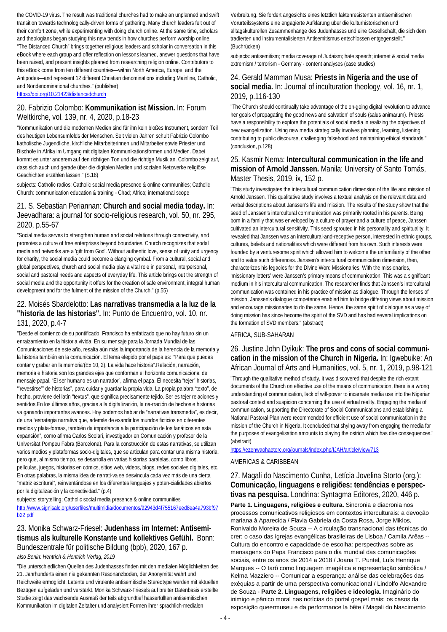the COVID-19 virus. The result was traditional churches had to make an unplanned and swift transition towards technologically-driven forms of gathering. Many church leaders felt out of their comfort zone, while experimenting with doing church online. At the same time, scholars and theologians began studying this new trends in how churches perform worship online. "The Distanced Church" brings together religious leaders and scholar in conversation in this eBook where each group and offer reflection on lessons learned, answer questions that have been raised, and present insights gleaned from researching religion online. Contributors to this eBook come from ten different countries—within North America, Europe, and the Antipodes—and represent 12 different Christian denominations including Mainline, Catholic, and Nondenominational churches." (publisher) <https://doi.org/10.21423/distancedchurch>

### 20. Fabrizio Colombo: **Kommunikation ist Mission.** In: Forum Weltkirche, vol. 139, nr. 4, 2020, p.18-23

"Kommunikation und die modernen Medien sind für ihn kein bloßes Instrument, sondern Teil des heutigen Lebensumfelds der Menschen. Seit vielen Jahren schult Fabrizio Colombo katholische Jugendliche, kirchliche Mitarbeiterinnen und Mitarbeiter sowie Priester und Bischöfe in Afrika im Umgang mit digitalen Kommunikationsformen und Medien. Dabei kommt es unter anderem auf den richtigen Ton und die richtige Musik an. Colombo zeigt auf, dass sich auch und gerade über die digitalen Medien und sozialen Netzwerke religiöse Geschichten erzählen lassen." (S.18)

subjects: Catholic radios; Catholic social media presence & online communities; Catholic Church: communication education & training - Chad; Africa; international scope

### 21. S. Sebastian Periannan: **Church and social media today.** In: Jeevadhara: a journal for socio-religious research, vol. 50, nr. 295, 2020, p.55-67

"Social media serves to strengthen human and social relations through connectivity, and promotes a culture of free enterprises beyond boundaries. Church recognizes that sodal media and networks are a 'gift from God'. Without authentic love, sense of unity and urgency for charity, the social media could become a clanging cymbal. From a cultural, social and global perspectives, church and social media play a vital role in personal, interpersonal, social and pastoral needs and aspects of everyday life. This article brings out the strength of social media and the opportunity it offers for the creation of safe environment, integral human development and for the fulment of the mission of the Church." (p.55)

### 22. Moisés Sbardelotto: **Las narrativas transmedia a la luz de la "historia de las historias".** In: Punto de Encuentro, vol. 10, nr. 131, 2020, p.4-7

"Desde el comienzo de su pontificado, Francisco ha enfatizado que no hay futuro sin un enraizamiento en la historia vivida. En su mensaje para la Jornada Mundial de las Comunicaciones de este año, resalta aún más la importancia de la herencia de la memoria y la historia también en la comunicación. El tema elegido por el papa es: "'Para que puedas contar y grabar en la memoria'(Ex 10, 2). La vida hace historia".Relación, narración, memoria e historia son los grandes ejes que conforman el horizonte comunicacional del mensaje papal. "El ser humano es un narrador", afirma el papa. Él necesita "tejer" historias, "'revestirse'" de historias", para cuidar y guardar la propia vida. La propia palabra "texto", de hecho, proviene del latín "textus", que significa precisamente tejido. Ser es tejer relaciones y sentidos.En los últimos años, gracias a la digitalización, la na-rración de hechos e historias va ganando importantes avances. Hoy podemos hablar de "narrativas transmedia", es decir, de una "estrategia narrativa que, además de exandir los mundos ficticios en diferentes medios y plata-formas, también da importancia a la participación de los fanáticos en esta expansión", como afirma Carlos Scolari, investigador en Comunicación y profesor de la Universitat Pompeu Fabra (Barcelona). Para la construcción de estas narrativas, se utilizan varios medios y plataformas socio-digitales, que se articulan para contar una misma historia, pero que, al mismo tiempo, se desarrolla en varias historias paralelas, como libros, películas, juegos, historias en cómics, sitios web, videos, blogs, redes sociales digitales, etc. En otras palabras, la misma idea de narrati-va se desvincula cada vez más de una cierta "matriz escritural", reinventándose en los diferentes lenguajes y poten-cialidades abiertos por la digitalización y la conectividad." (p.4)

#### subjects: storytelling; Catholic social media presence & online communities [http://www.signisalc.org/userfiles/multimidia/documentos/92943d4f755167eed8ea4a793bf97](http://www.signisalc.org/userfiles/multimidia/documentos/92943d4f755167eed8ea4a793bf97b22.pdf) [b22.pdf](http://www.signisalc.org/userfiles/multimidia/documentos/92943d4f755167eed8ea4a793bf97b22.pdf)

### 23. Monika Schwarz-Friesel: **Judenhass im Internet: Antisemitismus als kulturelle Konstante und kollektives Gefühl.** Bonn: Bundeszentrale für politische Bildung (bpb), 2020, 167 p.

#### *also Berlin: Hentrich & Hentrich Verlag, 2019*

"Die unterschiedlichen Quellen des Judenhasses finden mit den medialen Möglichkeiten des 21. Jahrhunderts einen nie gekannten Resonanzboden, der Anonymität wahrt und Reichweite ermöglicht. Latente und virulente antisemitische Stereotype werden mit aktuellen Bezügen aufgeladen und verstärkt. Monika Schwarz-Friesels auf breiter Datenbasis erstellte Studie zeigt das wachsende Ausmaß der teils abgrundtief hasserfüllten antisemitischen Kommunikation im digitalen Zeitalter und analysiert Formen ihrer sprachlich-medialen

Verbreitung. Sie fordert angesichts eines letztlich faktenresistenten antisemitischen Vorurteilssystems eine engagierte Aufklärung über die kulturhistorischen und alltagskulturellen Zusammenhänge des Judenhasses und eine Gesellschaft, die sich dem tradierten und instrumentalisierten Antisemitismus entschlossen entgegenstellt." (Buchrücken)

subjects: antisemitism; media coverage of Judaism; hate speech; internet & social media extremism / terrorism - Germany - content analyses (case studies)

### 24. Gerald Mamman Musa: **Priests in Nigeria and the use of social media.** In: Journal of inculturation theology, vol. 16, nr. 1, 2019, p.116-130

"The Church should continually take advantage of the on-going digital revolution to advance her goals cf propagating the good news and salvation' of souls (salus animarum). Priests have a responsibility to explore the potentials of social media in realizing the objectives of new evangelization. Using new media strategically involves planning, leaming, listening, contributing to public discourse, challenging falsehood and maintaining ethical standards." (conclusion, p.128)

### 25. Kasmir Nema: **Intercultural communication in the life and mission of Arnold Janssen.** Manila: University of Santo Tomás, Master Thesis, 2019, ix, 152 p.

"This study investigates the intercultural communication dimension of the life and mission of Arnold Janssen. This qualitative study involves a textual analysis on the relevant data and verbal descriptions about Janssen's life and mission. The results of the study show that the seed of Janssen's intercultural communication was primarily rooted in his parents. Being born in a family that was enveloped by a culture of prayer and a culture of peace, Janssen cultivated an intercultural sensitivity. This seed sprouted in his personality and spirituality. It revealed that Janssen was an intercultural-and-receptive person, interested in ethnic groups, cultures, beliefs and nationalities which were different from his own. Such interests were founded by a venturesome spirit which allowed him to welcome the unfamiliarity of the other and to value such differences. Janssen's intercultural communication dimension, then, characterizes his legacies for the Divine Word Missionaries. With the missionaries, 'missionary letters' were Janssen's primary means of communication. This was a significant medium in his intercultural communication. The researcher finds that Janssen's intercultural communication was contained in his practice of mission as dialogue. Through the lenses of mission, Janssen's dialogue competence enabled him to bridge differing views about mission and encourage missionaries to do the same. Hence, the same spirit of dialogue as a way of doing mission has since become the spirit of the SVD and has had several implications on the formation of SVD members." (abstract)

#### AFRICA, SUB-SAHARAN

#### 26. Justine John Dyikuk: **The pros and cons of social communication in the mission of the Church in Nigeria.** In: Igwebuike: An African Journal of Arts and Humanities, vol. 5, nr. 1, 2019, p.98-121

"Through the qualitative method of study, it was discovered that despite the rich extant documents of the Church on effective use of the means of communication, there is a wrong understanding of communication, lack of will-power to incarnate media use into the Nigerian pastoral context and suspicion concerning the use of virtual reality. Engaging the media of communication, supporting the Directorate of Social Communications and establishing a National Pastoral Plan were recommended for efficient use of social communication in the mission of the Church in Nigeria. It concluded that shying away from engaging the media for the purposes of evangelisation amounts to playing the ostrich which has dire consequences." (abstract)

#### <https://ezenwaohaetorc.org/journals/index.php/IJAH/article/view/713>

#### AMERICAS & CARIBBEAN

### 27. Magali do Nascimento Cunha, Letícia Jovelina Storto (org.): **Comunicação, linguagens e religiões: tendências e perspectivas na pesquisa.** Londrina: Syntagma Editores, 2020, 446 p.

**Parte 1. Linguagens, religiões e cultura.** Sincronia e diacronia nos processos comunicativos religiosos em contextos interculturais: a devoção mariana à Aparecida / Flavia Gabriela da Costa Rosa, Jorge Miklos, Ronivaldo Moreira de Souza -- A circulação transnacional das técnicas do crer: o caso das igrejas evangélicas brasileiras de Lisboa / Camila Arêas -- Cultura do encontro e capacidade de escolha: perspectivas sobre as mensagens do Papa Francisco para o dia mundial das comunicações sociais, entre os anos de 2014 a 2018 / Joana T. Puntel, Luís Henrique Marques -- O tarô como linguagem imagética e representação simbólica / Kelma Mazziero -- Comunicar a esperança: análise das celebrações das exéquias a partir de uma perspectiva comunicacional / Lindolfo Alexandre de Souza - **Parte 2. Linguagens, religiões e ideologia.** Imaginário do inimigo e pânico moral nas notícias do portal gospel mais: os casos da exposição queermuseu e da performance la bête / Magali do Nascimento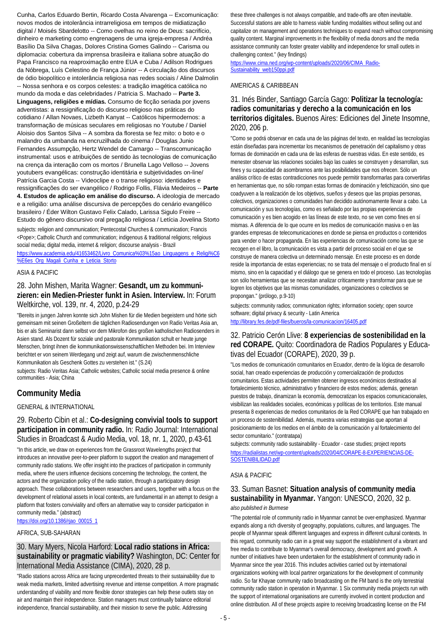Cunha, Carlos Eduardo Bertin, Ricardo Costa Alvarenga -- Excomunicação: novos modos de intolerância intrarreligiosa em tempos de midiatização digital / Moisés Sbardelotto -- Como ovelhas no reino de Deus: sacrifício, dinheiro e marketing como engrenagens de uma igreja-empresa / Andréa Basílio Da Silva Chagas, Dolores Cristina Gomes Galindo -- Carisma ou diplomacia: cobertura da imprensa brasileira e italiana sobre atuação do Papa Francisco na reaproximação entre EUA e Cuba / Adilson Rodrigues da Nóbrega, Luís Celestino de França Júnior -- A circulação dos discursos de ódio biopolítico e intolerância religiosa nas redes sociais / Aline Dalmolin -- Nossa senhora e os corpos celestes: a tradição imagética católica no mundo da moda e das celebridades / Patricia S. Machado -- **Parte 3. Linguagens, religiões e mídias.** Consumo de ficção seriada por jovens adventistas: a ressignificação do discurso religioso nas práticas do cotidiano / Allan Novaes, Lizbeth Kanyat -- Católicos hipermodernos: a transformação de músicas seculares em religiosas no Youtube / Daniel Aloisio dos Santos Silva -- A sombra da floresta se fez mito: o boto e o malandro da umbanda na encruzilhada do cinema / Douglas Junio Fernandes Assumpção, Hertz Wendel de Camargo -- Transcomunicação instrumental: usos e atribuições de sentido às tecnologias de comunicação na crença da interação com os mortos / Brunella Lago Velloso -- Jovens youtubers evangélicas: construção identitária e subjetividades on-line/ Patrícia Garcia Costa -- Videoclipe e o transe religioso: identidades e ressignificações do ser evangélico / Rodrigo Follis, Flávia Medeiros -- **Parte 4. Estudos de aplicação em análise do discurso.** A ideologia de mercado e a religião: uma análise discursiva de percepções do cenário evangélico brasileiro / Éder Wilton Gustavo Felix Calado, Larissa Sigulo Freire -- Estudo do gênero discursivo oral pregação religiosa / Letícia Jovelina Storto

subjects: religion and communication; Pentecostal Churches & communication; Francis <Pope>; Catholic Church and communication; indigenous & traditional religions; religious social media; digital media, internet & religion; discourse analysis - Brazil [https://www.academia.edu/41653462/Livro\\_Comunica%03%15ao\\_Linguagens\\_e\\_Religi%C6](https://www.academia.edu/41653462/Livro_Comunica%03%15ao_Linguagens_e_Religi%C6%E6es_Org_Magali_Cunha_e_Leticia_Storto) [%E6es\\_Org\\_Magali\\_Cunha\\_e\\_Leticia\\_Storto](https://www.academia.edu/41653462/Livro_Comunica%03%15ao_Linguagens_e_Religi%C6%E6es_Org_Magali_Cunha_e_Leticia_Storto)

#### ASIA & PACIFIC

#### 28. John Mishen, Marita Wagner: **Gesandt, um zu kommunizieren: ein Medien-Priester funkt in Asien. Interview.** In: Forum Weltkirche, vol. 139, nr. 4, 2020, p.24-29

"Bereits in jungen Jahren konnte sich John Mishen für die Medien begeistern und hörte sich gemeinsam mit seinen Großeltern die täglichen Radiosendungen von Radio Veritas Asia an, bis er als Seminarist dann selbst vor dem Mikrofon des großen katholischen Radiosenders in Asien stand. Als Dozent für soziale und pastorale Kommunikation schult er heute junge Menschen, bringt ihnen die kommunikationswissenschaftlichen Methoden bei. Im Interview berichtet er von seinem Werdegang und zeigt auf, warum die zwischenmenschliche Kommunikation als Geschenk Gottes zu verstehen ist." (S.24)

subjects: Radio Veritas Asia; Catholic websites; Catholic social media presence & online communities - Asia; China

### **Community Media**

#### GENERAL & INTERNATIONAL

29. Roberto Cibin et al.: **Co-designing convivial tools to support participation in community radio.** In: Radio Journal: International Studies in Broadcast & Audio Media, vol. 18, nr. 1, 2020, p.43-61

"In this article, we draw on experiences from the Grassroot Wavelengths project that introduces an innovative peer-to-peer platform to support the creation and management of community radio stations. We offer insight into the practices of participation in community media, where the users influence decisions concerning the technology, the content, the actors and the organization policy of the radio station, through a participatory design approach. These collaborations between researchers and users, together with a focus on the development of relational assets in local contexts, are fundamental in an attempt to design a platform that fosters conviviality and offers an alternative way to consider participation in community media." (abstract)

[https://doi.org/10.1386/rjao\\_00015\\_1](https://doi.org/10.1386/rjao_00015_1)

#### AFRICA, SUB-SAHARAN

#### 30. Mary Myers, Nicola Harford: **Local radio stations in Africa: sustainability or pragmatic viability?** Washington, DC: Center for International Media Assistance (CIMA), 2020, 28 p.

"Radio stations across Africa are facing unprecedented threats to their sustainability due to weak media markets, limited advertising revenue and intense competition. A more pragmatic understanding of viability and more flexible donor strategies can help these outlets stay on air and maintain their independence. Station managers must continually balance editorial independence, financial sustainability, and their mission to serve the public. Addressing

these three challenges is not always compatible, and trade-offs are often inevitable. Successful stations are able to harness viable funding modalities without selling out and capitalize on management and operations techniques to expand reach without compromising quality content. Marginal improvements in the flexibility of media donors and the media assistance community can foster greater viability and independence for small outlets in challenging context." (key findings)

[https://www.cima.ned.org/wp-content/uploads/2020/06/CIMA\\_Radio-](https://www.cima.ned.org/wp-content/uploads/2020/06/CIMA_Radio-Sustainability_web150ppi.pdf)[Sustainability\\_web150ppi.pdf](https://www.cima.ned.org/wp-content/uploads/2020/06/CIMA_Radio-Sustainability_web150ppi.pdf)

#### AMERICAS & CARIBBEAN

#### 31. Inés Binder, Santiago García Gago: **Politizar la tecnología: radios comunitarias y derecho a la comunicación en los territorios digitales.** Buenos Aires: Ediciones del Jinete Insomne, 2020, 206 p.

"Como se podrá observar en cada una de las páginas del texto, en realidad las tecnologías están diseñadas para incrementar los mecanismos de penetración del capitalismo y otras formas de dominación en cada una de las esferas de nuestras vidas. En este sentido, es menester observar las relaciones sociales bajo las cuales se construyen y desarrollan, sus fines y su capacidad de asombrarnos ante las posibilidades que nos ofrecen. Sólo un análisis crítico de estas contradicciones nos puede permitir transformarlas para convertirlas en herramientas que, no sólo rompan estas formas de dominación y fetichización, sino que coadyuven a la realización de los objetivos, sueños y deseos que las propias personas, colectivos, organizaciones o comunidades han decidido autónomamente llevar a cabo. La comunicación y sus tecnologías, como es señalado por las propias experiencias de comunicación y es bien acogido en las líneas de este texto, no se ven como fines en sí mismas. A diferencia de lo que ocurre en los medios de comunicación masiva o en las grandes empresas de telecomunicaciones en donde se piensa en productos o contenidos para vender o hacer propaganda. En las experiencias de comunicación como las que se recogen en el libro, la comunicación es vista a partir del proceso social en el que se construye de manera colectiva un determinado mensaje. En este proceso es en donde reside la importancia de estas experiencias; no se trata del mensaje o el producto final en sí mismo, sino en la capacidad y el diálogo que se genera en todo el proceso. Las tecnologías son sólo herramientas que se necesitan analizar críticamente y transformar para que se logren los objetivos que las mismas comunidades, organizaciones o colectivos se propongan." (prólogo, p.9-10)

subjects: community radios; communication rights; information society; open source software; digital privacy & security - Latin America <http://library.fes.de/pdf-files/bueros/la-comunicacion/16405.pdf>

#### 32. Patricio Cerón Llive: **8 experiencias de sostenibilidad en la red CORAPE.** Quito: Coordinadora de Radios Populares y Educativas del Ecuador (CORAPE), 2020, 39 p.

"Los medios de comunicación comunitarios en Ecuador, dentro de la lógica de desarrollo social, han creado experiencias de producción y comercialización de productos comunitarios. Estas actividades permiten obtener ingresos económicos destinados al fortalecimiento técnico, administrativo y financiero de estos medios; además, generan puestos de trabajo, dinamizan la economía, democratizan los espacios comunicacionales, visibilizan las realidades sociales, económicas y políticas de los territorios. Este manual presenta 8 experiencias de medios comunitarios de la Red CORAPE que han trabajado en un proceso de sostenibilidad. Además, muestra varias estrategias que aportan al posicionamiento de los medios en el ámbito de la comunicación y al fortalecimiento del sector comunitario." (contratapa)

subjects: community radio sustainability - Ecuador - case studies; project reports [https://radialistas.net/wp-content/uploads/2020/04/CORAPE-8-EXPERIENCIAS-DE-](https://radialistas.net/wp-content/uploads/2020/04/CORAPE-8-EXPERIENCIAS-DE-SOSTENIBILIDAD.pdf)[SOSTENIBILIDAD.pdf](https://radialistas.net/wp-content/uploads/2020/04/CORAPE-8-EXPERIENCIAS-DE-SOSTENIBILIDAD.pdf)

#### ASIA & PACIFIC

#### 33. Suman Basnet: **Situation analysis of community media sustainability in Myanmar.** Yangon: UNESCO, 2020, 32 p. *also published in Burmese*

"The potential role of community radio in Myanmar cannot be over-emphasized. Myanmar expands along a rich diversity of geography, populations, cultures, and languages. The people of Myanmar speak different languages and express in different cultural contexts. In this regard, community radio can in a great way support the establishment of a vibrant and free media to contribute to Myanmar's overall democracy, development and growth. A number of initiatives have been undertaken for the establishment of community radio in Myanmar since the year 2016. This includes activities carried out by international organizations working with local partner organizations for the development of community radio. So far Khayae community radio broadcasting on the FM band is the only terrestrial community radio station in operation in Myanmar. 1 Six community media projects run with the support of international organisations are currently involved in content production and online distribution. All of these projects aspire to receiving broadcasting license on the FM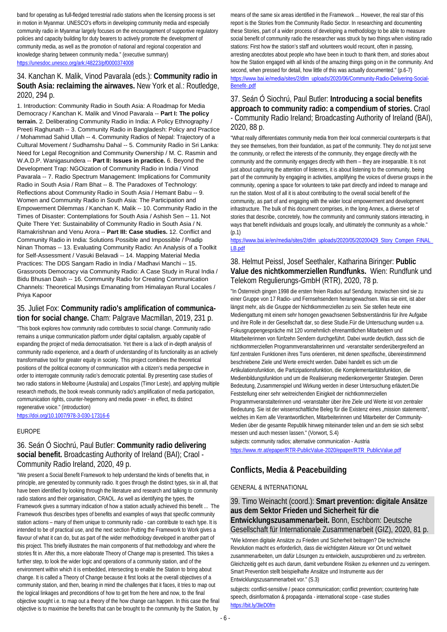band for operating as full-fledged terrestrial radio stations when the licensing process is set in motion in Myanmar. UNESCO's efforts in developing community media and especially community radio in Myanmar largely focuses on the encouragement of supportive regulatory policies and capacity building for duty bearers to actively promote the development of community media, as well as the promotion of national and regional cooperation and knowledge sharing between community media." (executive summary) <https://unesdoc.unesco.org/ark:/48223/pf0000374008>

#### 34. Kanchan K. Malik, Vinod Pavarala (eds.): **Community radio in South Asia: reclaiming the airwaves.** New York et al.: Routledge, 2020, 294 p.

1. Introduction: Community Radio in South Asia: A Roadmap for Media Democracy / Kanchan K. Malik and Vinod Pavarala -- **Part I: The policy terrain.** 2. Deliberating Community Radio in India: A Policy Ethnography / Preeti Raghunath -- 3. Community Radio in Bangladesh: Policy and Practice / Mohammad Sahid Ullah -- 4. Community Radios of Nepal: Trajectory of a Cultural Movement / Sudhamshu Dahal -- 5. Community Radio in Sri Lanka: Need for Legal Recognition and Community Ownership / M. C. Rasmin and W.A.D.P. Wanigasundera -- **Part II: Issues in practice.** 6. Beyond the Development Trap: NGOization of Community Radio in India / Vinod Pavarala -- 7. Radio Spectrum Management: Implications for Community Radio in South Asia / Ram Bhat -- 8. The Paradoxes of Technology: Reflections about Community Radio in South Asia / Hemant Babu -- 9. Women and Community Radio in South Asia: The Participation and Empowerment Dilemmas / Kanchan K. Malik -- 10. Community Radio in the Times of Disaster: Contemplations for South Asia / Ashish Sen -- 11. Not Quite There Yet: Sustainability of Community Radio in South Asia / N. Ramakrishnan and Venu Arora -- **Part III: Case studies.** 12. Conflict and Community Radio in India: Solutions Possible and Impossible / Pradip Ninan Thomas -- 13. Evaluating Community Radio: An Analysis of a Toolkit for Self-Assessment / Vasuki Belavadi -- 14. Mapping Material Media Practices: The DDS Sangam Radio in India / Madhavi Manchi -- 15. Grassroots Democracy via Community Radio: A Case Study in Rural India / Bidu Bhusan Dash -- 16. Community Radio for Creating Communication Channels: Theoretical Musings Emanating from Himalayan Rural Locales / Priya Kapoor

#### 35. Juliet Fox: **Community radio's amplification of communication for social change.** Cham: Palgrave Macmillan, 2019, 231 p.

"This book explores how community radio contributes to social change. Community radio remains a unique communication platform under digital capitalism, arguably capable of expanding the project of media democratisation. Yet there is a lack of in-depth analysis of community radio experience, and a dearth of understanding of its functionality as an actively transformative tool for greater equity in society. This project combines the theoretical positions of the political economy of communication with a citizen's media perspective in order to interrogate community radio's democratic potential. By presenting case studies of two radio stations in Melbourne (Australia) and Lospalos (Timor Leste), and applying multiple research methods, the book reveals community radio's amplification of media participation, communication rights, counter-hegemony and media power - in effect, its distinct regenerative voice." (introduction)

<https://doi.org/10.1007/978-3-030-17316-6>

#### EUROPE

### 36. Seán Ó Siochrú, Paul Butler: **Community radio delivering social benefit.** Broadcasting Authority of Ireland (BAI); Craol - Community Radio Ireland, 2020, 49 p.

"We present a Social Benefit Framework to help understand the kinds of benefits that, in principle, are generated by community radio. It goes through the distinct types, six in all, that have been identified by looking through the literature and research and talking to community radio stations and their organisation, CRAOL. As well as identifying the types, the Framework gives a summary indication of how a station actually achieved this benefit ... The Framework thus describes types of benefits and examples of ways that specific community station actions – many of them unique to community radio - can contribute to each type. It is intended to be of practical use, and the next section Putting the Framework to Work gives a flavour of what it can do, but as part of the wider methodology developed in another part of this project. This briefly illustrates the main components of that methodology and where the stories fit in. After this, a more elaborate Theory of Change map is presented. This takes a further step, to look the wider logic and operations of a community station, and of the environment within which it is embedded, intersecting to enable the Station to bring about change. It is called a Theory of Change because it first looks at the overall objectives of a community station, and then, bearing in mind the challenges that it faces, it tries to map out the logical linkages and preconditions of how to get from the here and now, to the final objective sought i.e. to map out a theory of the how change can happen. In this case the final objective is to maximise the benefits that can be brought to the community by the Station, by

means of the same six areas identified in the Framework ... However, the real star of this report is the Stories from the Community Radio Sector. In researching and documenting these Stories, part of a wider process of developing a methodology to be able to measure social benefit of community radio the researcher was struck by two things when visiting radio stations: First how the station's staff and volunteers would recount, often in passing, arresting anecdotes about people who have been in touch to thank them, and stories about how the Station engaged with all kinds of the amazing things going on in the community. And second, when pressed for detail, how little of this was actually documented." (p.6-7) [https://www.bai.ie/media/sites/2/dlm\\_uploads/2020/06/Community-Radio-Delivering-Social-](https://www.bai.ie/media/sites/2/dlm_uploads/2020/06/Community-Radio-Delivering-Social-Benefit-.pdf)[Benefit-.pdf](https://www.bai.ie/media/sites/2/dlm_uploads/2020/06/Community-Radio-Delivering-Social-Benefit-.pdf)

#### 37. Seán Ó Siochrú, Paul Butler: **Introducing a social benefits approach to community radio: a compendium of stories.** Craol - Community Radio Ireland; Broadcasting Authority of Ireland (BAI), 2020, 88 p.

"What really differentiates community media from their local commercial counterparts is that they see themselves, from their foundation, as part of the community. They do not just serve the community, or reflect the interests of the community, they engage directly with the community and the community engages directly with them – they are inseparable. It is not just about capturing the attention of listeners, it is about listening to the community, being part of the community by engaging in activities, amplifying the voices of diverse groups in the community, opening a space for volunteers to take part directly and indeed to manage and run the station. Most of all it is about contributing to the overall social benefit of the community, as part of and engaging with the wider local empowerment and development infrastructure. The bulk of this document comprises, in the long Annex, a diverse set of stories that describe, concretely, how the community and community stations interacting, in ways that benefit individuals and groups locally, and ultimately the community as a whole." (p.1)

[https://www.bai.ie/en/media/sites/2/dlm\\_uploads/2020/05/20200429\\_Story\\_Compen\\_FINAL\\_](https://www.bai.ie/en/media/sites/2/dlm_uploads/2020/05/20200429_Story_Compen_FINAL_LB.pdf) [LB.pdf](https://www.bai.ie/en/media/sites/2/dlm_uploads/2020/05/20200429_Story_Compen_FINAL_LB.pdf)

### 38. Helmut Peissl, Josef Seethaler, Katharina Biringer: **Public Value des nichtkommerziellen Rundfunks.** Wien: Rundfunk und Telekom Regulierungs-GmbH (RTR), 2020, 78 p.

"In Österreich gingen 1998 die ersten freien Radios auf Sendung. Inzwischen sind sie zu einer Gruppe von 17 Radio- und Fernsehsendern herangewachsen. Was sie eint, ist aber längst mehr, als die Gruppe der Nichtkommerziellen zu sein. Sie stellen heute eine Mediengattung mit einem sehr homogen gewachsenen Selbstverständnis für ihre Aufgabe und ihre Rolle in der Gesellschaft dar, so diese Studie.Für die Untersuchung wurden u.a. Fokusgruppengespräche mit 120 vornehmlich ehrenamtlichen Mitarbeitern und Mitarbeiterinnen von fünfzehn Sendern durchgeführt. Dabei wurde deutlich, dass sich die nichtkommerziellen Programmveranstalterinnen und -veranstalter senderübergreifend an fünf zentralen Funktionen ihres Tuns orientieren, mit denen spezifische, übereinstimmend beschriebene Ziele und Werte erreicht werden. Dabei handelt es sich um die Artikulationsfunktion, die Partizipationsfunktion, die Komplementaritätsfunktion, die Medienbildungsfunktion und um die Realisierung medienkonvergenter Strategien. Deren Bedeutung, Zusammenspiel und Wirkung werden in dieser Untersuchung erläutert.Die Feststellung einer sehr weitreichenden Einigkeit der nichtkommerziellen Programmveranstalterinnen und -veranstalter über ihre Ziele und Werte ist von zentraler Bedeutung. Sie ist der wissenschaftliche Beleg für die Existenz eines "mission statements", welches im Kern alle Verantwortlichen, Mitarbeiterinnen und Mitarbeiter der Community-Medien über die gesamte Republik hinweg miteinander teilen und an dem sie sich selbst messen und auch messen lassen." (Vorwort, S.4)

subjects: community radios; alternative communication - Austria [https://www.rtr.at/epaper/RTR-PublicValue-2020/epaper/RTR\\_PublicValue.pdf](https://www.rtr.at/epaper/RTR-PublicValue-2020/epaper/RTR_PublicValue.pdf)

## **Conflicts, Media & Peacebuilding**

#### GENERAL & INTERNATIONAL

#### 39. Timo Weinacht (coord.): **Smart prevention: digitale Ansätze aus dem Sektor Frieden und Sicherheit für die Entwicklungszusammenarbeit.** Bonn, Eschborn: Deutsche Gesellschaft für Internationale Zusammenarbeit (GIZ), 2020, 81 p.

"Wie können digitale Ansätze zu Frieden und Sicherheit beitragen? Die technische Revolution macht es erforderlich, dass die wichtigsten Akteure vor Ort und weltweit zusammenarbeiten, um dafür Lösungen zu entwickeln, auszuprobieren und zu verbreiten. Gleichzeitig geht es auch darum, damit verbundene Risiken zu erkennen und zu verringern. Smart Prevention stellt beispielhafte Ansätze und Instrumente aus der Entwicklungszusammenarbeit vor." (S.3)

subjects: conflict-sensitive / peace communication; conflict prevention; countering hate speech, disinformation & propaganda - international scope - case studies <https://bit.ly/3leD0fm>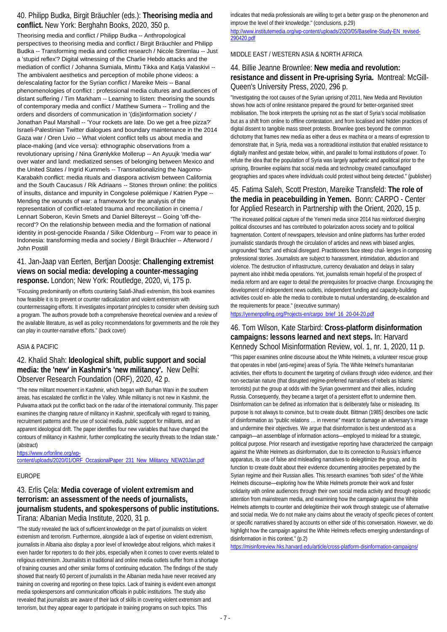### 40. Philipp Budka, Birgit Bräuchler (eds.): **Theorising media and conflict.** New York: Berghahn Books, 2020, 350 p.

Theorising media and conflict / Philipp Budka -- Anthropological perspectives to theorising media and conflict / Birgit Bräuchler and Philipp Budka -- Transforming media and conflict research / Nicole Stremlau -- Just a 'stupid reflex'? Digital witnessing of the Charlie Hebdo attacks and the mediation of conflict / Johanna Sumiala, Minttu Tikka and Katja Valaskivi -- The ambivalent aesthetics and perception of mobile phone videos: a de/escalating factor for the Syrian conflict / Mareike Meis -- Banal phenomenologies of conflict : professional media cultures and audiences of distant suffering / Tim Markham -- Learning to listen: theorising the sounds of contemporary media and conflict / Matthew Sumera -- Trolling and the orders and disorders of communication in '(dis)information society' / Jonathan Paul Marshall -- 'Your rockets are late. Do we get a free pizza?' Israeli-Palestinian Twitter dialogues and boundary maintenance in the 2014 Gaza war / Oren Livio -- What violent conflict tells us about media and place-making (and vice versa): ethnographic observations from a revolutionary uprising / Nina Grønlykke Mollerup -- An Ayuujk 'media war' over water and land: mediatized senses of belonging between Mexico and the United States / Ingrid Kummels -- Transnationalizing the Nagorno-Karabakh conflict: media rituals and diaspora activism between California and the South Caucasus / Rik Adriaans -- Stones thrown online: the politics of insults, distance and impunity in Congolese polémique / Katrien Pype -- Mending the wounds of war: a framework for the analysis of the representation of conflict-related trauma and reconciliation in cinema / Lennart Soberon, Kevin Smets and Daniel Biltereyst -- Going 'off-therecord'? On the relationship between media and the formation of national identity in post-genocide Rwanda / Silke Oldenburg -- From war to peace in Indonesia: transforming media and society / Birgit Bräuchler -- Afterword / John Postill

### 41. Jan-Jaap van Eerten, Bertjan Doosje: **Challenging extremist views on social media: developing a counter-messaging response.** London; New York: Routledge, 2020, vi, 175 p.

"Focusing predominantly on efforts countering Salafi-Jihadi extremism, this book examines how feasible it is to prevent or counter radicalization and violent extremism with countermessaging efforts. It investigates important principles to consider when devising such a program. The authors provade both a comprehensive theoretical overview and a review of the available literature, as well as policy recommendations for governments and the role they can play in counter-narrative efforts." (back cover)

#### ASIA & PACIFIC

### 42. Khalid Shah: **Ideological shift, public support and social media: the 'new' in Kashmir's 'new militancy'.** New Delhi: Observer Research Foundation (ORF), 2020, 42 p.

"The new militant movement in Kashmir, which began with Burhan Wani in the southern areas, has escalated the conflict in the Valley. While militancy is not new in Kashmir, the Pulwama attack put the conflict back on the radar of the international community. This paper examines the changing nature of militancy in Kashmir, specifically with regard to training, recruitment patterns and the use of social media, public support for militants, and an apparent ideological drift. The paper identifies four new variables that have changed the contours of militancy in Kashmir, further complicating the security threats to the Indian state." (abstract)

[https://www.orfonline.org/wp-](https://www.orfonline.org/wp-content/uploads/2020/01/ORF_OccasionalPaper_231_New_Militancy_NEW20Jan.pdf)

[content/uploads/2020/01/ORF\\_OccasionalPaper\\_231\\_New\\_Militancy\\_NEW20Jan.pdf](https://www.orfonline.org/wp-content/uploads/2020/01/ORF_OccasionalPaper_231_New_Militancy_NEW20Jan.pdf)

#### EUROPE

### 43. Erlis Çela: **Media coverage of violent extremism and terrorism: an assessment of the needs of journalists, journalism students, and spokespersons of public institutions.**  Tirana: Albanian Media Institute, 2020, 31 p.

"The study revealed the lack of sufficient knowledge on the part of journalists on violent extremism and terrorism. Furthermore, alongside a lack of expertise on violent extremism, journalists in Albania also display a poor level of knowledge about religions, which makes it even harder for reporters to do their jobs, especially when it comes to cover events related to religious extremism. Journalists in traditional and online media outlets suffer from a shortage of training courses and other similar forms of continuing education. The findings of the study showed that nearly 60 percent of journalists in the Albanian media have never received any training on covering and reporting on these topics. Lack of training is evident even amongst media spokespersons and communication officials in public institutions. The study also revealed that journalists are aware of their lack of skills in covering violent extremism and terrorism, but they appear eager to participate in training programs on such topics. This

indicates that media professionals are willing to get a better grasp on the phenomenon and improve the level of their knowledge." (conclusions, p.29)

[http://www.institutemedia.org/wp-content/uploads/2020/05/Baseline-Study-EN\\_revised-](http://www.institutemedia.org/wp-content/uploads/2020/05/Baseline-Study-EN_revised-290420.pdf)[290420.pdf](http://www.institutemedia.org/wp-content/uploads/2020/05/Baseline-Study-EN_revised-290420.pdf)

MIDDLE EAST / WESTERN ASIA & NORTH AFRICA

### 44. Billie Jeanne Brownlee: **New media and revolution: resistance and dissent in Pre-uprising Syria.** Montreal: McGill-Queen's University Press, 2020, 296 p.

"Investigating the root causes of the Syrian uprising of 2011, New Media and Revolution shows how acts of online resistance prepared the ground for better-organised street mobilisation. The book interprets the uprising not as the start of Syria's social mobilisation but as a shift from online to offline contestation, and from localised and hidden practices of digital dissent to tangible mass street protests. Brownlee goes beyond the common dichotomy that frames new media as either a deus ex machina or a means of expression to demonstrate that, in Syria, media was a nontraditional institution that enabled resistance to digitally manifest and gestate below, within, and parallel to formal institutions of power. To refute the idea that the population of Syria was largely apathetic and apolitical prior to the uprising, Brownlee explains that social media and technology created camouflaged geographies and spaces where individuals could protest without being detected." (publisher)

### 45. Fatima Saleh, Scott Preston, Mareike Transfeld: **The role of the media in peacebuilding in Yemen.** Bonn: CARPO - Center for Applied Research in Partnership with the Orient, 2020, 15 p.

"The increased political capture of the Yemeni media since 2014 has reinforced diverging political discourses and has contributed to polarization across society and to political fragmentation. Content of newspapers, television and online platforms has further eroded journalistic standards through the circulation of articles and news with biased angles, ungrounded "facts" and ethical disregard. Practitioners face steep chal- lenges in composing professional stories. Journalists are subject to harassment, intimidation, abduction and violence. The destruction of infrastructure, currency devaluation and delays in salary payment also inhibit media operations. Yet, journalists remain hopeful of the prospect of media reform and are eager to detail the prerequisites for proactive change. Encouraging the development of independent news outlets, independent funding and capacity-building activities could en- able the media to contribute to mutual understanding, de-escalation and the requirements for peace." (executive summary)

[https://yemenpolling.org/Projects-en/carpo\\_brief\\_16\\_20-04-20.pdf](https://yemenpolling.org/Projects-en/carpo_brief_16_20-04-20.pdf)

### 46. Tom Wilson, Kate Starbird: **Cross-platform disinformation campaigns: lessons learned and next steps.** In: Harvard Kennedy School Misinformation Review, vol. 1, nr. 1, 2020, 11 p.

"This paper examines online discourse about the White Helmets, a volunteer rescue group that operates in rebel (anti-regime) areas of Syria. The White Helmet's humanitarian activities, their efforts to document the targeting of civilians through video evidence, and their non-sectarian nature (that disrupted regime-preferred narratives of rebels as Islamic terrorists) put the group at odds with the Syrian government and their allies, including Russia. Consequently, they became a target of a persistent effort to undermine them. Disinformation can be defined as information that is deliberately false or misleading. Its purpose is not always to convince, but to create doubt. Bittman (1985) describes one tactic of disinformation as "public relations … in reverse" meant to damage an adversary's image and undermine their objectives. We argue that disinformation is best understood as a campaign—an assemblage of information actions—employed to mislead for a strategic, political purpose. Prior research and investigative reporting have characterized the campaign against the White Helmets as disinformation, due to its connection to Russia's influence apparatus, its use of false and misleading narratives to delegitimize the group, and its function to create doubt about their evidence documenting atrocities perpetrated by the Syrian regime and their Russian allies. This research examines "both sides" of the White Helmets discourse—exploring how the White Helmets promote their work and foster solidarity with online audiences through their own social media activity and through episodic attention from mainstream media, and examining how the campaign against the White Helmets attempts to counter and delegitimize their work through strategic use of alternative and social media. We do not make any claims about the veracity of specific pieces of content or specific narratives shared by accounts on either side of this conversation. However, we do highlight how the campaign against the White Helmets reflects emerging understandings of disinformation in this context." (p.2)

<https://misinforeview.hks.harvard.edu/article/cross-platform-disinformation-campaigns/>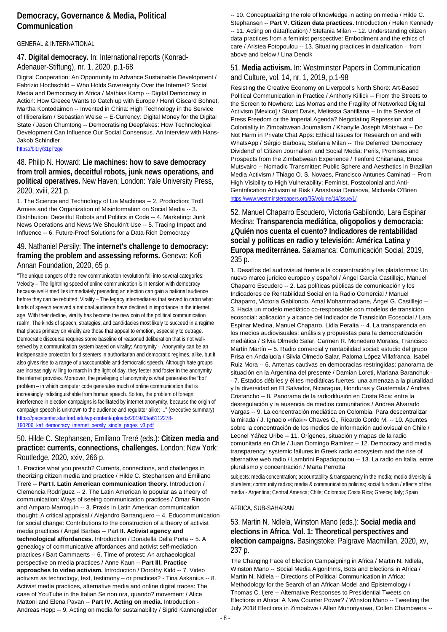### **Democracy, Governance & Media, Political Communication**

#### GENERAL & INTERNATIONAL

47. **Digital democracy.** In: International reports (Konrad-Adenauer-Stiftung), nr. 1, 2020, p.1-68

Digital Cooperation: An Opportunity to Advance Sustainable Development / Fabrizio Hochschild -- Who Holds Sovereignty Over the Internet? Social Media and Democracy in Africa / Mathias Kamp -- Digital Democracy in Action: How Greece Wants to Catch up with Europe / Henri Giscard Bohnet, Martha Kontodaimon -- Invented in China: High Technology in the Service of Illiberalism / Sebastian Weise -- E-Currency: Digital Money for the Digital State / Jason Chumtong -- Democratising Deepfakes: How Technological Development Can Influence Our Social Consensus. An Interview with Hans-Jakob Schindler

#### <https://bit.ly/31pPzge>

48. Philip N. Howard: **Lie machines: how to save democracy from troll armies, deceitful robots, junk news operations, and political operatives.** New Haven; London: Yale University Press, 2020, xviii, 221 p.

1. The Science and Technology of Lie Machines -- 2. Production: Troll Armies and the Organization of Misinformation on Social Media -- 3. Distribution: Deceitful Robots and Politics in Code -- 4. Marketing: Junk News Operations and News We Shouldn't Use -- 5. Tracing Impact and Influence -- 6. Future-Proof Solutions for a Data-Rich Democracy

#### 49. Nathaniel Persily: **The internet's challenge to democracy: framing the problem and assessing reforms.** Geneva: Kofi Annan Foundation, 2020, 65 p.

"The unique dangers of the new communication revolution fall into several categories: Velocity – The lightning speed of online communication is in tension with democracy because well-timed lies immediately preceding an election can gain a national audience before they can be rebutted; Virality – The legacy intermediaries that served to cabin what kinds of speech received a national audience have declined in importance in the internet age. With their decline, virality has become the new coin of the political communication realm. The kinds of speech, strategies, and candidacies most likely to succeed in a regime that places primacy on virality are those that appeal to emotion, especially to outrage. Democratic discourse requires some baseline of reasoned deliberation that is not wellserved by a communication system based on virality; Anonymity – Anonymity can be an indispensable protection for dissenters in authoritarian and democratic regimes, alike, but it also gives rise to a range of unaccountable anti-democratic speech. Although hate groups are increasingly willing to march in the light of day, they fester and foster in the anonymity the internet provides. Moreover, the privileging of anonymity is what generates the "bot" problem – in which computer code generates much of online communication that is increasingly indistinguishable from human speech. So too, the problem of foreign interference in election campaigns is facilitated by internet anonymity, because the origin of campaign speech is unknown to the audience and regulator alike; ..." (executive summary) [https://pacscenter.stanford.edu/wp-content/uploads/2019/03/a6112278-](https://pacscenter.stanford.edu/wp-content/uploads/2019/03/a6112278-190206_kaf_democracy_internet_persily_single_pages_v3.pdf) [190206\\_kaf\\_democracy\\_internet\\_persily\\_single\\_pages\\_v3.pdf](https://pacscenter.stanford.edu/wp-content/uploads/2019/03/a6112278-190206_kaf_democracy_internet_persily_single_pages_v3.pdf)

### 50. Hilde C. Stephansen, Emiliano Treré (eds.): **Citizen media and practice: currents, connections, challenges.** London; New York: Routledge, 2020, xxiv, 266 p.

1. Practice what you preach? Currents, connections, and challenges in theorizing citizen media and practice / Hilde C. Stephansen and Emiliano Treré -- **Part I. Latin American communication theory.** Introduction / Clemencia Rodríguez -- 2. The Latin American lo popular as a theory of communication: Ways of seeing communication practices / Omar Rincón and Amparo Marroquín -- 3. Praxis in Latin American communication thought: A critical appraisal / Alejandro Barranquero -- 4. Educommunication for social change: Contributions to the construction of a theory of activist media practices / Ángel Barbas -- Part **II. Activist agency and technological affordances.** Introduction / Donatella Della Porta -- 5. A genealogy of communicative affordances and activist self-mediation practices / Bart Cammaerts -- 6. Time of protest: An archaeological perspective on media practices / Anne Kaun -- **Part III. Practice approaches to video activism.** Introduction / Dorothy Kidd -- 7. Video activism as technology, text, testimony – or practices? - Tina Askanius -- 8. Activist media practices, alternative media and online digital traces: The case of YouTube in the Italian Se non ora, quando? movement / Alice Mattoni and Elena Pavan -- **Part IV. Acting on media.** Introduction - Andreas Hepp -- 9. Acting on media for sustainability / Sigrid Kannengießer

-- 10. Conceptualizing the role of knowledge in acting on media / Hilde C. Stephansen -- **Part V. Citizen data practices.** Introduction / Helen Kennedy -- 11. Acting on data(fication) / Stefania Milan -- 12. Understanding citizen data practices from a feminist perspective: Embodiment and the ethics of care / Aristea Fotopoulou -- 13. Situating practices in datafication – from above and below / Lina Dencik

#### 51. **Media activism.** In: Westminster Papers in Communication and Culture, vol. 14, nr. 1, 2019, p.1-98

Resisting the Creative Economy on Liverpool's North Shore: Art-Based Political Communication in Practice / Anthony Killick -- From the Streets to the Screen to Nowhere: Las Morras and the Fragility of Networked Digital Activism [Mexico] / Stuart Davis, Melisssa Santillana -- In the Service of Press Freedom or the Imperial Agenda? Negotiating Repression and Coloniality in Zimbabwean Journalism / Khanyile Joseph Mlotshwa -- Do Not Harm in Private Chat Apps: Ethical Issues for Research on and with WhatsApp / Sérgio Barbosa, Stefania Milan -- The Deferred 'Democracy Dividend' of Citizen Journalism and Social Media: Perils, Promises and Prospects from the Zimbabwean Experience / Tenford Chitanana, Bruce Mutsvairo -- Nomadic Transmitter: Public Sphere and Aesthetics in Brazilian Media Activism / Thiago O. S. Novaes, Francisco Antunes Caminati -- From High Visibility to High Vulnerability: Feminist, Postcolonial and Anti-Gentrification Activism at Risk / Anastasia Denisova, Michaela O'Brien <https://www.westminsterpapers.org/35/volume/14/issue/1/>

#### 52. Manuel Chaparro Escudero, Victoria Gabilondo, Lara Espinar Medina: **Transparencia mediática, oligopolios y democracia: ¿Quién nos cuenta el cuento? Indicadores de rentabilidad social y políticas en radio y televisión: América Latina y Europa mediterránea.** Salamanca: Comunicación Social, 2019, 235 p.

1. Desafíos del audiovisual frente a la concentración y las plataformas: Un nuevo marco jurídico europeo y español / Ángel García Castillejo, Manuel Chaparro Escudero -- 2. Las políticas públicas de comunicación y los Indicadores de Rentabilidad Social en la Radio Comercial / Manuel Chaparro, Victoria Gabilondo, Amal Mohammadiane, Ángel G. Castillejo -- 3. Hacia un modelo mediático co-responsable con modelos de transición ecosocial: aplicación y alcance del Indicador de Transición Ecosocial / Lara Espinar Medina, Manuel Chaparro, Lidia Peralta -- 4. La transparencia en los medios audiovisuales: análisis y propuestas para la democratización mediática / Silvia Olmedo Salar, Carmen R. Monedero Morales, Francisco Martín Martín -- 5. Radio comercial y rentabilidad social: estudio del grupo Prisa en Andalucía / Silvia Olmedo Salar, Paloma López Villafranca, Isabel Ruiz Mora -- 6. Antenas cautivas en democracias restringidas: panorama de situación en la Argentina del presente / Damian Loreti, Mariana Baranchuk - - 7. Estados débiles y élites mediáticas fuertes: una amenaza a la pluralidad y la diversidad en El Salvador, Nicaragua, Honduras y Guatemala / Andrea Cristancho -- 8. Panorama de la radiodifusión en Costa Rica: entre la desregulación y la ausencia de medios comunitarios / Andrea Alvarado Vargas -- 9. La concentración mediática en Colombia. Para descentralizar la mirada / J. Ignacio «Iñaki» Chaves G., Ricardo Gordo M. -- 10. Apuntes sobre la concentración de los medios de información audiovisual en Chile / Leonel Yáñez Uribe -- 11. Orígenes, situación y mapas de la radio comunitaria en Chile / Juan Domingo Ramírez -- 12. Democracy and media transparency: systemic failures in Greek radio ecosystem and the rise of alternative web radio / Lambrini Papadopoulou -- 13. La radio en Italia, entre pluralismo y concentración / Marta Perrotta

subjects: media concentration; accountability & transparency in the media; media diversity & pluralism; community radios; media & communication policies; social function / effects of the media - Argentina; Central America; Chile; Colombia; Costa Rica; Greece; Italy; Spain

#### AFRICA, SUB-SAHARAN

### 53. Martin N. Ndlela, Winston Mano (eds.): **Social media and elections in Africa. Vol. 1: Theoretical perspectives and election campaigns.** Basingstoke: Palgrave Macmillan, 2020, xv, 237 p.

The Changing Face of Election Campaigning in Africa / Martin N. Ndlela, Winston Mano -- Social Media Algorithms, Bots and Elections in Africa / Martin N. Ndlela -- Directions of Political Communication in Africa: Methodology for the Search of an African Model and Epistemology / Thomas C. Ijere -- Alternative Responses to Presidential Tweets on Elections in Africa: A New Counter Power? / Winston Mano -- Tweeting the July 2018 Elections in Zimbabwe / Allen Munoriyarwa, Collen Chambwera --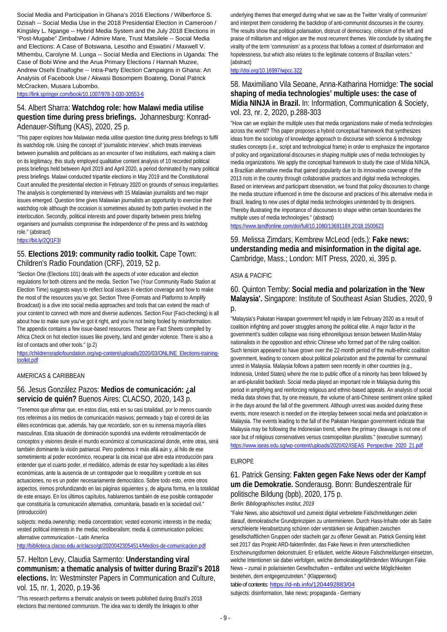Social Media and Participation in Ghana's 2016 Elections / Wilberforce S. Dzisah -- Social Media Use in the 2018 Presidential Election in Cameroon / Kingsley L. Ngange -- Hybrid Media System and the July 2018 Elections in "Post-Mugabe" Zimbabwe / Admire Mare, Trust Matsilele -- Social Media and Elections: A Case of Botswana, Lesotho and Eswatini / Maxwell V. Mthembu, Carolyne M. Lunga -- Social Media and Elections in Uganda: The Case of Bobi Wine and the Arua Primary Elections / Hannah Muzee, Andrew Osehi Enaifoghe -- Intra-Party Election Campaigns in Ghana: An Analysis of Facebook Use / Akwasi Bosompem Boateng, Donal Patrick McCracken, Musara Lubombo.

<https://link.springer.com/book/10.1007/978-3-030-30553-6>

#### 54. Albert Sharra: **Watchdog role: how Malawi media utilise question time during press briefings.** Johannesburg: Konrad-Adenauer-Stiftung (KAS), 2020, 25 p.

"This paper explores how Malawian media utilise question time during press briefings to fulfil its watchdog role. Using the concept of 'journalistic interview', which treats interviews between journalists and politicians as an encounter of two institutions, each making a claim on its legitimacy, this study employed qualitative content analysis of 10 recorded political press briefings held between April 2019 and April 2020, a period dominated by many political press briefings. Malawi conducted tripartite elections in May 2019 and the Constitutional Court annulled the presidential election in February 2020 on grounds of serious irregularities. The analysis is complemented by interviews with 15 Malawian journalists and two major issues emerged. Question time gives Malawian journalists an opportunity to exercise their watchdog role although the occasion is sometimes abused by both parties involved in the interlocution. Secondly, political interests and power disparity between press briefing organisers and journalists compromise the independence of the press and its watchdog role." (abstract)

<https://bit.ly/2Ql1F3I>

#### 55. **Elections 2019: community radio toolkit.** Cape Town: Children's Radio Foundation (CRF), 2019, 52 p.

"Section One (Elections 101) deals with the aspects of voter education and election regulations for both citizens and the media. Section Two (Your Community Radio Station at Election Time) suggests ways to reflect local issues in election coverage and how to make the most of the resources you've got. Section Three (Formats and Platforms to Amplify Broadcast) is a dive into social media approaches and tools that can extend the reach of your content to connect with more and diverse audiences. Section Four (Fact-checking) is all about how to make sure you've got it right, and you're not being fooled by misinformation. The appendix contains a few issue-based resources. These are Fact Sheets compiled by Africa Check on hot election issues like poverty, land and gender violence. There is also a list of contacts and other tools." (p.2)

[https://childrensradiofoundation.org/wp-content/uploads/2020/03/ONLINE\\_Elections-training](https://childrensradiofoundation.org/wp-content/uploads/2020/03/ONLINE_Elections-training-toolkit.pdf)[toolkit.pdf](https://childrensradiofoundation.org/wp-content/uploads/2020/03/ONLINE_Elections-training-toolkit.pdf)

#### AMERICAS & CARIBBEAN

#### 56. Jesus González Pazos: **Medios de comunicación: ¿al servicio de quién?** Buenos Aires: CLACSO, 2020, 143 p.

"Tenemos que afirmar que, en estos días, está en su casi totalidad, por lo menos cuando nos referimos a los medios de comunicación masivos; permeado y bajo el control de las élites económicas que, además, hay que recordarlo, son en su inmensa mayoría élites masculinas. Esta situación de dominación supondrá una evidente retroalimentación de conceptos y visiones desde el mundo económico al comunicacional donde, entre otras, será también dominante la visión patriarcal. Pero podemos ir más allá aún y, al hilo de ese sometimiento al poder económico, recuperar la cita inicial que abre esta introducción para entender que el cuarto poder, el mediático, además de estar hoy supeditado a las élites económicas, ante la ausencia de un contrapoder que lo reequilibre y controle en sus actuaciones, no es un poder necesariamente democrático. Sobre todo esto, entre otros aspectos, iremos profundizando en las páginas siguientes y, de alguna forma, en la totalidad de este ensayo. En los últimos capítulos, hablaremos también de ese posible contrapoder que constituiría la comunicación alternativa, comunitaria, basado en la sociedad civil." (introducción)

subjects: media ownership; media concentration; vested economic interests in the media; vested political interests in the media; neoliberalism; media & communication policies; alternative communication - Latin America

<http://biblioteca.clacso.edu.ar/clacso/gt/20200423054514/Medios-de-comunicacion.pdf>

57. Helton Levy, Claudia Sarmento: **Understanding viral communism: a thematic analysis of twitter during Brazil's 2018 elections.** In: Westminster Papers in Communication and Culture, vol. 15, nr. 1, 2020, p.19-36

"This research performs a thematic analysis on tweets published during Brazil's 2018 elections that mentioned communism. The idea was to identify the linkages to other

underlying themes that emerged during what we saw as the Twitter 'virality of communism' and interpret them considering the backdrop of anti-communist discourses in the country. The results show that political polarisation, distrust of democracy, criticism of the left and praise of militarism and religion are the most recurrent themes. We conclude by situating the virality of the term 'communism' as a process that follows a context of disinformation and hopelessness, but which also relates to the legitimate concerns of Brazilian voters." (abstract)

#### <http://doi.org/10.16997/wpcc.322>

#### 58. Maximiliano Vila Seoane, Anna-Katharina Hornidge: **The social shaping of media technologies' multiple uses: the case of Mídia NINJA in Brazil.** In: Information, Communication & Society, vol. 23, nr. 2, 2020, p.288-303

"How can we explain the multiple uses that media organizations make of media technologies across the world? This paper proposes a hybrid conceptual framework that synthesizes ideas from the sociology of knowledge approach to discourse with science & technology studies concepts (i.e., script and technological frame) in order to emphasize the importance of policy and organizational discourses in shaping multiple uses of media technologies by media organizations. We apply the conceptual framework to study the case of Mídia NINJA, a Brazilian alternative media that gained popularity due to its innovative coverage of the 2013 riots in the country through collaborative practices and digital media technologies. Based on interviews and participant observation, we found that policy discourses to change the media structure influenced in time the discourse and practices of this alternative media in Brazil, leading to new uses of digital media technologies unintended by its designers. Thereby illustrating the importance of discourses to shape within certain boundaries the multiple uses of media technologies." (abstract)

<https://www.tandfonline.com/doi/full/10.1080/1369118X.2018.1500623>

59. Melissa Zimdars, Kembrew McLeod (eds.): **Fake news: understanding media and misinformation in the digital age.**  Cambridge, Mass.; London: MIT Press, 2020, xi, 395 p.

#### ASIA & PACIFIC

60. Quinton Temby: **Social media and polarization in the 'New Malaysia'.** Singapore: Institute of Southeast Asian Studies, 2020, 9 p.

"Malaysia's Pakatan Harapan government fell rapidly in late February 2020 as a result of coalition infighting and power struggles among the political elite. A major factor in the government's sudden collapse was rising ethnoreligious tension between Muslim-Malay nationalists in the opposition and ethnic Chinese who formed part of the ruling coalition. Such tension appeared to have grown over the 22-month period of the multi-ethnic coalition government, leading to concern about political polarization and the potential for communal unrest in Malaysia. Malaysia follows a pattern seen recently in other countries (e.g., Indonesia, United States) where the rise to public office of a minority has been followed by an anti-pluralist backlash. Social media played an important role in Malaysia during this period in amplifying and reinforcing religious and ethnic-based appeals. An analysis of social media data shows that, by one measure, the volume of anti-Chinese sentiment online spiked in the days around the fall of the government. Although unrest was avoided during these events, more research is needed on the interplay between social media and polarization in Malaysia. The events leading to the fall of the Pakatan Harapan government indicate that Malaysia may be following the Indonesian trend, where the primary cleavage is not one of race but of religious conservatives versus cosmopolitan pluralists." (executive summary) [https://www.iseas.edu.sg/wp-content/uploads/2020/02/ISEAS\\_Perspective\\_2020\\_21.pdf](https://www.iseas.edu.sg/wp-content/uploads/2020/02/ISEAS_Perspective_2020_21.pdf)

#### EUROPE

#### 61. Patrick Gensing: **Fakten gegen Fake News oder der Kampf um die Demokratie.** Sonderausg. Bonn: Bundeszentrale für politische Bildung (bpb), 2020, 175 p. *Berlin: Bibliographisches Institut, 2019*

"Fake News, also absichtsvoll und zumeist digital verbreitete Falschmeldungen zielen darauf, demokratische Grundprinzipien zu unterminieren. Durch Hass-Inhalte oder als Satire verschleierte Herabsetzung schüren oder verstärken sie Antipathien zwischen gesellschaftlichen Gruppen oder stacheln gar zu offener Gewalt an. Patrick Gensing leitet seit 2017 das Projekt ARD-faktenfinder, das Fake News in ihren unterschiedlichen Erscheinungsformen dekonstruiert. Er erläutert, welche Akteure Falschmeldungen einsetzen, welche Intentionen sie dabei verfolgen, welche demokratiegefährdenden Wirkungen Fake News – zumal in polarisierten Gesellschaften – entfalten und welche Möglichkeiten bestehen, dem entgegenzutreten." (Klappentext)

#### table of contents:<https://d-nb.info/1204492883/04>

subjects: disinformation, fake news; propaganda - Germany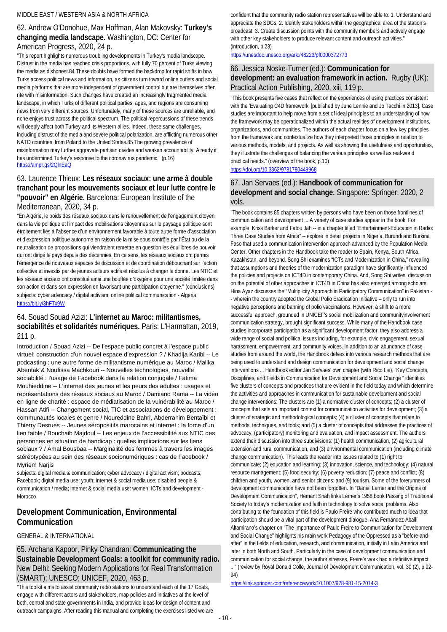#### 62. Andrew O'Donohue, Max Hoffman, Alan Makovsky: **Turkey's changing media landscape.** Washington, DC: Center for American Progress, 2020, 24 p.

"This report highlights numerous troubling developments in Turkey's media landscape. Distrust in the media has reached crisis proportions, with fully 70 percent of Turks viewing the media as dishonest.84 These doubts have formed the backdrop for rapid shifts in how Turks access political news and information, as citizens turn toward online outlets and social media platforms that are more independent of government control but are themselves often rife with misinformation. Such changes have created an increasingly fragmented media landscape, in which Turks of different political parties, ages, and regions are consuming news from very different sources. Unfortunately, many of these sources are unreliable, and none enjoys trust across the political spectrum. The political repercussions of these trends will deeply affect both Turkey and its Western allies. Indeed, these same challenges, including distrust of the media and severe political polarization, are afflicting numerous other NATO countries, from Poland to the United States.85 The growing prevalence of misinformation may further aggravate partisan divides and weaken accountability. Already it has undermined Turkey's response to the coronavirus pandemic." (p.16) <https://ampr.gs/2QlnEaQ>

#### 63. Laurence Thieux: **Les réseaux sociaux: une arme à double tranchant pour les mouvements sociaux et leur lutte contre le "pouvoir" en Algérie.** Barcelona: European Institute of the Mediterranean, 2020, 34 p.

"En Algérie, le poids des réseaux sociaux dans le renouvellement de l'engagement citoyen dans la vie politique et l'impact des mobilisations citoyennes sur le paysage politique sont étroitement liés à l'absence d'un environnement favorable à toute autre forme d'association et d'expression politique autonome en raison de la mise sous contrôle par l'État ou de la neutralisation de propositions qui viendraient remettre en question les équilibres de pouvoir qui ont dirigé le pays depuis des décennies. En ce sens, les réseaux sociaux ont permis l'émergence de nouveaux espaces de discussion et de coordination débouchant sur l'action collective et investis par de jeunes acteurs actifs et résolus à changer la donne. Les NTIC et les réseaux sociaux ont constitué ainsi une bouffée d'oxygène pour une société limitée dans son action et dans son expression en favorisant une participation citoyenne." (conclusions) subjects: cyber advocacy / digital activism: online political communication - Algeria <https://bit.ly/3hFTx9W>

### 64. Souad Souad Azizi: **L'internet au Maroc: militantismes, sociabilités et solidarités numériques.** Paris: L'Harmattan, 2019, 211 p.

Introduction / Souad Azizi -- De l'espace public concret à l'espace public virtuel: construction d'un nouvel espace d'expression ? / Khadija Karibi -- Le podcasting : une autre forme de militantisme numérique au Maroc / Malika Abentak & Noufissa Machkouri -- Nouvelles technologies, nouvelle sociabilité : l'usage de Facebook dans la relation conjugale / Fatima Mouhieddine -- L'internet des jeunes et les peurs des adultes : usages et représentations des réseaux sociaux au Maroc / Damiano Rama -- La vidéo en ligne de charité : espace de médiatisation de la vulnérabilité au Maroc / Hassan Atifi -- Changement social, TIC et associations de développement : communautés locales et genre / Noureddine Bahri, Abderrahim Bentaïbi et Thierry Desrues -- Jeunes séropositifs marocains et internet : la force d'un lien faible / Bouchaib Majdoul -- Les enjeux de l'accessibilité aux NTIC des personnes en situation de handicap : quelles implications sur les liens sociaux ? / Amal Bousbaa -- Marginalité des femmes à travers les images stéréotypées au sein des réseaux socionumériques : cas de Facebook / Myriem Narjis

subjects: digital media & communication; cyber advocacy / digital activism; podcasts; Facebook; digital media use: youth; internet & social media use; disabled people & communication / media; internet & social media use: women; ICTs and development - Morocco

### **Development Communication, Environmental Communication**

#### GENERAL & INTERNATIONAL

65. Archana Kapoor, Pinky Chandran: **Communicating the Sustainable Development Goals: a toolkit for community radio.**  New Delhi: Seeking Modern Applications for Real Transformation (SMART); UNESCO; UNICEF, 2020, 463 p.

"This toolkit aims to assist community radio stations to understand each of the 17 Goals, engage with different actors and stakeholders, map policies and initiatives at the level of both, central and state governments in India, and provide ideas for design of content and outreach campaigns. After reading this manual and completing the exercises listed we are confident that the community radio station representatives will be able to: 1. Understand and appreciate the SDGs; 2. Identify stakeholders within the geographical area of the station's broadcast; 3. Create discussion points with the community members and actively engage with other key stakeholders to produce relevant content and outreach activities." (introduction, p.23)

#### <https://unesdoc.unesco.org/ark:/48223/pf0000372773>

#### 66. Jessica Noske-Turner (ed.): **Communication for development: an evaluation framework in action.** Rugby (UK): Practical Action Publishing, 2020, xiii, 119 p.

"This book presents five cases that reflect on the experiences of using practices consistent with the 'Evaluating C4D framework' [published by June Lennie and Jo Tacchi in 2013]. Case studies are important to help move from a set of ideal principles to an understanding of how the framework may be operationalized within the actual realities of development institutions, organizations, and communities. The authors of each chapter focus on a few key principles from the framework and contextualize how they interpreted those principles in relation to various methods, models, and projects. As well as showing the usefulness and opportunities, they illustrate the challenges of balancing the various principles as well as real-world practical needs." (overview of the book, p.10) <https://doi.org/10.3362/9781780449968>

### 67. Jan Servaes (ed.): **Handbook of communication for development and social change.** Singapore: Springer, 2020, 2 vols.

"The book contains 85 chapters written by persons who have been on those frontlines of communication and development ... A variety of case studies appear in the book. For example, Kriss Barker and Fatou Jah -- in a chapter titled "Entertainment-Education in Radio: Three Case Studies from Africa" -- explore in detail projects in Nigeria, Burundi and Burkina Faso that used a communication intervention approach advanced by the Population Media Center. Other chapters in the Handbook take the reader to Spain, Kenya, South Africa, Kazakhstan, and beyond. Song Shi examines "ICTs and Modernization in China," revealing that assumptions and theories of the modernization paradigm have significantly influenced the policies and projects on ICT4D in contemporary China. And, Song Shi writes, discussion on the potential of other approaches in ICT4D in China has also emerged among scholars. Hina Ayaz discusses the "Multiplicity Approach in Participatory Communication" in Pakistan - - wherein the country adopted the Global Polio Eradication Initiative – only to run into negative perceptions and banning of polio vaccinations. However, a shift to a more successful approach, grounded in UNICEF's social mobilization and communityinvolvement communication strategy, brought significant success. While many of the Handbook case studies incorporate participation as a significant development factor, they also address a wide range of social and political issues including, for example, civic engagement, sexual harassment, empowerment, and community voices. In addition to an abundance of case studies from around the world, the Handbook delves into various research methods that are being used to understand and design communication for development and social change interventions ... Handbook editor Jan Servaes' own chapter (with Rico Lie), "Key Concepts, Disciplines, and Fields in Communication for Development and Social Change " identifies five clusters of concepts and practices that are evident in the field today and which determine the activities and approaches in communication for sustainable development and social change interventions: The clusters are (1) a normative cluster of concepts; (2) a cluster of concepts that sets an important context for communication activities for development; (3) a cluster of strategic and methodological concepts; (4) a cluster of concepts that relate to methods, techniques, and tools; and (5) a cluster of concepts that addresses the practices of advocacy, (participatory) monitoring and evaluation, and impact assessment. The authors extend their discussion into three subdivisions: (1) health communication, (2) agricultural extension and rural communication, and (3) environmental communication (including climate change communication). This leads the reader into issues related to (1) right to communicate; (2) education and learning; (3) innovation, science, and technology; (4) natural resource management; (5) food security; (6) poverty reduction; (7) peace and conflict; (8) children and youth, women, and senior citizens; and (9) tourism. Some of the forerunners of development communication have not been forgotten. In "Daniel Lerner and the Origins of Development Communication", Hemant Shah links Lerner's 1958 book Passing of Traditional Society to today's modernization and faith in technology to solve social problems. Also contributing to the foundation of this field is Paulo Freire who contributed much to idea that participation should be a vital part of the development dialogue. Ana Fernández-Aballí Altamirano's chapter on "The Importance of Paulo Freire to Communication for Development and Social Change" highlights his main work Pedagogy of the Oppressed as a "before-andafter" in the fields of education, research, and communication, initially in Latin America and later in both North and South. Particularly in the case of development communication and communication for social change, the author stresses, Freire's work had a definitive impact ..." (review by Royal Donald Colle, Journal of Development Communication, vol. 30 (2), p.92- 94)

<https://link.springer.com/referencework/10.1007/978-981-15-2014-3>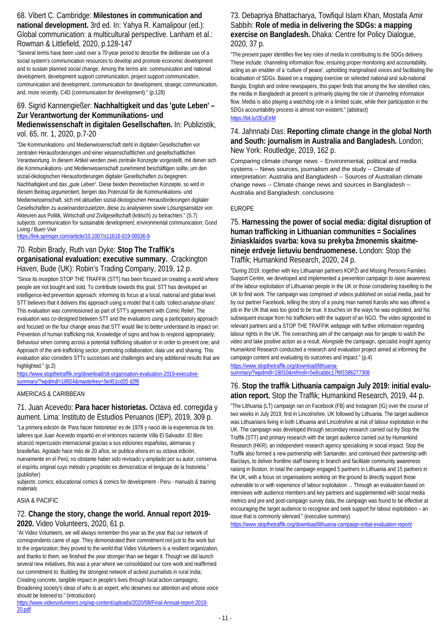### 68. Vibert C. Cambridge: **Milestones in communication and national development.** 3rd ed. In: Yahya R. Kamalipour (ed.): Global communication: a multicultural perspective. Lanham et al.: Rowman & Littlefield, 2020, p.128-147

"Several terms have been used over a 70-year period to describe the deliberate use of a social system's communication resources to develop and promote economic development and to sustain planned social change. Among the terms are: communication and national development, development support communication, project support communication, communication and development, communication for development, straegic communication, and, more recently, C4D (communication for development)." (p.128)

#### 69. Sigrid Kannengießer: **Nachhaltigkeit und das 'gute Leben' – Zur Verantwortung der Kommunikations- und Medienwissenschaft in digitalen Gesellschaften.** In: Publizistik, vol. 65, nr. 1, 2020, p.7-20

"Die Kommunikations- und Medienwissenschaft steht in digitalen Gesellschaften vor zentralen Herausforderungen und einer wissenschaftlichen und gesellschaftlichen Verantwortung. In diesem Artikel werden zwei zentrale Konzepte vorgestellt, mit denen sich die Kommunikations- und Medienwissenschaft zunehmend beschäftigen sollte, um den sozial-ökologischen Herausforderungen digitaler Gesellschaften zu begegnen: Nachhaltigkeit und das "gute Leben". Diese beiden theoretischen Konzepte, so wird in diesem Beitrag argumentiert, bergen das Potenzial für die Kommunikations- und Medienwissenschaft, sich mit aktuellen sozial-ökologischen Herausforderungen digitaler Gesellschaften zu auseinanderzusetzen, diese zu analysieren sowie Lösungsansätze von Akteuren aus Politik, Wirtschaft und Zivilgesellschaft (kritisch) zu betrachten." (S.7) subjects: communication for sustainable development; environmental communication; Good Living / Buen Vivir

<https://link.springer.com/article/10.1007/s11616-019-00536-9>

### 70. Robin Brady, Ruth van Dyke: **Stop The Traffik's organisational evaluation: executive summary.** Crackington Haven, Bude (UK): Robin's Trading Company, 2019, 12 p.

"Since its inception STOP THE TRAFFIK (STT) has been focused on creating a world where people are not bought and sold. To contribute towards this goal, STT has developed an intelligence-led prevention approach: informing its focus at a local, national and global level. STT believes that it delivers this approach using a model that it calls 'collect-analyse-share'. This evaluation was commissioned as part of STT's agreement with Comic Relief. The evaluation was co-designed between STT and the evaluators using a participatory approach and focused on the four change areas that STT would like to better understand its impact on: Prevention of human trafficking risk; Knowledge of signs and how to respond appropriately; Behaviour when coming across a potential trafficking situation or in order to prevent one; and Approach of the anti-trafficking sector, promoting collaboration, data use and sharing. This evaluation also considers STTs successes and challenges and any additional results that are highlighted." (p.2)

[https://www.stopthetraffik.org/download/stt-organisation-evaluation-2019-executive](https://www.stopthetraffik.org/download/stt-organisation-evaluation-2019-executive-summary/?wpdmdl=18924&masterkey=5e451cd20%20d2f6)[summary/?wpdmdl=18924&masterkey=5e451cd20 d2f6](https://www.stopthetraffik.org/download/stt-organisation-evaluation-2019-executive-summary/?wpdmdl=18924&masterkey=5e451cd20%20d2f6)

AMERICAS & CARIBBEAN

### 71. Juan Acevedo: **Para hacer historietas.** Octava ed. corregida y aument. Lima: Instituto de Estudios Peruanos (IEP), 2019, 309 p.

"La primera edición de 'Para hacer historietas' es de 1978 y nació de la experiencia de los talleres que Juan Acevedo impartió en el entonces naciente Villa El Salvador. El libro alcanzó repercusión internacional gracias a sus ediciones españolas, alemanas y brasileñas. Agotado hace más de 20 años, se publica ahora en su octava edición, nuevamente en el Perú; no obstante haber sido revisado y ampliado por su autor, conserva el espíritu original cuyo método y propósito es democratizar el lenguaje de la historieta." (publisher)

subjects: comics; educational comics & comics for development - Peru - manuals & training materials

### ASIA & PACIFIC

### 72. **Change the story, change the world. Annual report 2019- 2020.** Video Volunteers, 2020, 61 p.

"At Video Volunteers, we will always remember this year as the year that our network of correspondents came of age. They demonstrated their commitment not just to the work but to the organization; they proved to the world that Video Volunteers is a resilient organization, and thanks to them, we finished the year stronger than we began it. Though we did launch several new initiatives, this was a year where we consolidated our core work and reaffirmed our commitment to: Building the strongest network of activist journalists in rural India; Creating concrete, tangible impact in people's lives through local action campaigns; Broadening society's ideas of who is an expert, who deserves our attention and whose voice should be listened to." (introduction)

[https://www.videovolunteers.org/wp-content/uploads/2020/08/Final-Annual-report-2019-](https://www.videovolunteers.org/wp-content/uploads/2020/08/Final-Annual-report-2019-20.pdf) [20.pdf](https://www.videovolunteers.org/wp-content/uploads/2020/08/Final-Annual-report-2019-20.pdf)

### 73. Debapriya Bhattacharya, Towfiqul Islam Khan, Mostafa Amir Sabbih: **Role of media in delivering the SDGs: a mapping exercise on Bangladesh.** Dhaka: Centre for Policy Dialogue, 2020, 37 p.

"The present paper identifies five key roles of media in contributing to the SDGs delivery. These include: channeling information flow, ensuring proper monitoring and accountability, acting as an enabler of a 'culture of peace', upholding marginalised voices and facilitating the localisation of SDGs. Based on a mapping exercise on selected national and sub-national Bangla, English and online newspapers, this paper finds that among the five identified roles, the media in Bangladesh at present is primarily playing the role of channeling information flow. Media is also playing a watchdog role in a limited scale, while their participation in the SDGs accountability process is almost non-existent." (abstract) <https://bit.ly/2EyEIrM>

### 74. Jahnnabi Das: **Reporting climate change in the global North and South: journalism in Australia and Bangladesh.** London; New York: Routledge, 2019, 162 p.

Comparing climate change news -- Environmental, political and media systems -- News sources, journalism and the study -- Climate of interpretation: Australia and Bangladesh -- Sources of Australian climate change news -- Climate change news and sources in Bangladesh -- Australia and Bangladesh: conclusions

#### EUROPE

### 75. **Harnessing the power of social media: digital disruption of human trafficking in Lithuanian communities = Socialines žiniasklaidos svarba: kova su prekyba žmonemis skaitmenineje erdveje lietuviu bendruomenese.** London: Stop the Traffik; Humankind Research, 2020, 24 p.

"During 2019, together with key Lithuanian partners KOPŽI and Missing Persons Families Support Centre, we developed and implemented a prevention campaign to raise awareness of the labour exploitation of Lithuanian people in the UK or those considering travelling to the UK to find work. The campaign was comprised of videos published on social media, paid for by our partner Facebook, telling the story of a young man named Karolis who was offered a job in the UK that was too good to be true. It touches on the ways he was exploited, and his subsequent escape from his traffickers with the support of an NGO. The video signposted to relevant partners and a STOP THE TRAFFIK webpage with further information regarding labour rights in the UK. The overarching aim of the campaign was for people to watch the video and take positive action as a result. Alongside the campaign, specialist insight agency Humankind Research conducted a research and evaluation project aimed at informing the campaign content and evaluating its outcomes and impact." (p.4)

[https://www.stopthetraffik.org/download/lithuania](https://www.stopthetraffik.org/download/lithuania-summary/?wpdmdl=19010&refresh=5e8cabbc17f6f1586277308)[summary/?wpdmdl=19010&refresh=5e8cabbc17f6f1586277308](https://www.stopthetraffik.org/download/lithuania-summary/?wpdmdl=19010&refresh=5e8cabbc17f6f1586277308)

### 76. **Stop the traffik Lithuania campaign July 2019: initial evaluation report.** Stop the Traffik; Humankind Research, 2019, 44 p.

"The Lithuania (LT) campaign ran on Facebook (FB) and Instagram (IG) over the course of two weeks in July 2019, first in Lincolnshire, UK followed by Lithuania. The target audience was Lithuanians living in both Lithuania and Lincolnshire at risk of labour exploitation in the UK. The campaign was developed through secondary research carried out by Stop the Traffik (STT) and primary research with the target audience carried out by Humankind Research (HKR), an independent research agency specialising in social impact. Stop the Traffik also formed a new partnership with Santander, and continued their partnership with Barclays, to deliver frontline staff training in branch and facilitate community awareness raising in Boston. In total the campaign engaged 5 partners in Lithuania and 15 partners in the UK, with a focus on organisations working on the ground to directly support those vulnerable to or with experience of labour exploitation ... Through an evaluation based on interviews with audience members and key partners and supplemented with social media metrics and pre and post-campaign survey data, the campaign was found to be effective at encouraging the target audience to recognise and seek support for labour exploitation – an issue that is commonly silenced." (executive summary)

<https://www.stopthetraffik.org/download/lithuania-campaign-initial-evaluation-report/>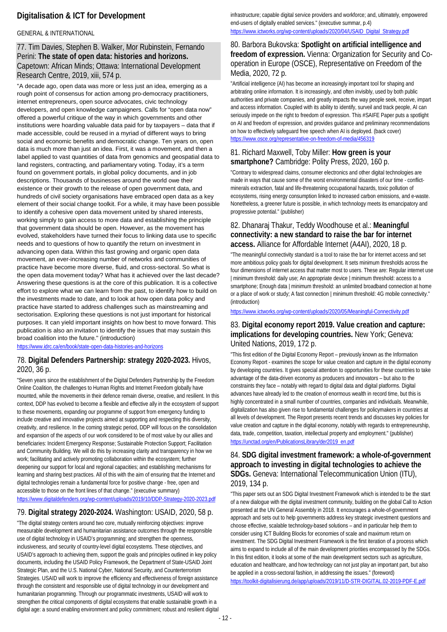## **Digitalisation & ICT for Development**

#### GENERAL & INTERNATIONAL

#### 77. Tim Davies, Stephen B. Walker, Mor Rubinstein, Fernando Perini: **The state of open data: histories and horizons.**  Capetown: African Minds; Ottawa: International Development Research Centre, 2019, xiii, 574 p.

"A decade ago, open data was more or less just an idea, emerging as a rough point of consensus for action among pro-democracy practitioners, internet entrepreneurs, open source advocates, civic technology developers, and open knowledge campaigners. Calls for "open data now" offered a powerful critique of the way in which governments and other institutions were hoarding valuable data paid for by taxpayers – data that if made accessible, could be reused in a myriad of different ways to bring social and economic benefits and democratic change. Ten years on, open data is much more than just an idea. First, it was a movement, and then a label applied to vast quantities of data from genomics and geospatial data to land registers, contracting, and parliamentary voting. Today, it's a term found on government portals, in global policy documents, and in job descriptions. Thousands of businesses around the world owe their existence or their growth to the release of open government data, and hundreds of civil society organisations have embraced open data as a key element of their social change toolkit. For a while, it may have been possible to identify a cohesive open data movement united by shared interests, working simply to gain access to more data and establishing the principle that government data should be open. However, as the movement has evolved, stakeholders have turned their focus to linking data use to specific needs and to questions of how to quantify the return on investment in advancing open data. Within this fast growing and organic open data movement, an ever-increasing number of networks and communities of practice have become more diverse, fluid, and cross-sectoral. So what is the open data movement today? What has it achieved over the last decade? Answering these questions is at the core of this publication. It is a collective effort to explore what we can learn from the past, to identify how to build on the investments made to date, and to look at how open data policy and practice have started to address challenges such as mainstreaming and sectorisation. Exploring these questions is not just important for historical purposes. It can yield important insights on how best to move forward. This publication is also an invitation to identify the issues that may sustain this broad coalition into the future." (introduction)

<https://www.idrc.ca/en/book/state-open-data-histories-and-horizons>

#### 78. **Digital Defenders Partnership: strategy 2020-2023.** Hivos, 2020, 36 p.

"Seven years since the establishment of the Digital Defenders Partnership by the Freedom Online Coalition, the challenges to Human Rights and Internet Freedom globally have mounted, while the movements in their defence remain diverse, creative, and resilient. In this context, DDP has evolved to become a flexible and effective ally in the ecosystem of support to these movements, expanding our programme of support from emergency funding to include creative and innovative projects aimed at supporting and respecting this diversity, creativity, and resilience. In the coming strategic period, DDP will focus on the consolidation and expansion of the aspects of our work considered to be of most value by our allies and beneficiaries: Incident Emergency Response; Sustainable Protection Support; Facilitation and Community Building. We will do this by increasing clarity and transparency in how we work; facilitating and actively promoting collaboration within the ecosystem; further deepening our support for local and regional capacities; and establishing mechanisms for learning and sharing best practices. All of this with the aim of ensuring that the Internet and digital technologies remain a fundamental force for positive change - free, open and accessible to those on the front lines of that change." (executive summary) <https://www.digitaldefenders.org/wp-content/uploads/2019/10/DDP-Strategy-2020-2023.pdf>

### 79. **Digital strategy 2020-2024.** Washington: USAID, 2020, 58 p.

"The digital strategy centers around two core, mutually reinforcing objectives: improve measurable development and humanitarian assistance outcomes through the responsible use of digital technology in USAID's programming; and strengthen the openness, inclusiveness, and security of country-level digital ecosystems. These objectives, and USAID's approach to achieving them, support the goals and principles outlined in key policy documents, including the USAID Policy Framework, the Department of State-USAID Joint Strategic Plan, and the U.S. National Cyber, National Security, and Counterterrorism Strategies. USAID will work to improve the efficiency and effectiveness of foreign assistance through the consistent and responsible use of digital technology in our development and humanitarian programming. Through our programmatic investments, USAID will work to strengthen the critical components of digital ecosystems that enable sustainable growth in a digital age: a sound enabling environment and policy commitment; robust and resilient digital

infrastructure; capable digital service providers and workforce; and, ultimately, empowered end-users of digitally enabled services." (executive summar, p.4) [https://www.ictworks.org/wp-content/uploads/2020/04/USAID\\_Digital\\_Strategy.pdf](https://www.ictworks.org/wp-content/uploads/2020/04/USAID_Digital_Strategy.pdf)

### 80. Barbora Bukovska: **Spotlight on artificial intelligence and freedom of expression.** Vienna: Organization for Security and Cooperation in Europe (OSCE), Representative on Freedom of the Media, 2020, 72 p.

"Artificial intelligence (AI) has become an increasingly important tool for shaping and arbitrating online information. It is increasingly, and often invisibly, used by both public authorities and private companies, and greatly impacts the way people seek, receive, impart and access information. Coupled with its ability to identify, surveil and track people, AI can seriously impede on the right to freedom of expression. This #SAIFE Paper puts a spotlight on AI and freedom of expression, and provides guidance and preliminary recommendations on how to effectively safeguard free speech when AI is deployed. (back cover) <https://www.osce.org/representative-on-freedom-of-media/456319>

### 81. Richard Maxwell, Toby Miller: **How green is your smartphone?** Cambridge: Polity Press, 2020, 160 p.

"Contrary to widespread claims, consumer electronics and other digital technologies are made in ways that cause some of the worst environmental disasters of our time - conflictminerals extraction, fatal and life-threatening occupational hazards, toxic pollution of ecosystems, rising energy consumption linked to increased carbon emissions, and e-waste. Nonetheless, a greener future is possible, in which technology meets its emancipatory and progressive potential." (publisher)

#### 82. Dhanaraj Thakur, Teddy Woodhouse et al.: **Meaningful connectivity: a new standard to raise the bar for internet access.** Alliance for Affordable Internet (A4AI), 2020, 18 p.

"The meaningful connectivity standard is a tool to raise the bar for internet access and set more ambitious policy goals for digital development. It sets minimum thresholds across the four dimensions of internet access that matter most to users. These are: Regular internet use | minimum threshold: daily use; An appropriate device | minimum threshold: access to a smartphone; Enough data | minimum threshold: an unlimited broadband connection at home or a place of work or study: A fast connection I minimum threshold: 4G mobile connectivity." (introduction)

<https://www.ictworks.org/wp-content/uploads/2020/05/Meaningful-Connectivity.pdf>

### 83. **Digital economy report 2019. Value creation and capture: implications for developing countries.** New York; Geneva: United Nations, 2019, 172 p.

"This first edition of the Digital Economy Report – previously known as the Information Economy Report - examines the scope for value creation and capture in the digital economy by developing countries. It gives special attention to opportunities for these countries to take advantage of the data-driven economy as producers and innovators – but also to the constraints they face – notably with regard to digital data and digital platforms. Digital advances have already led to the creation of enormous wealth in record time, but this is highly concentrated in a small number of countries, companies and individuals. Meanwhile, digitalization has also given rise to fundamental challenges for policymakers in countries at all levels of development. The Report presents recent trends and discusses key policies for value creation and capture in the digital economy, notably with regards to entrepreneurship, data, trade, competition, taxation, intellectual property and employment." (publisher) [https://unctad.org/en/PublicationsLibrary/der2019\\_en.pdf](https://unctad.org/en/PublicationsLibrary/der2019_en.pdf)

### 84. **SDG digital investment framework: a whole-of-government approach to investing in digital technologies to achieve the SDGs.** Geneva: International Telecommunication Union (ITU), 2019, 134 p.

"This paper sets out an SDG Digital Investment Framework which is intended to be the start of a new dialogue with the digital investment community, building on the global Call to Action presented at the UN General Assembly in 2018. It encourages a whole-of-government approach and sets out to help governments address key strategic investment questions and choose effective, scalable technology-based solutions – and in particular help them to consider using ICT Building Blocks for economies of scale and maximum return on investment. The SDG Digital Investment Framework is the first iteration of a process which aims to expand to include all of the main development priorities encompassed by the SDGs. In this first edition, it looks at some of the main development sectors such as agriculture, education and healthcare, and how technology can not just play an important part, but also be applied in a cross-sectoral fashion, in addressing the issues." (foreword) <https://toolkit-digitalisierung.de/app/uploads/2019/11/D-STR-DIGITAL.02-2019-PDF-E.pdf>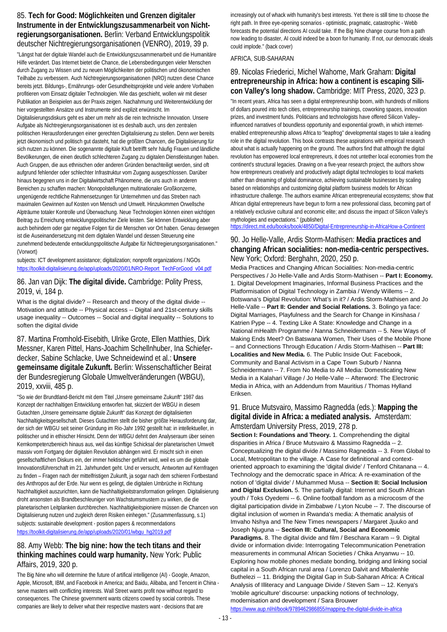### 85. **Tech for Good: Möglichkeiten und Grenzen digitaler Instrumente in der Entwicklungszusammenarbeit von Nichtregierungsorganisationen.** Berlin: Verband Entwicklungspolitik deutscher Nichtregierungsorganisationen (VENRO), 2019, 39 p.

"Längst hat der digitale Wandel auch die Entwicklungszusammenarbeit und die Humanitäre Hilfe verändert. Das Internet bietet die Chance, die Lebensbedingungen vieler Menschen durch Zugang zu Wissen und zu neuen Möglichkeiten der politischen und ökonomischen Teilhabe zu verbessern. Auch Nichtregierungsorganisationen (NRO) nutzen diese Chance bereits jetzt. Bildungs-, Ernährungs- oder Gesundheitsprojekte und viele andere Vorhaben profitieren vom Einsatz digitaler Technologien. Wie das geschieht, wollen wir mit dieser Publikation an Beispielen aus der Praxis zeigen. Nachahmung und Weiterentwicklung der hier vorgestellten Ansätze und Instrumente sind explizit erwünscht. Im

Digitalisierungsdiskurs geht es aber um mehr als die rein technische Innovation. Unsere Aufgabe als Nichtregierungsorganisationen ist es deshalb auch, uns den zentralen politischen Herausforderungen einer gerechten Digitalisierung zu stellen. Denn wer bereits jetzt ökonomisch und politisch gut dasteht, hat die größten Chancen, die Digitalisierung für sich nutzen zu können. Die sogenannte digitale Kluft betrifft sehr häufig Frauen und ländliche Bevölkerungen, die einen deutlich schlechteren Zugang zu digitalen Dienstleistungen haben. Auch Gruppen, die aus ethnischen oder anderen Gründen benachteiligt werden, sind oft aufgrund fehlender oder schlechter Infrastruktur vom Zugang ausgeschlossen. Darüber hinaus begegnen uns in der Digitalwirtschaft Phänomene, die uns auch in anderen Bereichen zu schaffen machen: Monopolstellungen multinationaler Großkonzerne, ungenügende rechtliche Rahmensetzungen für Unternehmen und das Streben nach maximalen Gewinnen auf Kosten von Mensch und Umwelt. Hinzukommen Orwellsche Alpträume totaler Kontrolle und Überwachung. Neue Technologien können einen wichtigen Beitrag zu Erreichung entwicklungspolitischer Ziele leisten. Sie können Entwicklung aber auch behindern oder gar negative Folgen für die Menschen vor Ort haben. Genau deswegen ist die Auseinandersetzung mit dem digitalen Wandel und dessen Steuerung eine zunehmend bedeutende entwcklungspolitische Aufgabe für Nichtregierungsorganisationen." (Vorwort)

subjects: ICT development assistance; digitalization; nonprofit organizations / NGOs [https://toolkit-digitalisierung.de/app/uploads/2020/01/NRO-Report\\_TechForGood\\_v04.pdf](https://toolkit-digitalisierung.de/app/uploads/2020/01/NRO-Report_TechForGood_v04.pdf)

86. Jan van Dijk: **The digital divide.** Cambridge: Polity Press, 2019, vi, 184 p.

What is the digital divide? -- Research and theory of the digital divide --Motivation and attitude -- Physical access -- Digital and 21st-century skills usage inequality -- Outcomes -- Social and digital inequality -- Solutions to soften the digital divide

87. Martina Fromhold-Eisebith, Ulrike Grote, Ellen Matthies, Dirk Messner, Karen Pittel, Hans-Joachim Schellnhuber, Ina Schieferdecker, Sabine Schlacke, Uwe Schneidewind et al.: **Unsere gemeinsame digitale Zukunft.** Berlin: Wissenschaftlicher Beirat der Bundesregierung Globale Umweltveränderungen (WBGU), 2019, xxviii, 485 p.

"So wie der Brundtland-Bericht mit dem Titel "Unsere gemeinsame Zukunft" 1987 das Konzept der nachhaltigen Entwicklung entworfen hat, skizziert der WBGU in diesem Gutachten "Unsere gemeinsame digitale Zukunft" das Konzept der digitalisierten Nachhaltigkeitsgesellschaft. Dieses Gutachten stellt die bisher größte Herausforderung dar, der sich der WBGU seit seiner Gründung im Rio-Jahr 1992 gestellt hat: in intellektueller, in politischer und in ethischer Hinsicht. Denn der WBGU dehnt den Analyseraum über seinen Kernkompetenzbereich hinaus aus, weil das künftige Schicksal der planetarischen Umwelt massiv vom Fortgang der digitalen Revolution abhängen wird. Er mischt sich in einen gesellschaftlichen Diskurs ein, der immer hektischer geführt wird, weil es um die globale Innovationsführerschaft im 21. Jahrhundert geht. Und er versucht, Antworten auf Kernfragen zu finden – Fragen nach der mittelfristigen Zukunft, ja sogar nach dem schieren Fortbestand des Anthropos auf der Erde. Nur wenn es gelingt, die digitalen Umbrüche in Richtung Nachhaltigkeit auszurichten, kann die Nachhaltigkeitstransformation gelingen. Digitalisierung droht ansonsten als Brandbeschleuniger von Wachstumsmustern zu wirken, die die planetarischen Leitplanken durchbrechen. Nachhaltigkeitspioniere müssen die Chancen von Digitalisierung nutzen und zugleich deren Risiken einhegen." (Zusammenfassung, s.1) subjects: sustainable development - position papers & recommendations [https://toolkit-digitalisierung.de/app/uploads/2020/01/wbgu\\_hg2019.pdf](https://toolkit-digitalisierung.de/app/uploads/2020/01/wbgu_hg2019.pdf)

#### 88. Amy Webb: **The big nine: how the tech titans and their thinking machines could warp humanity.** New York: Public Affairs, 2019, 320 p.

The Big Nine who will determine the future of artifical intelligence (AI) - Google, Amazon, Apple, Microsoft, IBM, and Facebook in America; and Baidu, Alibaba, and Tencent in China serve masters with conflicting interests. Wall Street wants profit now without regard to consequences. The Chinese government wants citizens cowed by social controls. These companies are likely to deliver what their respective masters want - decisions that are

increasingly out of whack with humanity's best interests. Yet there is still time to choose the right path. In three eye-opening scenarios - optimistic, pragmatic, catastrophic - Webb forecasts the potential directions AI could take. If the Big Nine change course from a path now leading to disaster, AI could indeed be a boon for humanity. If not, our democratic ideals could implode." (back cover)

#### AFRICA, SUB-SAHARAN

### 89. Nicolas Friederici, Michel Wahome, Mark Graham: **Digital entrepreneurship in Africa: how a continent is escaping Silicon Valley's long shadow.** Cambridge: MIT Press, 2020, 323 p.

"In recent years, Africa has seen a digital entrepreneurship boom, with hundreds of millions of dollars poured into tech cities, entrepreneurship trainings, coworking spaces, innovation prizes, and investment funds. Politicians and technologists have offered Silicon Valley– influenced narratives of boundless opportunity and exponential growth, in which internetenabled entrepreneurship allows Africa to "leapfrog" developmental stages to take a leading role in the digital revolution. This book contrasts these aspirations with empirical research about what is actually happening on the ground. The authors find that although the digital revolution has empowered local entrepreneurs, it does not untether local economies from the continent's structural legacies. Drawing on a five-year research project, the authors show how entrepreneurs creatively and productively adapt digital technologies to local markets rather than dreaming of global dominance, achieving sustainable businesses by scaling based on relationships and customizing digital platform business models for African infrastructure challenge. The authors examine African entrepreneurial ecosystems; show that African digital entrepreneurs have begun to form a new professional class, becoming part of a relatively exclusive cultural and economic elite; and discuss the impact of Silicon Valley's mythologies and expectations." (publisher)

<https://direct.mit.edu/books/book/4850/Digital-Entrepreneurship-in-AfricaHow-a-Continent>

#### 90. Jo Helle-Valle, Ardis Storm-Mathisen: **Media practices and changing African socialities: non-media-centric perspectives.**  New York; Oxford: Berghahn, 2020, 250 p.

Media Practices and Changing African Socialities: Non-media-centric Perspectives / Jo Helle-Valle and Ardis Storm-Mathisen -- **Part I: Economy.** 1. Digital Development Imaginaries, Informal Business Practices and the Platformisation of Digital Technology in Zambia / Wendy Willems -- 2. Botswana's Digital Revolution: What's in it? / Ardis Storm-Mathisen and Jo Helle-Valle -- **Part II: Gender and Social Relations.** 3. Bolingo ya face: Digital Marriages, Playfulness and the Search for Change in Kinshasa / Katrien Pype -- 4. Texting Like A State: Knowledge and Change in a National mHealth Programme / Nanna Schneidermann -- 5. New Ways of Making Ends Meet? On Batswana Women, Their Uses of the Mobile Phone – and Connections Through Education / Ardis Storm-Mathisen -- **Part III: Localities and New Media.** 6. The Public Inside Out: Facebook, Community and Banal Activism in a Cape Town Suburb / Nanna Schneidermann -- 7. From No Media to All Media: Domesticating New Media in a Kalahari Village / Jo Helle-Valle -- Afterword: The Electronic Media in Africa, with an Addendum from Mauritius / Thomas Hylland Eriksen.

#### 91. Bruce Mutsvairo, Massimo Ragnedda (eds.): **Mapping the digital divide in Africa: a mediated analysis.** Amsterdam: Amsterdam University Press, 2019, 278 p.

**Section I: Foundations and Theory.** 1. Comprehending the digital disparities in Africa / Bruce Mutsvairo & Massimo Ragnedda -- 2. Conceptualizing the digital divide / Massimo Ragnedda -- 3. From Global to Local, Metropolitan to the village. A Case for definitional and contextoriented approach to examining the 'digital divide' / Tenford Chitanana -- 4. Technology and the democratic space in Africa: A re-examination of the notion of 'digital divide' / Muhammed Musa -- **Section II: Social Inclusion and Digital Exclusion.** 5. The partially digital: Internet and South African youth / Toks Oyedemi -- 6. Online football fandom as a microcosm of the digital participation divide in Zimbabwe / Lyton Ncube -- 7. The discourse of digital inclusion of women in Rwanda's media: A thematic analysis of Imvaho Nshya and The New Times newspapers / Margaret Jjuuko and Joseph Njuguna -- **Section III: Cultural, Social and Economic Paradigms.** 8. The digital divide and film / Beschara Karam -- 9. Digital divide or information divide: Interrogating Telecommunication Penetration measurements in communal African Societies / Chika Anyanwu -- 10. Exploring how mobile phones mediate bonding, bridging and linking social capital in a South African rural area / Lorenzo Dalvit and Mbalenhle Buthelezi -- 11. Bridging the Digital Gap in Sub-Saharan Africa: A Critical Analysis of Illiteracy and Language Divide / Steven Sam -- 12. Kenya's 'mobile agriculture' discourse: unpacking notions of technology, modernisation and development / Sara Brouwer

<https://www.aup.nl/nl/book/9789462986855/mapping-the-digital-divide-in-africa>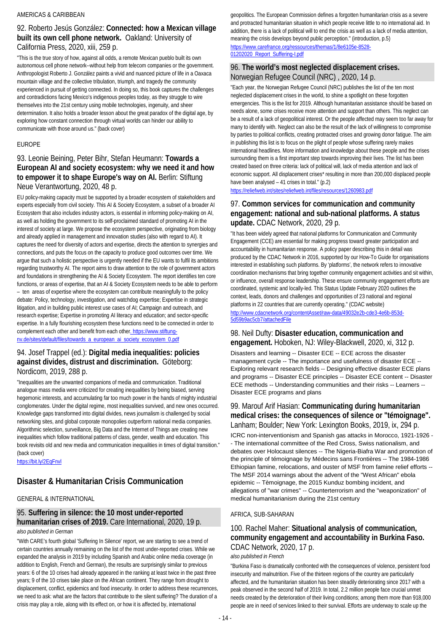#### AMERICAS & CARIBBEAN

### 92. Roberto Jesús González: **Connected: how a Mexican village built its own cell phone network.** Oakland: University of California Press, 2020, xiii, 259 p.

"This is the true story of how, against all odds, a remote Mexican pueblo built its own autonomous cell phone network--without help from telecom companies or the government. Anthropologist Roberto J. González paints a vivid and nuanced picture of life in a Oaxaca mountain village and the collective tribulation, triumph, and tragedy the community experienced in pursuit of getting connected. In doing so, this book captures the challenges and contradictions facing Mexico's indigenous peoples today, as they struggle to wire themselves into the 21st century using mobile technologies, ingenuity, and sheer determination. It also holds a broader lesson about the great paradox of the digital age, by exploring how constant connection through virtual worlds can hinder our ability to communicate with those around us." (back cover)

#### EUROPE

### 93. Leonie Beining, Peter Bihr, Stefan Heumann: **Towards a European AI and society ecosystem: why we need it and how to empower it to shape Europe's way on AI.** Berlin: Stiftung Neue Verantwortung, 2020, 48 p.

EU policy-making capacity must be supported by a broader ecosystem of stakeholders and experts especially from civil society. This AI & Society Ecosystem, a subset of a broader AI Ecosystem that also includes industry actors, is essential in informing policy-making on AI, as well as holding the government to its self-proclaimed standard of promoting AI in the interest of society at large. We propose the ecosystem perspective, originating from biology and already applied in management and innovation studies (also with regard to AI). It captures the need for diversity of actors and expertise, directs the attention to synergies and connections, and puts the focus on the capacity to produce good outcomes over time. We argue that such a holistic perspective is urgently needed if the EU wants to fulfil its ambitions regarding trustworthy AI. The report aims to draw attention to the role of government actors and foundations in strengthening the AI & Society Ecosystem. The report identifies ten core functions, or areas of expertise, that an AI & Society Ecosystem needs to be able to perform – ten areas of expertise where the ecosystem can contribute meaningfully to the policy debate: Policy, technology, investigation, and watchdog expertise; Expertise in strategic litigation, and in building public interest use cases of AI; Campaign and outreach, and research expertise; Expertise in promoting AI literacy and education; and sector-specific expertise. In a fully flourishing ecosystem these functions need to be connected in order to complement each other and benefit from each other. https://www.stiftungnv.de/sites/default/files/towards\_a\_european\_ai\_society\_ecosystem\_0.pdf

### 94. Josef Trappel (ed.): **Digital media inequalities: policies against divides, distrust and discrimination.** Göteborg: Nordicom, 2019, 288 p.

"Inequalities are the unwanted companions of media and communication. Traditional analogue mass media were criticized for creating inequalities by being biased, serving hegemonic interests, and accumulating far too much power in the hands of mighty industrial conglomerates. Under the digital regime, most inequalities survived, and new ones occurred. Knowledge gaps transformed into digital divides, news journalism is challenged by social networking sites, and global corporate monopolies outperform national media companies. Algorithmic selection, surveillance, Big Data and the Internet of Things are creating new inequalities which follow traditional patterns of class, gender, wealth and education. This book revisits old and new media and communication inequalities in times of digital transition." (back cover)

<https://bit.ly/2EqFnvl>

### **Disaster & Humanitarian Crisis Communication**

#### GENERAL & INTERNATIONAL

#### 95. **Suffering in silence: the 10 most under-reported humanitarian crises of 2019.** Care International, 2020, 19 p. *also published in German*

"With CARE's fourth global 'Suffering In Silence' report, we are starting to see a trend of certain countries annually remaining on the list of the most under-reported crises. While we expanded the analysis in 2019 by including Spanish and Arabic online media coverage (in addition to English, French and German), the results are surprisingly similar to previous years: 6 of the 10 crises had already appeared in the ranking at least twice in the past three years; 9 of the 10 crises take place on the African continent. They range from drought to displacement, conflict, epidemics and food insecurity. In order to address these recurrences, we need to ask: what are the factors that contribute to the silent suffering? The duration of a crisis may play a role, along with its effect on, or how it is affected by, international

geopolitics. The European Commission defines a forgotten humanitarian crisis as a severe and protracted humanitarian situation in which people receive little to no international aid. In addition, there is a lack of political will to end the crisis as well as a lack of media attention, meaning the crisis develops beyond public perception." (introduction, p.5) [https://www.carefrance.org/ressources/themas/1/8e6105e-8528-](https://www.carefrance.org/ressources/themas/1/8e6105e-8528-01202020_Report_Suffering-I.pdf) [01202020\\_Report\\_Suffering-I.pdf](https://www.carefrance.org/ressources/themas/1/8e6105e-8528-01202020_Report_Suffering-I.pdf)

#### 96. **The world's most neglected displacement crises.**  Norwegian Refugee Council (NRC) , 2020, 14 p.

"Each year, the Norwegian Refugee Council (NRC) publishes the list of the ten most neglected displacement crises in the world, to shine a spotlight on these forgotten emergencies. This is the list for 2019. Although humanitarian assistance should be based on needs alone, some crises receive more attention and support than others. This neglect can be a result of a lack of geopolitical interest. Or the people affected may seem too far away for many to identify with. Neglect can also be the result of the lack of willingness to compromise by parties to political conflicts, creating protracted crises and growing donor fatigue. The aim in publishing this list is to focus on the plight of people whose suffering rarely makes international headlines. More information and knowledge about these people and the crises surrounding them is a first important step towards improving their lives. The list has been created based on three criteria: lack of political will, lack of media attention and lack of economic support. All displacement crises\* resulting in more than 200,000 displaced people have been analysed – 41 crises in total." (p.2)

<https://reliefweb.int/sites/reliefweb.int/files/resources/1260983.pdf>

### 97. **Common services for communication and community engagement: national and sub-national platforms. A status update.** CDAC Network, 2020, 29 p.

"It has been widely agreed that national platforms for Communication and Community Engagement (CCE) are essential for making progress toward greater participation and accountability in humanitarian response. A policy paper describing this in detail was produced by the CDAC Network in 2016, supported by our How-To Guide for organisations interested in establishing such platforms. By 'platforms', the network refers to innovative coordination mechanisms that bring together community engagement activities and sit within, or influence, overall response leadership. These ensure community engagement efforts are coordinated, systemic and locally-led. This Status Update February 2020 outlines the context, leads, donors and challenges and opportunities of 23 national and regional platforms in 22 countries that are currently operating." (CDAC website)

[http://www.cdacnetwork.org/contentAsset/raw-data/49032e2b-cde3-4e6b-853d-](http://www.cdacnetwork.org/contentAsset/raw-data/49032e2b-cde3-4e6b-853d-5d59b9ac5cb7/attachedFile)[5d59b9ac5cb7/attachedFile](http://www.cdacnetwork.org/contentAsset/raw-data/49032e2b-cde3-4e6b-853d-5d59b9ac5cb7/attachedFile)

#### 98. Neil Dufty: **Disaster education, communication and engagement.** Hoboken, NJ: Wiley-Blackwell, 2020, xi, 312 p.

Disasters and learning -- Disaster ECE -- ECE across the disaster management cycle -- The importance and usefulness of disaster ECE -- Exploring relevant research fields -- Designing effective disaster ECE plans and programs -- Disaster ECE principles -- Disaster ECE content -- Disaster ECE methods -- Understanding communities and their risks -- Learners -- Disaster ECE programs and plans

### 99. Marouf Arif Hasian: **Communicating during humanitarian medical crises: the consequences of silence or "témoignage".**  Lanham; Boulder; New York: Lexington Books, 2019, ix, 294 p.

ICRC non-interventionism and Spanish gas attacks in Morocco, 1921-1926 - - The international committee of the Red Cross, Swiss nationalism, and debates over Holocaust silences -- The Nigeria-Biafra War and promotion of the principle of témoignage by Médecins sans Frontières -- The 1984-1986 Ethiopian famine, relocations, and ouster of MSF from famine relief efforts -- The MSF 2014 warnings about the advent of the "West African" ebola epidemic -- Tèmoignage, the 2015 Kunduz bombing incident, and allegations of "war crimes" -- Counterterrorism and the "weaponization" of medical humanitarianism during the 21st century

#### AFRICA, SUB-SAHARAN

### 100. Rachel Maher: **Situational analysis of communication, community engagement and accountability in Burkina Faso.**  CDAC Network, 2020, 17 p.

#### *also published in French*

"Burkina Faso is dramatically confronted with the consequences of violence, persistent food insecurity and malnutrition. Five of the thirteen regions of the country are particularly affected, and the humanitarian situation has been steadily deteriorating since 2017 with a peak observed in the second half of 2019. In total, 2.2 million people face crucial unmet needs created by the deterioration of their living conditions; among them more than 918,000 people are in need of services linked to their survival. Efforts are underway to scale up the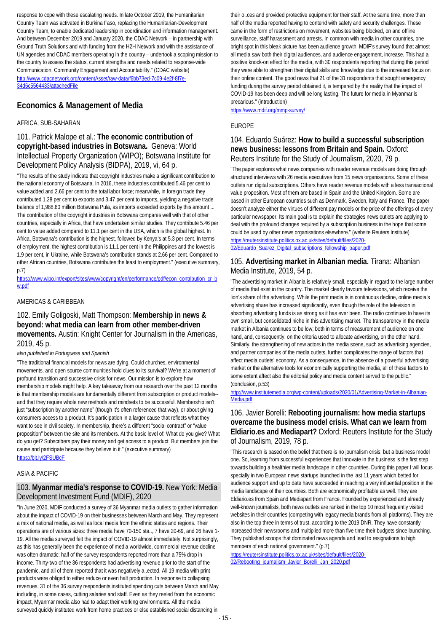response to cope with these escalating needs. In late October 2019, the Humanitarian Country Team was activated in Burkina Faso, replacing the Humanitarian-Development Country Team, to enable dedicated leadership in coordination and information management. And between December 2019 and January 2020, the CDAC Network – in partnership with Ground Truth Solutions and with funding from the H2H Network and with the assistance of UN agencies and CDAC members operating in the country – undertook a scoping mission to the country to assess the status, current strengths and needs related to response-wide Communication, Community Engagement and Accountability." (CDAC website) [http://www.cdacnetwork.org/contentAsset/raw-data/f6bb73ed-7c09-4e2f-8f7e-](http://www.cdacnetwork.org/contentAsset/raw-data/f6bb73ed-7c09-4e2f-8f7e-34d6c5564433/attachedFile)[34d6c5564433/attachedFile](http://www.cdacnetwork.org/contentAsset/raw-data/f6bb73ed-7c09-4e2f-8f7e-34d6c5564433/attachedFile)

### **Economics & Management of Media**

#### AFRICA, SUB-SAHARAN

#### 101. Patrick Malope et al.: **The economic contribution of copyright-based industries in Botswana.** Geneva: World Intellectual Property Organization (WIPO); Botswana Institute for Development Policy Analysis (BIDPA), 2019, vi, 64 p.

"The results of the study indicate that copyright industries make a significant contribution to the national economy of Botswana. In 2016, these industries contributed 5.46 per cent to value added and 2.66 per cent to the total labor force; meanwhile, in foreign trade they contributed 1.28 per cent to exports and 3.47 per cent to imports, yielding a negative trade balance of 1,988.80 million Botswana Pula, as imports exceeded exports by this amount ... The contribution of the copyright industries in Botswana compares well with that of other countries, especially in Africa, that have undertaken similar studies. They contribute 5.46 per cent to value added compared to 11.1 per cent in the USA, which is the global highest. In Africa, Botswana's contribution is the highest, followed by Kenya's at 5.3 per cent. In terms of employment, the highest contribution is 11.1 per cent in the Philippines and the lowest is 1.9 per cent, in Ukraine, while Botswana's contribution stands at 2.66 per cent. Compared to other African countries, Botswana contributes the least to employment." (executive summary, p.7)

#### [https://www.wipo.int/export/sites/www/copyright/en/performance/pdf/econ\\_contribution\\_cr\\_b](https://www.wipo.int/export/sites/www/copyright/en/performance/pdf/econ_contribution_cr_bw.pdf) [w.pdf](https://www.wipo.int/export/sites/www/copyright/en/performance/pdf/econ_contribution_cr_bw.pdf)

#### AMERICAS & CARIBBEAN

102. Emily Goligoski, Matt Thompson: **Membership in news & beyond: what media can learn from other member-driven movements.** Austin: Knight Center for Journalism in the Americas, 2019, 45 p.

*also published in Portuguese and Spanish*

"The traditional financial models for news are dying. Could churches, environmental movements, and open source communities hold clues to its survival? We're at a moment of profound transition and successive crisis for news. Our mission is to explore how membership models might help. A key takeaway from our research over the past 12 months is that membership models are fundamentally different from subscription or product models- and that they require whole new methods and mindsets to be successful. Membership isn't just "subscription by another name" (though it's often referenced that way), or about giving consumers access to a product. It's participation in a larger cause that reflects what they want to see in civil society. In membership, there's a different "social contract" or "value proposition" between the site and its members. At the basic level of: What do you give? What do you get? Subscribers pay their money and get access to a product. But members join the cause and participate because they believe in it." (executive summary) <https://bit.ly/2FSUBcF>

#### ASIA & PACIFIC

#### 103. **Myanmar media's response to COVID-19.** New York: Media Development Investment Fund (MDIF), 2020

"In June 2020, MDIF conducted a survey of 36 Myanmar media outlets to gather information about the impact of COVID-19 on their businesses between March and May. They represent a mix of national media, as well as local media from the ethnic states and regions. Their operations are of various sizes: three media have 70-150 sta.., 7 have 20-69, and 26 have 1- 19. All the media surveyed felt the impact of COVID-19 almost immediately. Not surprisingly, as this has generally been the experience of media worldwide, commercial revenue decline was often dramatic: half of the survey respondents reported more than a 75% drop in income. Thirty-two of the 36 respondents had advertising revenue prior to the start of the pandemic, and all of them reported that it was negatively a..ected. All 19 media with print products were obliged to either reduce or even halt production. In response to collapsing revenues, 31 of the 36 survey respondents instituted spending cuts between March and May including, in some cases, cutting salaries and staff. Even as they reeled from the economic impact, Myanmar media also had to adapt their working environments. All the media surveyed quickly instituted work from home practices or else established social distancing in

their o..ces and provided protective equipment for their staff. At the same time, more than half of the media reported having to contend with safety and security challenges. These came in the form of restrictions on movement, websites being blocked, on and offline surveillance, staff harassment and arrests. In common with media in other countries, one bright spot in this bleak picture has been audience growth. MDIF's survey found that almost all media saw both their digital audiences, and audience engagement, increase. This had a positive knock-on effect for the media, with 30 respondents reporting that during this period they were able to strengthen their digital skills and knowledge due to the increased focus on their online content. The good news that 21 of the 31 respondents that sought emergency funding during the survey period obtained it, is tempered by the reality that the impact of COVID-19 has been deep and will be long lasting. The future for media in Myanmar is precarious." (introduction)

<https://www.mdif.org/mmp-survey/>

#### EUROPE

#### 104. Eduardo Suárez: **How to build a successful subscription news business: lessons from Britain and Spain.** Oxford: Reuters Institute for the Study of Journalism, 2020, 79 p.

"The paper explores what news companies with reader revenue models are doing through structured interviews with 26 media executives from 15 news organisations. Some of these outlets run digital subscriptions. Others have reader revenue models with a less transactional value proposition. Most of them are based in Spain and the United Kingdom. Some are based in other European countries such as Denmark, Sweden, Italy and France. The paper doesn't analyze either the virtues of different pay models or the price of the offerings of every particular newspaper. Its main goal is to explain the strategies news outlets are applying to deal with the profound changes required by a subscription business in the hope that some could be used by other news organisations elsewhere." (website Reuters Institute) [https://reutersinstitute.politics.ox.ac.uk/sites/default/files/2020-](https://reutersinstitute.politics.ox.ac.uk/sites/default/files/2020-02/Eduardo_Suarez_Digital_subscriptions_fellowship_paper.pdf) [02/Eduardo\\_Suarez\\_Digital\\_subscriptions\\_fellowship\\_paper.pdf](https://reutersinstitute.politics.ox.ac.uk/sites/default/files/2020-02/Eduardo_Suarez_Digital_subscriptions_fellowship_paper.pdf)

#### 105. **Advertising market in Albanian media.** Tirana: Albanian Media Institute, 2019, 54 p.

"The advertising market in Albania is relatively small, especially in regard to the large number of media that exist in the country. The market clearly favours televisions, which receive the lion's share of the advertising. While the print media is in continuous decline, online media's advertising share has increased significantly, even though the role of the television in absorbing advertising funds is as strong as it has ever been. The radio continues to have its own small, but consolidated niche in this advertising market. The transparency in the media market in Albania continues to be low; both in terms of measurement of audience on one hand, and, consequently, on the criteria used to allocate advertising, on the other hand. Similarly, the strengthening of new actors in the media scene, such as advertising agencies, and partner companies of the media outlets, further complicates the range of factors that affect media outlets' economy. As a consequence, in the absence of a powerful advertising market or the alternative tools for economically supporting the media, all of these factors to some extent affect also the editorial policy and media content served to the public." (conclusion, p.53)

[http://www.institutemedia.org/wp-content/uploads/2020/01/Advertising-Market-in-Albanian-](http://www.institutemedia.org/wp-content/uploads/2020/01/Advertising-Market-in-Albanian-Media.pdf)[Media.pdf](http://www.institutemedia.org/wp-content/uploads/2020/01/Advertising-Market-in-Albanian-Media.pdf)

### 106. Javier Borelli: **Rebooting journalism: how media startups overcame the business model crisis. What can we learn from Eldiario.es and Mediapart?** Oxford: Reuters Institute for the Study of Journalism, 2019, 78 p.

"This research is based on the belief that there is no journalism crisis, but a business model one. So, learning from successful experiences that innovate in the business is the first step towards building a healthier media landscape in other countries. During this paper I will focus specially in two European news startups launched in the last 11 years which betted for audience support and up to date have succeeded in reaching a very influential position in the media landscape of their countries. Both are economically profitable as well. They are Eldiario.es from Spain and Mediapart from France. Founded by experienced and already well-known journalists, both news outlets are ranked in the top 10 most frequently visited websites in their countries (competing with legacy media brands from all platforms). They are also in the top three in terms of trust, according to the 2019 DNR. They have constantly increased their newsrooms and multiplied more than five time their budgets since launching. They published scoops that dominated news agenda and lead to resignations to high members of each national government." (p.7)

[https://reutersinstitute.politics.ox.ac.uk/sites/default/files/2020-](https://reutersinstitute.politics.ox.ac.uk/sites/default/files/2020-02/Rebooting_journalism_Javier_Borelli_Jan_2020.pdf) [02/Rebooting\\_journalism\\_Javier\\_Borelli\\_Jan\\_2020.pdf](https://reutersinstitute.politics.ox.ac.uk/sites/default/files/2020-02/Rebooting_journalism_Javier_Borelli_Jan_2020.pdf)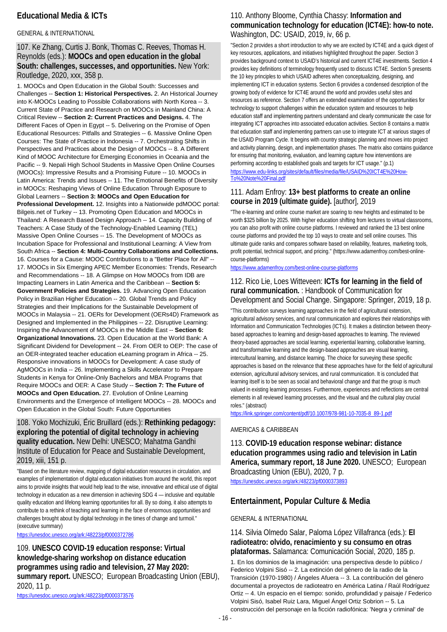### **Educational Media & ICTs**

#### GENERAL & INTERNATIONAL

107. Ke Zhang, Curtis J. Bonk, Thomas C. Reeves, Thomas H. Reynolds (eds.): **MOOCs and open education in the global South: challenges, successes, and opportunities.** New York: Routledge, 2020, xxx, 358 p.

1. MOOCs and Open Education in the Global South: Successes and Challenges -- **Section 1: Historical Perspectives.** 2. An Historical Journey into K-MOOCs Leading to Possible Collaborations with North Korea -- 3. Current State of Practice and Research on MOOCs in Mainland China: A Critical Review -- **Section 2: Current Practices and Designs.** 4. The Different Faces of Open in Egypt -- 5. Delivering on the Promise of Open Educational Resources: Pitfalls and Strategies -- 6. Massive Online Open Courses: The State of Practice in Indonesia -- 7. Orchestrating Shifts in Perspectives and Practices about the Design of MOOCs -- 8. A Different Kind of MOOC Architecture for Emerging Economies in Oceania and the Pacific -- 9. Nepali High School Students in Massive Open Online Courses (MOOCs): Impressive Results and a Promising Future -- 10. MOOCs in Latin America: Trends and Issues -- 11. The Emotional Benefits of Diversity in MOOCs: Reshaping Views of Online Education Through Exposure to Global Learners -- **Section 3: MOOCs and Open Education for Professional Development.** 12. Insights into a Nationwide pdMOOC portal: Bilgeis.net of Turkey -- 13. Promoting Open Education and MOOCs in Thailand: A Research Based Design Approach -- 14. Capacity Building of Teachers: A Case Study of the Technology-Enabled Learning (TEL) Massive Open Online Courses -- 15. The Development of MOOCs as Incubation Space for Professional and Institutional Learning: A View from South Africa -- **Section 4: Multi-Country Collaborations and Collections.** 16. Courses for a Cause: MOOC Contributions to a "Better Place for All" -- 17. MOOCs in Six Emerging APEC Member Economies: Trends, Research and Recommendations -- 18. A Glimpse on How MOOCs from IDB are Impacting Learners in Latin America and the Caribbean -- **Section 5: Government Policies and Strategies.** 19. Advancing Open Education Policy in Brazilian Higher Education -- 20. Global Trends and Policy Strategies and their Implications for the Sustainable Development of MOOCs in Malaysia -- 21. OERs for Development (OERs4D) Framework as Designed and Implemented in the Philippines -- 22. Disruptive Learning: Inspiring the Advancement of MOOCs in the Middle East -- **Section 6: Organizational Innovations.** 23. Open Education at the World Bank: A Significant Dividend for Development -- 24. From OER to OEP: The case of an OER-integrated teacher education eLearning program in Africa -- 25. Responsive innovations in MOOCs for Development: A case study of AgMOOCs in India -- 26. Implementing a Skills Accelerator to Prepare Students in Kenya for Online-Only Bachelors and MBA Programs that Require MOOCs and OER: A Case Study -- **Section 7: The Future of MOOCs and Open Education.** 27. Evolution of Online Learning Environments and the Emergence of Intelligent MOOCs -- 28. MOOCs and Open Education in the Global South: Future Opportunities

### 108. Yoko Mochizuki, Éric Bruillard (eds.): **Rethinking pedagogy: exploring the potential of digital technology in achieving quality education.** New Delhi: UNESCO; Mahatma Gandhi Institute of Education for Peace and Sustainable Development, 2019, xiii, 151 p.

"Based on the literature review, mapping of digital education resources in circulation, and examples of implementation of digital education initiatives from around the world, this report aims to provide insights that would help lead to the wise, innovative and ethical use of digital technology in education as a new dimension in achieving SDG 4 — inclusive and equitable quality education and lifelong learning opportunities for all. By so doing, it also attempts to contribute to a rethink of teaching and learning in the face of enormous opportunities and challenges brought about by digital technology in the times of change and turmoil." (executive summary)

<https://unesdoc.unesco.org/ark:/48223/pf0000372786>

109. **UNESCO COVID-19 education response: Virtual knowledge-sharing workshop on distance education programmes using radio and television, 27 May 2020: summary report.** UNESCO; European Broadcasting Union (EBU), 2020, 11 p.

<https://unesdoc.unesco.org/ark:/48223/pf0000373576>

### 110. Anthony Bloome, Cynthia Chassy: **Information and communication technology for education (ICT4E): how-to note.**  Washington, DC: USAID, 2019, iv, 66 p.

"Section 2 provides a short introduction to why we are excited by ICT4E and a quick digest of key resources, applications, and initiatives highlighted throughout the paper. Section 3 provides background context to USAID's historical and current ICT4E investments. Section 4 provides key definitions of terminology frequently used to discuss ICT4E. Section 5 presents the 10 key principles to which USAID adheres when conceptualizing, designing, and implementing ICT in education systems. Section 6 provides a condensed description of the growing body of evidence for ICT4E around the world and provides useful sites and resources as reference. Section 7 offers an extended examination of the opportunities for technology to support challenges within the education system and resources to help education staff and implementing partners understand and clearly communicate the case for integrating ICT approaches into associated education activities. Section 8 contains a matrix that education staff and implementing partners can use to integrate ICT at various stages of the USAID Program Cycle. It begins with country strategic planning and moves into project and activity planning, design, and implementation phases. The matrix also contains guidance for ensuring that monitoring, evaluation, and learning capture how interventions are performing according to established goals and targets for ICT usage." (p.1) [https://www.edu-links.org/sites/default/files/media/file/USAID%20ICT4E%20How-](https://www.edu-links.org/sites/default/files/media/file/USAID%20ICT4E%20How-To%20Note%20Final.pdf)[To%20Note%20Final.pdf](https://www.edu-links.org/sites/default/files/media/file/USAID%20ICT4E%20How-To%20Note%20Final.pdf)

#### 111. Adam Enfroy: **13+ best platforms to create an online course in 2019 (ultimate guide).** [author], 2019

"The e-learning and online course market are soaring to new heights and estimated to be worth \$325 billion by 2025. With higher education shifting from lectures to virtual classrooms, you can also profit with online course platforms. I reviewed and ranked the 13 best online course platforms and provided the top 10 ways to create and sell online courses. This ultimate guide ranks and compares software based on reliability, features, marketing tools, profit potential, technical support, and pricing." (https://www.adamenfroy.com/best-onlinecourse-platforms)

<https://www.adamenfroy.com/best-online-course-platforms>

#### 112. Rico Lie, Loes Witteveen: **ICTs for learning in the field of rural communication.** : Handbook of Communication for Development and Social Change. Singapore: Springer, 2019, 18 p.

"This contribution surveys learning approaches in the field of agricultural extension, agricultural advisory services, and rural communication and explores their relationships with Information and Communication Technologies (ICTs). It makes a distinction between theorybased approaches to learning and design-based approaches to learning. The reviewed theory-based approaches are social learning, experiential learning, collaborative learning, and transformative learning and the design-based approaches are visual learning, intercultural learning, and distance learning. The choice for surveying these specific approaches is based on the relevance that these approaches have for the field of agricultural extension, agricultural advisory services, and rural communication. It is concluded that learning itself is to be seen as social and behavioral change and that the group is much valued in existing learning processes. Furthermore, experiences and reflections are central elements in all reviewed learning processes, and the visual and the cultural play crucial roles." (abstract)

[https://link.springer.com/content/pdf/10.1007/978-981-10-7035-8\\_89-1.pdf](https://link.springer.com/content/pdf/10.1007/978-981-10-7035-8_89-1.pdf)

#### AMERICAS & CARIBBEAN

113. **COVID-19 education response webinar: distance education programmes using radio and television in Latin America, summary report, 18 June 2020.** UNESCO; European Broadcasting Union (EBU), 2020, 7 p.

<https://unesdoc.unesco.org/ark:/48223/pf0000373893>

#### **Entertainment, Popular Culture & Media**

#### GENERAL & INTERNATIONAL

114. Silvia Olmedo Salar, Paloma López Villafranca (eds.): **El radioteatro: olvido, renacimiento y su consumo en otras plataformas.** Salamanca: Comunicación Social, 2020, 185 p.

1. En los dominios de la imaginación: una perspectiva desde lo público / Federico Volpini Sisó -- 2. La extinción del género de la radio de la Transición (1970-1980) / Ángeles Afuera -- 3. La contribución del género documental a proyectos de radioteatro en América Latina / Raúl Rodríguez Ortiz -- 4. Un espacio en el tiempo: sonido, profundidad y paisaje / Federico Volpini Sisó, Isabel Ruiz Lara, Miguel Ángel Ortiz Sobrion -- 5. La construcción del personaje en la ficción radiofónica: 'Negra y criminal' de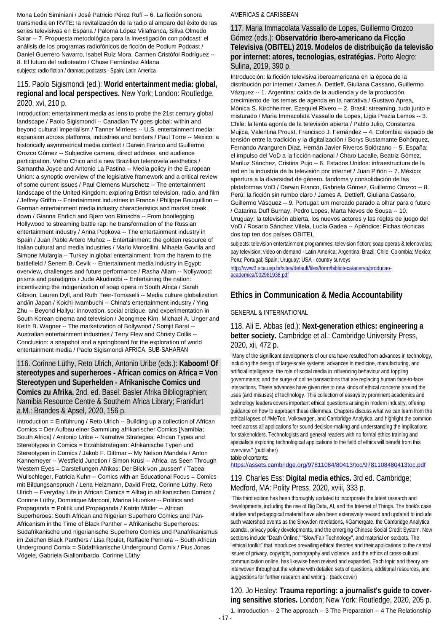Mona León Siminiani / José Patricio Pérez Rufí -- 6. La ficción sonora transmedia en RVTE: la revitalización de la radio al amparo del éxito de las series televisivas en Espana / Paloma López Viilafranca, Siliva Olmedo Salar -- 7. Propuesta metodológica para la investigación con pódcast: el análisis de los programas radiofónicos de ficción de Podium Podcast / Daniel Guerrero Navarro, Isabel Ruiz Mora, Carmen Cristófol Rodríguez -- 8. El futuro del radioteatro / Chuse Fernández Aldana subjects: radio fiction / dramas; podcasts - Spain; Latin America

#### 115. Paolo Sigismondi (ed.): **World entertainment media: global, regional and local perspectives.** New York; London: Routledge, 2020, xvi, 210 p.

Introduction: entertainment media as lens to probe the 21st century global landscape / Paolo Sigismondi -- Canadian TV goes global: within and beyond cultural imperialism / Tanner Mirrlees -- U.S. entertainment media: expansion across platforms, industries and borders / Paul Torre -- Mexico: a historically asymmetrical media context / Darwin Franco and Guillermo Orozco Gómez -- Subjective camera, direct address, and audience participation. Velho Chico and a new Brazilian telenovela aesthetics / Samantha Joyce and Antonio La Pastina -- Media policy in the European Union: a synoptic overview of the legislative framework and a critical review of some current issues / Paul Clemens Murschetz -- The entertainment landscape of the United Kingdom: exploring British television, radio, and film / Jeffrey Griffin -- Entertainment industries in France / Philippe Bouquillion -- German entertainment media industry characteristics and market break down / Gianna Ehrlich and Bjørn von Rimscha -- From bootlegging Hollywood to streaming battle rap: he transformation of the Russian entertainment industry / Anna Popkova -- The entertainment industry in Spain / Juan Pablo Artero Muñoz -- Entertainment: the golden resource of Italian cultural and media industries / Mario Morcellini, Mihaela Gavrila and Simone Mulargia -- Turkey in global entertainment: from the harem to the battlefield / Senem B. Cevik -- Entertainment media industry in Egypt: overview, challenges and future performance / Rasha Allam -- Nollywood: prisms and paradigms / Jude Akudinobi -- Entertaining the nation: incentivizing the indigenization of soap opera in South Africa / Sarah Gibson, Lauren Dyll, and Ruth Teer-Tomaselli -- Media culture globalization and/in Japan / Koichi Iwambuchi -- China's entertainment industry / Ying Zhu -- Beyond Hallyu: innovation, social crizique, and experimentation in South Korean cinema and television / Jeongmee Kim, Michael A. Unger and Keith B. Wagner -- The marketization of Bollywood / Somjit Barat -- Australian entertainment industries / Terry Flew and Christy Collis -- Conclusion: a snapshot and a springboard for the exploration of world entertainment media / Paolo Sigismondi AFRICA, SUB-SAHARAN

### 116. Corinne Lüthy, Reto Ulrich, Antonio Uribe (eds.): **Kaboom! Of stereotypes and superheroes - African comics on Africa = Von Stereotypen und Superhelden - Afrikanische Comics und Comics zu Afrika.** 2nd. ed. Basel: Basler Afrika Bibliographien; Namibia Resource Centre & Southern Africa Library; Frankfurt a.M.: Brandes & Apsel, 2020, 156 p.

Introduction = Einführung / Reto Ulrich -- Building up a collection of African Comics = Der Aufbau einer Sammlung afrikanischer Comics [Namibia; South Africa] / Antonio Uribe -- Narrative Strategies: African Types and Stereotypes in Comics = Erzählstrategien: Afrikanische Typen und Stereotypen in Comics / Jakob F. Dittmar -- My Nelson Mandela / Anton Kannemeyer -- Westfield Junction / Simon Krüsi -- Africa, as Seen Through Western Eyes = Darstellungen Afrikas: Der Blick von "aussen" / Tabea Wullschleger, Patricia Kuhn -- Comics with an Educational Focus = Comics mit Bildungsanspruch / Lena Heizmann, David Fretz, Corinne Lüthy, Reto Ulrich -- Everyday Life in African Comics = Alltag in afrikanischen Comics / Corinne Lüthy, Dominique Marconi, Marina Huonker -- Politics and Propaganda = Politik und Propaganda / Katrin Müller -- African Superheroes: South African and Nigerian Superhero Comics and Pan-Africanism in the Time of Black Panther = Afrikanische Superheroes: Südafrikanische und nigerianische Superhero Comics und Panafrikanismus im Zeichen Black Panthers / Lisa Roulet, Raffaele Perniola -- South African Underground Comix = Südafrikanische Underground Comix / Pius Jonas Vögele, Gabriela Giallombardo, Corinne Lüthy

#### AMERICAS & CARIBBEAN

#### 117. Maria Immacolata Vassallo de Lopes, Guillermo Orozco Gómez (eds.): **Observatório Ibero-americano da Ficção Televisiva (OBITEL) 2019. Modelos de distribuição da televisão por internet: atores, tecnologias, estratégias.** Porto Alegre: Sulina, 2019, 390 p.

Introducción: la ficción televisiva iberoamericana en la época de la distribución por internet / James A. Dettleff, Giuliana Cassano, Guillermo Vázquez -- 1. Argentina: caída de la audiencia y de la producción, crecimiento de los temas de agenda en la narrativa / Gustavo Aprea, Mónica S. Kirchheimer, Ezequiel Rivero -- 2. Brasil: streaming, tudo junto e misturado / Maria Immacolata Vassallo de Lopes, Ligia Prezia Lemos -- 3. Chile: la lenta agonía de la televisión abierta / Pablo Julio, Constanza Mujica, Valentina Proust, Francisco J. Fernández -- 4. Colombia: espacio de tensión entre la tradición y la digitalización / Borys Bustamante Bohórquez, Fernando Aranguren Díaz, Hernán Javier Riveros Solórzano -- 5. España: el impulso del VoD a la ficción nacional / Charo Lacalle, Beatriz Gómez, Mariluz Sánchez, Cristina Pujo -- 6. Estados Unidos: infraestructura de la red en la industria de la televisión por internet / Juan Piñón -- 7. México: apertura a la diversidad de género, fandoms y consolidación de las plataformas VoD / Darwin Franco, Gabriela Gómez, Guillermo Orozco -- 8. Perú: la ficción sin rumbo claro / James A. Dettleff, Giuliana Cassano, Guillermo Vásquez -- 9. Portugal: um mercado parado a olhar para o futuro / Catarina Duff Burnay, Pedro Lopes, Marta Neves de Sousa -- 10. Uruguay: la televisión abierta, los nuevos actores y las reglas de juego del VoD / Rosario Sánchez Vilela, Lucía Gadea -- Apêndice: Fichas técnicas dos top ten dos países OBITEL

subjects: television entertainment programmes; television fiction; soap operas & telenovelas; pay television; video on demand - Latin America; Argentina; Brazil; Chile; Colombia; Mexico; Peru; Portugal; Spain; Uruguay; USA - country surveys

[http://www3.eca.usp.br/sites/default/files/form/biblioteca/acervo/producao](http://www3.eca.usp.br/sites/default/files/form/biblioteca/acervo/producao-academica/002981936.pdf)[academica/002981936.pdf](http://www3.eca.usp.br/sites/default/files/form/biblioteca/acervo/producao-academica/002981936.pdf)

### **Ethics in Communication & Media Accountability**

#### GENERAL & INTERNATIONAL

#### 118. Ali E. Abbas (ed.): **Next-generation ethics: engineering a better society.** Cambridge et al.: Cambridge University Press, 2020, xii, 472 p.

"Many of the significant developments of our era have resulted from advances in technology, including the design of large-scale systems; advances in medicine, manufacturing, and artificial intelligence; the role of social media in influencing behaviour and toppling governments; and the surge of online transactions that are replacing human face-to-face interactions. These advances have given rise to new kinds of ethical concerns around the uses (and misuses) of technology. This collection of essays by prominent academics and technology leaders covers important ethical questions arising in modern industry, offering guidance on how to approach these dilemmas. Chapters discuss what we can learn from the ethical lapses of #MeToo, Volkswagen, and Cambridge Analytica, and highlight the common need across all applications for sound decision-making and understanding the implications for stakeholders. Technologists and general readers with no formal ethics training and specialists exploring technological applications to the field of ethics will benefit from this overview." (publisher)

table of contents:

<https://assets.cambridge.org/97811084/80413/toc/9781108480413toc.pdf>

### 119. Charles Ess: **Digital media ethics.** 3rd ed. Cambridge; Medford, MA: Polity Press, 2020, xviii, 333 p.

"This third edition has been thoroughly updated to incorporate the latest research and developments, including the rise of Big Data, AI, and the Internet of Things. The book's case studies and pedagogical material have also been extensively revised and updated to include such watershed events as the Snowden revelations, #Gamergate, the Cambridge Analytica scandal, privacy policy developments, and the emerging Chinese Social Credit System. New sections include "Death Online," "Slow/Fair Technology", and material on sexbots. The "ethical toolkit" that introduces prevailing ethical theories and their applications to the central issues of privacy, copyright, pornography and violence, and the ethics of cross-cultural communication online, has likewise been revised and expanded. Each topic and theory are interwoven throughout the volume with detailed sets of questions, additional resources, and suggestions for further research and writing." (back cover)

120. Jo Healey: **Trauma reporting: a journalist's guide to covering sensitive stories.** London; New York: Routledge, 2020, 205 p.

1. Introduction -- 2 The approach -- 3 The Preparation -- 4 The Relationship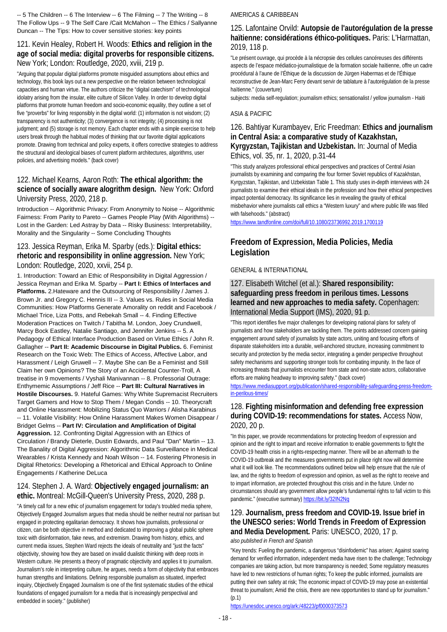-- 5 The Children -- 6 The Interview -- 6 The Filming -- 7 The Writing -- 8 The Follow Ups -- 9 The Self Care /Cait McMahon -- The Ethics / Sallyanne Duncan -- The Tips: How to cover sensitive stories: key points

### 121. Kevin Healey, Robert H. Woods: **Ethics and religion in the age of social media: digital proverbs for responsible citizens.**  New York; London: Routledge, 2020, xviii, 219 p.

"Arguing that popular digital platforms promote misguided assumptions about ethics and technology, this book lays out a new perspective on the relation between technological capacities and human virtue. The authors criticize the "digital catechism" of technological idolatry arising from the insular, elite culture of Silicon Valley. In order to develop digital platforms that promote human freedom and socio-economic equality, they outline a set of five "proverbs" for living responsibly in the digital world: (1) information is not wisdom; (2) transparency is not authenticity; (3) convergence is not integrity; (4) processing is not judgment; and (5) storage is not memory. Each chapter ends with a simple exercise to help users break through the habitual modes of thinking that our favorite digital applications promote. Drawing from technical and policy experts, it offers corrective strategies to address the structural and ideological biases of current platform architectures, algorithms, user policies, and advertising models." (back cover)

### 122. Michael Kearns, Aaron Roth: **The ethical algorithm: the science of socially aware alogrithm design.** New York: Oxford University Press, 2020, 218 p.

Introduction -- Algorithmic Privacy: From Anonymity to Noise -- Algorithmic Fairness: From Parity to Pareto -- Games People Play (With Algorithms) -- Lost in the Garden: Led Astray by Data -- Risky Business: Interpretability, Morality and the Singularity -- Some Concluding Thoughts

### 123. Jessica Reyman, Erika M. Sparby (eds.): **Digital ethics: rhetoric and responsibility in online aggression.** New York; London: Routledge, 2020, xxvii, 254 p.

1. Introduction: Toward an Ethic of Responsibility in Digital Aggression / Jessica Reyman and Erika M. Sparby -- **Part I: Ethics of Interfaces and Platforms.** 2.Hateware and the Outsourcing of Responsibility / James J. Brown Jr. and Gregory C. Hennis III -- 3. Values vs. Rules in Social Media Communities: How Platforms Generate Amorality on reddit and Facebook / Michael Trice, Liza Potts, and Rebekah Small -- 4. Finding Effective Moderation Practices on Twitch / Tabitha M. London, Joey Crundwell, Marcy Bock Eastley, Natalie Santiago, and Jennifer Jenkins -- 5. A Pedagogy of Ethical Interface Production Based on Virtue Ethics / John R. Gallagher -- **Part II: Academic Discourse in Digital Publics.** 6. Feminist Research on the Toxic Web: The Ethics of Access, Affective Labor, and Harassment / Leigh Gruwell -- 7. Maybe She can Be a Feminist and Still Claim her own Opinions? The Story of an Accidental Counter-Troll, A treatise in 9 movements / Vyshali Manivannan -- 8. Professorial Outrage: Enthymemic Assumptions / Jeff Rice -- **Part III: Cultural Narratives in Hostile Discourses.** 9. Hateful Games: Why White Supremacist Recruiters Target Gamers and How to Stop Them / Megan Condis -- 10. Theorycraft and Online Harassment: Mobilizing Status Quo Warriors / Alisha Karabinus -- 11. Volatile Visibility: How Online Harassment Makes Women Disappear / Bridget Gelms -- **Part IV: Circulation and Amplification of Digital Aggression.** 12. Confronting Digital Aggression with an Ethics of Circulation / Brandy Dieterle, Dustin Edwards, and Paul "Dan" Martin -- 13. The Banality of Digital Aggression: Algorithmic Data Surveillance in Medical Wearables / Krista Kennedy and Noah Wilson -- 14. Fostering Phronesis in Digital Rhetorics: Developing a Rhetorical and Ethical Approach to Online Engagements / Katherine DeLuca

#### 124. Stephen J. A. Ward: **Objectively engaged journalism: an ethic.** Montreal: McGill-Queen's University Press, 2020, 288 p.

"A timely call for a new ethic of journalism engagement for today's troubled media sphere, Objectively Engaged Journalism argues that media should be neither neutral nor partisan but engaged in protecting egalitarian democracy. It shows how journalists, professional or citizen, can be both objective in method and dedicated to improving a global public sphere toxic with disinformation, fake news, and extremism. Drawing from history, ethics, and current media issues, Stephen Ward rejects the ideals of neutrality and "just the facts" objectivity, showing how they are based on invalid dualistic thinking with deep roots in Western culture. He presents a theory of pragmatic objectivity and applies it to journalism. Journalism's role in interpreting culture, he argues, needs a form of objectivity that embraces human strengths and limitations. Defining responsible journalism as situated, imperfect inquiry, Objectively Engaged Journalism is one of the first systematic studies of the ethical foundations of engaged journalism for a media that is increasingly perspectival and embedded in society." (publisher)

#### AMERICAS & CARIBBEAN

### 125. Lafontaine Orvild: **Autopsie de l'autorégulation de la presse haïtienne: considérations éthico-politiques.** Paris: L'Harmattan, 2019, 118 p.

"Le présent ouvrage, qui procède à la nécropsie des cellules cancéreuses des différents aspects de l'espace médiatico-journalistique de la formation sociale haïtienne, offre un cadre procédural à l'aune de l'Éthique de la discussion de Jürgen Habermas et de l'Éthique reconstructive de Jean-Marc Ferry devant servir de tablature à l'autorégulation de la presse haïtienne." (couverture)

subjects: media self-regulation; journalism ethics; sensationalist / yellow journalism - Haiti

#### ASIA & PACIFIC

#### 126. Bahtiyar Kurambayev, Eric Freedman: **Ethics and journalism in Central Asia: a comparative study of Kazakhstan, Kyrgyzstan, Tajikistan and Uzbekistan.** In: Journal of Media Ethics, vol. 35, nr. 1, 2020, p.31-44

"This study analyzes professional ethical perspectives and practices of Central Asian journalists by examining and comparing the four former Soviet republics of Kazakhstan, Kyrgyzstan, Tajikistan, and Uzbekistan Table 1. This study uses in-depth interviews with 24 journalists to examine their ethical ideals in the profession and how their ethical perspectives impact potential democracy. Its significance lies in revealing the gravity of ethical misbehavior where journalists call ethics a "Western luxury" and where public life was filled with falsehoods." (abstract)

<https://www.tandfonline.com/doi/full/10.1080/23736992.2019.1700119>

### **Freedom of Expression, Media Policies, Media Legislation**

#### GENERAL & INTERNATIONAL

### 127. Elisabeth Witchel (et al.): **Shared responsibility: safeguarding press freedom in perilous times. Lessons learned and new approaches to media safety.** Copenhagen: International Media Support (IMS), 2020, 91 p.

"This report identifies five major challenges for developing national plans for safety of journalists and how stakeholders are tackling them. The points addressed concern gaining engagement around safety of journalists by state actors, uniting and focusing efforts of disparate stakeholders into a durable, well-anchored structure, increasing commitment to security and protection by the media sector, integrating a gender perspective throughout safety mechanisms and supporting stronger tools for combating impunity. In the face of increasing threats that journalists encounter from state and non-state actors, collaborative efforts are making headway to improving safety." (back cover)

[https://www.mediasupport.org/publication/shared-responsibility-safeguarding-press-freedom](https://www.mediasupport.org/publication/shared-responsibility-safeguarding-press-freedom-in-perilous-times/)[in-perilous-times/](https://www.mediasupport.org/publication/shared-responsibility-safeguarding-press-freedom-in-perilous-times/)

### 128. **Fighting misinformation and defending free expression during COVID-19: recommendations for states.** Access Now, 2020, 20 p.

"In this paper, we provide recommendations for protecting freedom of expression and opinion and the right to impart and receive information to enable governments to fight the COVID-19 health crisis in a rights-respecting manner. There will be an aftermath to the COVID-19 outbreak and the measures governments put in place right now will determine what it will look like. The recommendations outlined below will help ensure that the rule of law, and the rights to freedom of expression and opinion, as well as the right to receive and to impart information, are protected throughout this crisis and in the future. Under no circumstances should any government allow people's fundamental rights to fall victim to this pandemic." (executive summary[\) https://bit.ly/32IN2Nq](https://bit.ly/32IN2Nq)

### 129. **Journalism, press freedom and COVID-19. Issue brief in the UNESCO series: World Trends in Freedom of Expression and Media Development.** Paris: UNESCO, 2020, 17 p.

#### *also published in French and Spanish*

"Key trends: Fueling the pandemic, a dangerous "disinfodemic" has arisen; Against soaring demand for verified information, independent media have risen to the challenge; Technology companies are taking action, but more transparency is needed; Some regulatory measures have led to new restrictions of human rights; To keep the public informed, journalists are putting their own safety at risk; The economic impact of COVID-19 may pose an existential threat to journalism; Amid the crisis, there are new opportunities to stand up for journalism."  $(p.1)$ 

<https://unesdoc.unesco.org/ark:/48223/pf0000373573>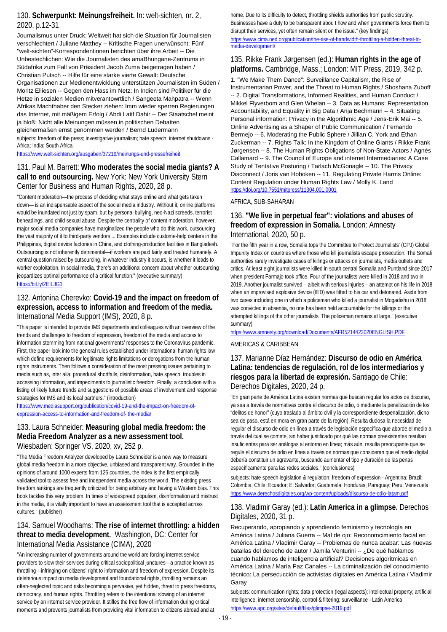### 130. **Schwerpunkt: Meinungsfreiheit.** In: welt-sichten, nr. 2, 2020, p.12-31

Journalismus unter Druck: Weltweit hat sich die Situation für Journalisten verschlechtert / Juliane Matthey -- Kritische Fragen unerwünscht: Fünf "welt-sichten"-Korrespondentinnen berichten über ihre Arbeit -- Die Unbestechlichen: Wie die Journalisten des amaBhungane-Zentrums in Südafrika zum Fall von Präsident Jacob Zuma beigetragen haben / Christian Putsch -- Hilfe für eine starke vierte Gewalt: Deutsche Organisationen zur Medienentwicklung unterstützen Journalisten im Süden / Moritz Elliesen -- Gegen den Hass im Netz: In Indien sind Politiker für die Hetze in sozialen Medien mitverantowrtlich / Sangeeta Mahpatra -- Wenn Afrikas Machthaber den Stecker ziehen: Imm wieder sperren Regierungen das Internet, mit mäßigem Erfolg / Abdi Latif Dahir -- Der Staatschef meint ja bloß: Nicht alle Meinungen müssen in politischen Debatten gleichermaßen ernst genommen werden / Bernd Ludermann

subjects: freedom of the press; investigative journalism; hate speech; internet shutdowns - Africa; India; South Africa

<https://www.welt-sichten.org/ausgaben/37219/meinungs-und-pressefreiheit>

### 131. Paul M. Barrett: **Who moderates the social media giants? A call to end outsourcing.** New York: New York University Stern Center for Business and Human Rights, 2020, 28 p.

"Content moderation—the process of deciding what stays online and what gets taken down— is an indispensable aspect of the social media industry. Without it, online platforms would be inundated not just by spam, but by personal bullying, neo-Nazi screeds, terrorist beheadings, and child sexual abuse. Despite the centrality of content moderation, however, major social media companies have marginalized the people who do this work, outsourcing the vast majority of it to third-party vendors ... Examples include custome-help centers in the Philippines, digital device factories in China, and clothing-production facilities in Bangladesh. Outsourcing is not inherently detrimental—if workers are paid fairly and treated humanely. A central question raised by outsourcing, in whatever industry it occurs, is whether it leads to worker exploitation. In social media, there's an additional concern about whether outsourcing jeopardizes optimal performance of a critical function." (executive summary) <https://bit.ly/2EILJG1>

#### 132. Antonina Cherevko: **Covid-19 and the impact on freedom of expression, access to information and freedom of the media.**  International Media Support (IMS), 2020, 8 p.

"This paper is intended to provide IMS departments and colleagues with an overview of the trends and challenges to freedom of expression, freedom of the media and access to information stemming from national governments' responses to the Coronavirus pandemic. First, the paper look into the general rules established under international human rights law which define requirements for legitimate rights limitations or derogations from the human rights instruments. Then follows a consideration of the most pressing issues pertaining to media such as, inter alia: procedural shortfalls, disinformation, hate speech, troubles in accessing information, and impediments to journalistic freedom. Finally, a conclusion with a listing of likely future trends and suggestions of possible areas of involvement and response strategies for IMS and its local partners." (introduction)

[https://www.mediasupport.org/publication/covid-19-and-the-impact-on-freedom-of](https://www.mediasupport.org/publication/covid-19-and-the-impact-on-freedom-of-expression-access-to-information-and-freedom-of-%20the-media/)[expression-access-to-information-and-freedom-of-](https://www.mediasupport.org/publication/covid-19-and-the-impact-on-freedom-of-expression-access-to-information-and-freedom-of-%20the-media/) the-media/

#### 133. Laura Schneider: **Measuring global media freedom: the Media Freedom Analyzer as a new assessment tool.**  Wiesbaden: Springer VS, 2020, xv, 252 p.

"The Media Freedom Analyzer developed by Laura Schneider is a new way to measure global media freedom in a more objective, unbiased and transparent way. Grounded in the opinions of around 1000 experts from 126 countries, the index is the first empirically validated tool to assess free and independent media across the world. The existing press freedom rankings are frequently criticized for being arbitrary and having a Western bias. This book tackles this very problem. In times of widespread populism, disinformation and mistrust in the media, it is vitally important to have an assessment tool that is accepted across cultures." (publisher)

### 134. Samuel Woodhams: **The rise of internet throttling: a hidden threat to media development.** Washington, DC: Center for International Media Assistance (CIMA), 2020

"An increasing number of governments around the world are forcing internet service providers to slow their services during critical sociopolitical junctures—a practice known as throttling—infringing on citizens' right to information and freedom of expression. Despite its deleterious impact on media development and foundational rights, throttling remains an often-neglected topic and risks becoming a pervasive, yet hidden, threat to press freedoms, democracy, and human rights. Throttling refers to the intentional slowing of an internet service by an internet service provider. It stifles the free flow of information during critical moments and prevents journalists from providing vital information to citizens abroad and at

home. Due to its difficulty to detect, throttling shields authorities from public scrutiny. Businesses have a duty to be transparent abou t how and when governments force them to disrupt their services, yet often remain silent on the issue." (key findings) [https://www.cima.ned.org/publication/the-rise-of-bandwidth-throttling-a-hidden-threat-to](https://www.cima.ned.org/publication/the-rise-of-bandwidth-throttling-a-hidden-threat-to-media-development/)[media-development/](https://www.cima.ned.org/publication/the-rise-of-bandwidth-throttling-a-hidden-threat-to-media-development/)

### 135. Rikke Frank Jørgensen (ed.): **Human rights in the age of**  platforms. Cambridge, Mass.; London: MIT Press, 2019, 342 p.

1. "We Make Them Dance": Surveillance Capitalism, the Rise of Instrumentarian Power, and the Threat to Human Rights / Shoshana Zuboff -- 2. Digital Transformations, Informed Realities, and Human Conduct / Mikkel Flyverbom and Glen Whelan -- 3. Data as Humans: Representation, Accountability, and Equality in Big Data / Anja Bechmann -- 4. Situating Personal information: Privacy in the Algorithmic Age / Jens-Erik Mai -- 5. Online Advertising as a Shaper of Public Communication / Fernando Bermejo -- 6. Moderating the Public Sphere / Jillian C. York and Ethan Zuckerman -- 7. Rights Talk: In the Kingdom of Online Giants / Rikke Frank Jørgensen -- 8. The Human Rights Obligations of Non-State Actors / Agnès Callamard -- 9. The Council of Europe and internet Intermediaries: A Case Study of Tentative Posturing / Tarlach McGonagle -- 10. The Privacy Disconnect / Joris van Hoboken -- 11. Regulating Private Harms Online: Content Regulation under Human Rights Law / Molly K. Land <https://doi.org/10.7551/mitpress/11304.001.0001>

#### AFRICA, SUB-SAHARAN

### 136. **"We live in perpetual fear": violations and abuses of freedom of expression in Somalia.** London: Amnesty International, 2020, 50 p.

"For the fifth year in a row, Somalia tops the Committee to Protect Journalists' (CPJ) Global Impunity Index on countries where those who kill journalists escape prosecution. The Somali authorities rarely investigate cases of killings or attacks on journalists, media outlets and critics. At least eight journalists were killed in south central Somalia and Puntland since 2017 when president Farmajo took office. Four of the journalists were killed in 2018 and two in 2019. Another journalist survived – albeit with serious injuries – an attempt on his life in 2018 when an improvised explosive device (IED) was fitted to his car and detonated. Aside from two cases including one in which a policeman who killed a journalist in Mogadishu in 2018 was convicted in absentia, no one has been held accountable for the killings or the attempted killings of the other journalists. The policeman remains at large." (executive summary)

<https://www.amnesty.org/download/Documents/AFR5214422020ENGLISH.PDF>

#### AMERICAS & CARIBBEAN

### 137. Marianne Díaz Hernández: **Discurso de odio en América Latina: tendencias de regulación, rol de los intermediarios y riesgos para la libertad de expresión.** Santiago de Chile: Derechos Digitales, 2020, 24 p.

"En gran parte de América Latina existen normas que buscan regular los actos de discurso, ya sea a través de normativas contra el discurso de odio, o mediante la penalización de los "delitos de honor" (cuyo traslado al ámbito civil y la correspondiente despenalización, dicho sea de paso, está en mora en gran parte de la región). Resulta dudosa la necesidad de regular el discurso de odio en línea a través de legislación específica que aborde el medio a través del cual se comete, sin haber justificado por qué las normas preexistentes resultan insuficientes para ser análogas al entorno en línea; más aún, resulta preocupante que se regule el discurso de odio en línea a través de normas que consideran que el medio digital debería constituir un agravante, buscando aumentar el tipo y duración de las penas específicamente para las redes sociales." (conclusiones)

subjects: hate speech legislation & regulation; freedom of expression - Argentina; Brazil; Colombia; Chile; Ecuador; El Salvador; Guatemala; Honduras; Paraguay; Peru; Venezuela <https://www.derechosdigitales.org/wp-content/uploads/discurso-de-odio-latam.pdf>

#### 138. Vladimir Garay (ed.): **Latin America in a glimpse.** Derechos Digitales, 2020, 31 p.

Recuperando, apropiando y aprendiendo feminismo y tecnología en América Latina / Juliana Guerra -- Mal de ojo: Reconomcimiento facial en América Latina / Vladimir Garay -- Problemas de nunca acabar: Las nuevas batallas del derecho de autor / Jamila Venturini -- ¿De qué hablamos cuando hablamos de inteligencia artificial? Decisiones algorítmicas en América Latina / María Paz Canales -- La criminalización del conocimiento técnico: La persecucción de activistas digitales en América Latina / Vladimir Garay

subjects: communication rights; data protection (legal aspects); intellectual property; artificial intelligence; internet censorship, control & filtering; surveillance - Latin America <https://www.apc.org/sites/default/files/glimpse-2019.pdf>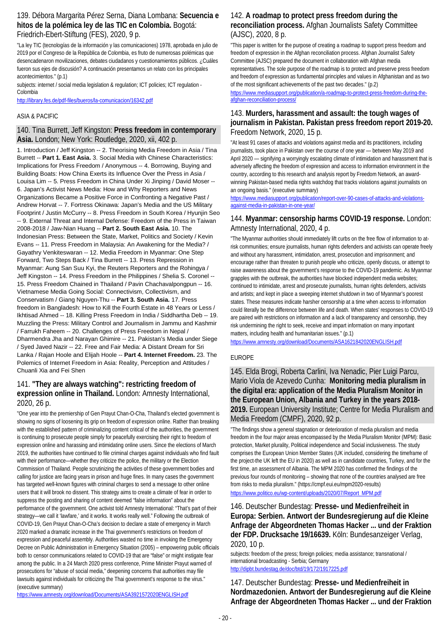#### 139. Débora Margarita Pérez Serna, Diana Lombana: **Secuencia e hitos de la polémica ley de las TIC en Colombia.** Bogotá: Friedrich-Ebert-Stiftung (FES), 2020, 9 p.

"La ley TIC (tecnologías de la información y las comunicaciones) 1978, aprobada en julio de 2019 por el Congreso de la República de Colombia, es fruto de numerosas polémicas que desencadenaron movilizaciones, debates ciudadanos y cuestionamientos públicos. ¿Cuáles fueron sus ejes de discusión? A continuación presentamos un relato con los principales acontecimientos." (p.1)

subjects: internet / social media legislation & regulation; ICT policies; ICT regulation -Colombia

<http://library.fes.de/pdf-files/bueros/la-comunicacion/16342.pdf>

#### ASIA & PACIFIC

#### 140. Tina Burrett, Jeff Kingston: **Press freedom in contemporary Asia.** London; New York: Routledge, 2020, xii, 402 p.

1. Introduction / Jeff Kingston -- 2. Theorising Media Freedom in Asia / Tina Burrett -- **Part 1. East Asia.** 3. Social Media with Chinese Characteristics: Implications for Press Freedom / Anonymous -- 4. Borrowing, Buying and Building Boats: How China Exerts its Influence Over the Press in Asia / Louisa Lim -- 5. Press Freedom in China Under Xi Jinping / David Moser -- 6. Japan's Activist News Media: How and Why Reporters and News Organizations Became a Positive Force in Confronting a Negative Past / Andrew Horvat -- 7. Fortress Okinawa: Japan's Media and the US Military Footprint / Justin McCurry -- 8. Press Freedom in South Korea / Hyunjin Seo -- 9. External Threat and Internal Defense: Freedom of the Press in Taiwan 2008-2018 / Jaw-Nian Huang -- **Part 2. South East Asia.** 10. The Indonesian Press: Between the State, Market, Politics and Society / Kevin Evans -- 11. Press Freedom in Malaysia: An Awakening for the Media? / Gayathry Venkiteswaran -- 12. Media Freedom in Myanmar: One Step Forward, Two Steps Back / Tina Burrett -- 13. Press Repression in Myanmar: Aung San Suu Kyi, the Reuters Reporters and the Rohingya / Jeff Kingston -- 14. Press Freedom in the Philippines / Shelia S. Coronel -- 15. Press Freedom Chained in Thailand / Pavin Chachavalpongpun -- 16. Vietnamese Media Going Social: Connectivism, Collectivism, and Conservatism / Giang Nguyen-Thu -- **Part 3. South Asia.** 17. Press freedom in Bangladesh: How to Kill the Fourth Estate in 48 Years or Less / Ikhtisad Ahmed -- 18. Killing Press Freedom in India / Siddhartha Deb -- 19. Muzzling the Press: Military Control and Journalism in Jammu and Kashmir / Farrukh Faheem -- 20. Challenges of Press Freedom in Nepal / Dharmendra Jha and Narayan Ghimire -- 21. Pakistan's Media under Siege / Syed Javed Nazir -- 22. Free and Fair Media: A Distant Dream for Sri Lanka / Rajan Hoole and Elijah Hoole -- **Part 4. Internet Freedom.** 23. The Polemics of Internet Freedom in Asia: Reality, Perception and Attitudes / Chuanli Xia and Fei Shen

### 141. **"They are always watching": restricting freedom of expression online in Thailand.** London: Amnesty International, 2020, 26 p.

"One year into the premiership of Gen Prayut Chan-O-Cha, Thailand's elected government is showing no signs of loosening its grip on freedom of expression online. Rather than breaking with the established pattern of criminalizing content critical of the authorities, the government is continuing to prosecute people simply for peacefully exercising their right to freedom of expression online and harassing and intimidating online users. Since the elections of March 2019, the authorities have continued to file criminal charges against individuals who find fault with their performance—whether they criticize the police, the military or the Election Commission of Thailand. People scrutinizing the activities of these government bodies and calling for justice are facing years in prison and huge fines. In many cases the government has targeted well-known figures with criminal charges to send a message to other online users that it will brook no dissent. This strategy aims to create a climate of fear in order to suppress the posting and sharing of content deemed "false information" about the performance of the government. One activist told Amnesty International: "That's part of their strategy—we call it 'lawfare,' and it works. It works really well." Following the outbreak of COVID-19, Gen Prayut Chan-O-Cha's decision to declare a state of emergency in March 2020 marked a dramatic increase in the Thai government's restrictions on freedom of expression and peaceful assembly. Authorities wasted no time in invoking the Emergency Decree on Public Administration in Emergency Situation (2005) – empowering public officials both to censor communications related to COVID-19 that are "false" or might instigate fear among the public. In a 24 March 2020 press conference, Prime Minister Prayut warned of prosecutions for "abuse of social media," deepening concerns that authorities may file lawsuits against individuals for criticizing the Thai government's response to the virus." (executive summary)

#### <https://www.amnesty.org/download/Documents/ASA3921572020ENGLISH.pdf>

#### 142. **A roadmap to protect press freedom during the reconciliation process.** Afghan Journalists Safety Committee (AJSC), 2020, 8 p.

"This paper is written for the purpose of creating a roadmap to support press freedom and freedom of expression in the Afghan reconciliation process. Afghan Journalist Safety Committee (AJSC) prepared the document in collaboration with Afghan media representatives. The sole purpose of the roadmap is to protect and preserve press freedom and freedom of expression as fundamental principles and values in Afghanistan and as two of the most significant achievements of the past two decades." (p.2)

[https://www.mediasupport.org/publication/a-roadmap-to-protect-press-freedom-during-the](https://www.mediasupport.org/publication/a-roadmap-to-protect-press-freedom-during-the-afghan-reconciliation-process/)[afghan-reconciliation-process/](https://www.mediasupport.org/publication/a-roadmap-to-protect-press-freedom-during-the-afghan-reconciliation-process/)

### 143. **Murders, harassment and assault: the tough wages of journalism in Pakistan. Pakistan press freedom report 2019-20.**  Freedom Network, 2020, 15 p.

"At least 91 cases of attacks and violations against media and its practitioners, including journalists, took place in Pakistan over the course of one year — between May 2019 and April 2020 — signifying a worryingly escalating climate of intimidation and harassment that is adversely affecting the freedom of expression and access to information environment in the country, according to this research and analysis report by Freedom Network, an awardwinning Pakistan-based media rights watchdog that tracks violations against journalists on an ongoing basis." (executive summary)

[https://www.mediasupport.org/publication/report-over-90-cases-of-attacks-and-violations](https://www.mediasupport.org/publication/report-over-90-cases-of-attacks-and-violations-against-media-in-pakistan-in-one-year/)[against-media-in-pakistan-in-one-year/](https://www.mediasupport.org/publication/report-over-90-cases-of-attacks-and-violations-against-media-in-pakistan-in-one-year/)

### 144. **Myanmar: censorship harms COVID-19 response.** London: Amnesty International, 2020, 4 p.

"The Myanmar authorities should immediately lift curbs on the free flow of information to atrisk communities; ensure journalists, human rights defenders and activists can operate freely and without any harassment, intimidation, arrest, prosecution and imprisonment; and encourage rather than threaten to punish people who criticize, openly discuss, or attempt to raise awareness about the government's response to the COVID-19 pandemic. As Myanmar grapples with the outbreak, the authorities have blocked independent media websites; continued to intimidate, arrest and prosecute journalists, human rights defenders, activists and artists; and kept in place a sweeping internet shutdown in two of Myanmar's poorest states. These measures indicate harsher censorship at a time when access to information could literally be the difference between life and death. When states' responses to COVID-19 are paired with restrictions on information and a lack of transparency and censorship, they risk undermining the right to seek, receive and impart information on many important matters, including health and humanitarian issues." (p.1)

<https://www.amnesty.org/download/Documents/ASA1621842020ENGLISH.pdf>

#### EUROPE

145. Elda Brogi, Roberta Carlini, Iva Nenadic, Pier Luigi Parcu, Mario Viola de Azevedo Cunha: **Monitoring media pluralism in the digital era: application of the Media Pluralism Monitor in the European Union, Albania and Turkey in the years 2018- 2019.** European University Institute; Centre for Media Pluralism and Media Freedom (CMPF), 2020, 92 p.

"The findings show a general stagnation or deterioration of media pluralism and media freedom in the four major areas encompassed by the Media Pluralism Monitor (MPM): Basic protection, Market plurality, Political independence and Social inclusiveness. The study comprises the European Union Member States (UK included, considering the timeframe of the project-the UK left the EU in 2020) as well as in candidate countries, Turkey, and for the first time, an assessment of Albania. The MPM 2020 has confirmed the findings of the previous four rounds of monitoring – showing that none of the countries analysed are free from risks to media pluralism." (https://cmpf.eui.eu/mpm2020-results) [https://www.politico.eu/wp-content/uploads/2020/07/Report\\_MPM.pdf](https://www.politico.eu/wp-content/uploads/2020/07/Report_MPM.pdf)

### 146. Deutscher Bundestag: **Presse- und Medienfreiheit in Europa: Serbien. Antwort der Bundesregierung auf die Kleine Anfrage der Abgeordneten Thomas Hacker ... und der Fraktion der FDP. Drucksache 19/16639.** Köln: Bundesanzeiger Verlag, 2020, 10 p.

subjects: freedom of the press; foreign policies; media assistance; transnational / international broadcasting - Serbia; Germany <http://dipbt.bundestag.de/doc/btd/19/172/1917225.pdf>

147. Deutscher Bundestag: **Presse- und Medienfreiheit in Nordmazedonien. Antwort der Bundesregierung auf die Kleine Anfrage der Abgeordneten Thomas Hacker ... und der Fraktion**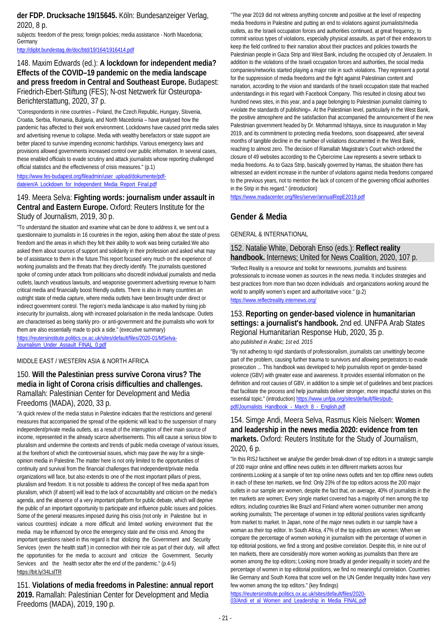#### **der FDP. Drucksache 19/15645.** Köln: Bundesanzeiger Verlag, 2020, 8 p.

subjects: freedom of the press; foreign policies; media assistance - North Macedonia; **Germany** 

<http://dipbt.bundestag.de/doc/btd/19/164/1916414.pdf>

### 148. Maxim Edwards (ed.): **A lockdown for independent media? Effects of the COVID–19 pandemic on the media landscape and press freedom in Central and Southeast Europe.** Budapest: Friedrich-Ebert-Stiftung (FES); N-ost Netzwerk für Osteuropa-Berichterstattung, 2020, 37 p.

"Correspondents in nine countries – Poland, the Czech Republic, Hungary, Slovenia, Croatia, Serbia, Romania, Bulgaria, and North Macedonia – have analysed how the pandemic has affected to their work environment. Lockdowns have caused print media sales and advertising revenue to collapse. Media with wealthy benefactors or state support are better placed to survive impending economic hardships. Various emergency laws and provisions allowed governments increased control over public information. In several cases, these enabled officials to evade scrutiny and attack journalists whose reporting challenged official statistics and the effectiveness of crisis measures." (p.1)

[https://www.fes-budapest.org/fileadmin/user\\_upload/dokumente/pdf](https://www.fes-budapest.org/fileadmin/user_upload/dokumente/pdf-dateien/A_Lockdown_for_Independent_Media_Report_Final.pdf)[dateien/A\\_Lockdown\\_for\\_Independent\\_Media\\_Report\\_Final.pdf](https://www.fes-budapest.org/fileadmin/user_upload/dokumente/pdf-dateien/A_Lockdown_for_Independent_Media_Report_Final.pdf)

### 149. Meera Selva: **Fighting words: journalism under assault in Central and Eastern Europe.** Oxford: Reuters Institute for the Study of Journalism, 2019, 30 p.

"To understand the situation and examine what can be done to address it, we sent out a questionnaire to journalists in 16 countries in the region, asking them about the state of press freedom and the areas in which they felt their ability to work was being curtailed.We also asked them about sources of support and solidarity in their profession and asked what may be of assistance to them in the future.This report focused very much on the experience of working journalists and the threats that they directly identify. The journalists questioned spoke of coming under attack from politicians who discredit individual journalists and media outlets, launch vexatious lawsuits, and weaponise government advertising revenue to harm critical media and financially boost friendly outlets. There is also in many countries an outright state of media capture, where media outlets have been brought under direct or indirect government control. The region's media landscape is also marked by rising job insecurity for journalists, along with increased polarisation in the media landscape. Outlets are characterised as being starkly pro- or anti-government and the journalists who work for them are also essentially made to pick a side." (executive summary)

[https://reutersinstitute.politics.ox.ac.uk/sites/default/files/2020-01/MSelva-](https://reutersinstitute.politics.ox.ac.uk/sites/default/files/2020-01/MSelva-Journalism_Under_Assault_FINAL_0.pdf)[Journalism\\_Under\\_Assault\\_FINAL\\_0.pdf](https://reutersinstitute.politics.ox.ac.uk/sites/default/files/2020-01/MSelva-Journalism_Under_Assault_FINAL_0.pdf)

#### MIDDLE EAST / WESTERN ASIA & NORTH AFRICA

### 150. **Will the Palestinian press survive Corona virus? The media in light of Corona crisis difficulties and challenges.**  Ramallah: Palestinian Center for Development and Media Freedoms (MADA), 2020, 33 p.

"A quick review of the media status in Palestine indicates that the restrictions and general measures that accompanied the spread of the epidemic will lead to the suspension of many independent/private media outlets, as a result of the interruption of their main source of income, represented in the already scarce advertisements. This will cause a serious blow to pluralism and undermine the contexts and trends of public media coverage of various issues, at the forefront of which the controversial issues, which may pave the way for a singleopinion media in Palestine.The matter here is not only limited to the opportunities of continuity and survival from the financial challenges that independent/private media organizations will face, but also extends to one of the most important pillars of press, pluralism and freedom. It is not possible to address the concept of free media apart from pluralism, which (if absent) will lead to the lack of accountability and criticism on the media's agenda, and the absence of a very important platform for public debate, which will deprive the public of an important opportunity to participate and influence public issues and policies. Some of the general measures imposed during this crisis (not only in Palestine but in various countries) indicate a more difficult and limited working environment that the media may be influenced by once the emergency state and the crisis end. Among the important questions raised in this regard is that idolizing the Government and Security Services (even the health staff) in connection with their role as part of their duty, will affect the opportunities for the media to account and criticize the Government, Security Services and the health sector after the end of the pandemic." (p.4-5) https://bit.ly/34LslTR

151. **Violations of media freedoms in Palestine: annual report 2019.** Ramallah: Palestinian Center for Development and Media Freedoms (MADA), 2019, 190 p.

"The year 2019 did not witness anything concrete and positive at the level of respecting media freedoms in Palestine and putting an end to violations against journalists/media outlets, as the Israeli occupation forces and authorities continued, at great frequency, to commit various types of violations, especially physical assaults, as part of their endeavors to keep the field confined to their narration about their practices and policies towards the Palestinian people in Gaza Strip and West Bank, including the occupied city of Jerusalem. In addition to the violations of the Israeli occupation forces and authorities, the social media companies/networks started playing a major role in such violations. They represent a portal for the suppression of media freedoms and the fight against Palestinian content and narration, according to the vision and standards of the Israeli occupation state that reached understandings in this regard with Facebook Company. This resulted in closing about two hundred news sites, in this year, and a page belonging to Palestinian journalist claiming to «violate the standards of publishing». At the Palestinian level, particularly in the West Bank, the positive atmosphere and the satisfaction that accompanied the announcement of the new Palestinian government headed by Dr. Mohammad Ishtayya, since its inauguration in May 2019, and its commitment to protecting media freedoms, soon disappeared, after several months of tangible decline in the number of violations documented in the West Bank, reaching to almost zero. The decision of Ramallah Magistrate's Court which ordered the closure of 49 websites according to the Cybercrime Law represents a severe setback to media freedoms. As to Gaza Strip, basically governed by Hamas, the situation there has witnessed an evident increase in the number of violations against media freedoms compared to the previous years, not to mention the lack of concern of the governing official authorities in the Strip in this regard." (introduction)

<https://www.madacenter.org/files/server/annualRepE2019.pdf>

### **Gender & Media**

GENERAL & INTERNATIONAL

#### 152. Natalie White, Deborah Enso (eds.): **Reflect reality handbook.** Internews; United for News Coalition, 2020, 107 p.

"Reflect Reality is a resource and toolkit for newsrooms, journalists and business professionals to increase women as sources in the news media. It includes strategies and best practices from more than two dozen individuals and organizations working around the world to amplify women's expert and authoritative voice." (p.2) <https://www.reflectreality.internews.org/>

### 153. **Reporting on gender-based violence in humanitarian settings: a journalist's handbook.** 2nd ed. UNFPA Arab States Regional Humanitarian Response Hub, 2020, 35 p.

*also published in Arabic; 1st ed. 2015*

"By not adhering to rigid standards of professionalism, journalists can unwittingly become part of the problem, causing further trauma to survivors and allowing perpetrators to evade prosecution ... This handbook was developed to help journalists report on gender-based violence (GBV) with greater ease and awareness. It provides essential information on the definition and root causes of GBV, in addition to a simple set of guidelines and best practices that facilitate the process and help journalists deliver stronger, more impactful stories on this essential topic." (introduction[\) https://www.unfpa.org/sites/default/files/pub](https://www.unfpa.org/sites/default/files/pub-pdf/Journalists_Handbook_-_March_8_-_English.pdf)[pdf/Journalists\\_Handbook\\_-\\_March\\_8\\_-\\_English.pdf](https://www.unfpa.org/sites/default/files/pub-pdf/Journalists_Handbook_-_March_8_-_English.pdf)

### 154. Simge Andi, Meera Selva, Rasmus Kleis Nielsen: **Women and leadership in the news media 2020: evidence from ten markets.** Oxford: Reuters Institute for the Study of Journalism, 2020, 6 p.

"In this RISJ factsheet we analyse the gender break-down of top editors in a strategic sample of 200 major online and offline news outlets in ten different markets across four continents.Looking at a sample of ten top online news outlets and ten top offline news outlets in each of these ten markets, we find: Only 23% of the top editors across the 200 major outlets in our sample are women, despite the fact that, on average, 40% of journalists in the ten markets are women; Every single market covered has a majority of men among the top editors, including countries like Brazil and Finland where women outnumber men among working journalists: The percentage of women in top editorial positions varies significantly from market to market. In Japan, none of the major news outlets in our sample have a woman as their top editor. In South Africa, 47% of the top editors are women; When we compare the percentage of women working in journalism with the percentage of women in top editorial positions, we find a strong and positive correlation. Despite this, in nine out of ten markets, there are considerably more women working as journalists than there are women among the top editors; Looking more broadly at gender inequality in society and the percentage of women in top editorial positions, we find no meaningful correlation. Countries like Germany and South Korea that score well on the UN Gender Inequality Index have very few women among the top editors." (key findings)

[https://reutersinstitute.politics.ox.ac.uk/sites/default/files/2020-](https://reutersinstitute.politics.ox.ac.uk/sites/default/files/2020-03/Andi_et_al_Women_and_Leadership_in_Media_FINAL.pdf) [03/Andi\\_et\\_al\\_Women\\_and\\_Leadership\\_in\\_Media\\_FINAL.pdf](https://reutersinstitute.politics.ox.ac.uk/sites/default/files/2020-03/Andi_et_al_Women_and_Leadership_in_Media_FINAL.pdf)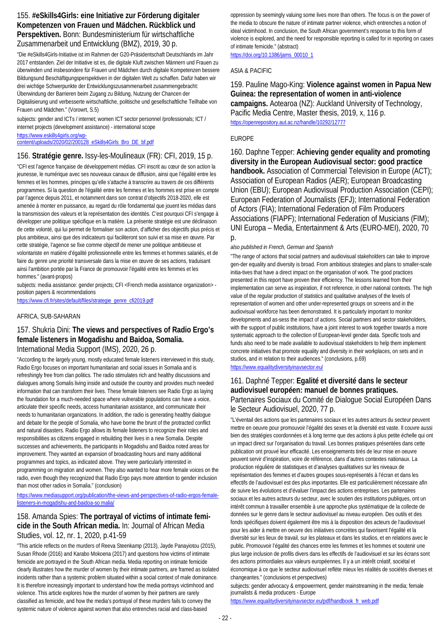### 155. **#eSkills4Girls: eine Initiative zur Förderung digitaler Kompetenzen von Frauen und Mädchen. Rückblick und Perspektiven.** Bonn: Bundesministerium für wirtschaftliche Zusammenarbeit und Entwicklung (BMZ), 2019, 30 p.

"Die #eSkills4Girls-Initiative ist im Rahmen der G20-Präsidentschaft Deutschlands im Jahr 2017 entstanden. Ziel der Initiative ist es, die digitale Kluft zwischen Männern und Frauen zu überwinden und insbesondere für Frauen und Mädchen durch digitale Kompetenzen bessere Bildungsund Beschäftigungsperspektiven in der digitalen Welt zu schaffen. Dafür haben wir drei wichtige Schwerpunkte der Entwicklungszusammenarbeit zusammengebracht: Überwindung der Barrieren beim Zugang zu Bildung, Nutzung der Chancen der Digitalisierung und verbesserte wirtschaftliche, politische und gesellschaftliche Teilhabe von Frauen und Mädchen." (Vorowrt, S.5)

subjects: gender and ICTs / internet; women ICT sector personnel /professionals; ICT / internet projects (development assistance) - international scope

[https://www.eskills4girls.org/wp](https://www.eskills4girls.org/wp-content/uploads/2020/02/200128_eSkills4Girls_Bro_DE_bf.pdf)[content/uploads/2020/02/200128\\_eSkills4Girls\\_Bro\\_DE\\_bf.pdf](https://www.eskills4girls.org/wp-content/uploads/2020/02/200128_eSkills4Girls_Bro_DE_bf.pdf)

### 156. **Stratégie genre.** Issy-les-Moulineaux (FR): CFI, 2019, 15 p.

"CFI est l'agence française de développement médias. CFI inscrit au cœur de son action la jeunesse, le numérique avec ses nouveaux canaux de diffusion, ainsi que l'égalité entre les femmes et les hommes, principes qu'elle s'attache à transcrire au travers de ces différents programmes. Si la question de l'égalité entre les femmes et les hommes est prise en compte par l'agence depuis 2011, et notamment dans son contrat d'objectifs 2018-2020, elle est amenée à monter en puissance, au regard du rôle fondamental que jouent les médias dans la transmission des valeurs et la représentation des identités. C'est pourquoi CFI s'engage à développer une politique spécifique en la matière. La présente stratégie est une déclinaison de cette volonté, qui lui permet de formaliser son action, d'afficher des objectifs plus précis et plus ambitieux, ainsi que des indicateurs qui faciliteront son suivi et sa mise en œuvre. Par cette stratégie, l'agence se fixe comme objectif de mener une politique ambitieuse et volontariste en matière d'égalité professionnelle entre les femmes et hommes salariés, et de faire du genre une priorité transversale dans la mise en œuvre de ses actions, traduisant ainsi l'ambition portée par la France de promouvoir l'égalité entre les femmes et les hommes." (avant-propos)

subjects: media assistance: gender projects; CFI <French media assistance organization> position papers & recommendations

[https://www.cfi.fr/sites/default/files/strategie\\_genre\\_cfi2019.pdf](https://www.cfi.fr/sites/default/files/strategie_genre_cfi2019.pdf)

#### AFRICA, SUB-SAHARAN

### 157. Shukria Dini: **The views and perspectives of Radio Ergo's female listeners in Mogadishu and Baidoa, Somalia.**  International Media Support (IMS), 2020, 26 p.

"According to the largely young, mostly educated female listeners interviewed in this study, Radio Ergo focuses on important humanitarian and social issues in Somalia and is refreshingly free from clan politics. The radio stimulates rich and healthy discussions and dialogues among Somalis living inside and outside the country and provides much needed information that can transform their lives. These female listeners see Radio Ergo as laying the foundation for a much-needed space where vulnerable populations can have a voice, articulate their specific needs, access humanitarian assistance, and communicate their needs to humanitarian organizations. In addition, the radio is generating healthy dialogue and debate for the people of Somalia, who have borne the brunt of the protracted conflict and natural disasters. Radio Ergo allows its female listeners to recognize their roles and responsibilities as citizens engaged in rebuilding their lives in a new Somalia. Despite successes and achievements, the participants in Mogadishu and Baidoa noted areas for improvement. They wanted an expansion of broadcasting hours and many additional programmes and topics, as indicated above. They were particularly interested in programming on migration and women. They also wanted to hear more female voices on the radio, even though they recognized that Radio Ergo pays more attention to gender inclusion than most other radios in Somalia." (conclusion)

[https://www.mediasupport.org/publication/the-views-and-perspectives-of-radio-ergos-female](https://www.mediasupport.org/publication/the-views-and-perspectives-of-radio-ergos-female-listeners-in-mogadishu-and-baidoa-so%20malia/)[listeners-in-mogadishu-and-baidoa-so malia/](https://www.mediasupport.org/publication/the-views-and-perspectives-of-radio-ergos-female-listeners-in-mogadishu-and-baidoa-so%20malia/)

### 158. Amanda Spies: **The portrayal of victims of intimate femicide in the South African media.** In: Journal of African Media Studies, vol. 12, nr. 1, 2020, p.41-59

"This article reflects on the murders of Reeva Steenkamp (2013), Jayde Panayiotou (2015), Susan Rhode (2016) and Karabo Mokoena (2017) and questions how victims of intimate femicide are portrayed in the South African media. Media reporting on intimate femicide clearly illustrates how the murder of women by their intimate partners, are framed as isolated incidents rather than a systemic problem situated within a social context of male dominance. It is therefore increasingly important to understand how the media portrays victimhood and violence. This article explores how the murder of women by their partners are rarely classified as femicide, and how the media's portrayal of these murders fails to convey the systemic nature of violence against women that also entrenches racial and class-based

oppression by seemingly valuing some lives more than others. The focus is on the power of the media to obscure the nature of intimate partner violence, which entrenches a notion of ideal victimhood. In conclusion, the South African government's response to this form of violence is explored, and the need for responsible reporting is called for in reporting on cases of intimate femicide." (abstract)

[https://doi.org/10.1386/jams\\_00010\\_1](https://doi.org/10.1386/jams_00010_1)

#### ASIA & PACIFIC

### 159. Pauline Mago-King: **Violence against women in Papua New Guinea: the representation of women in anti-violence campaigns.** Aotearoa (NZ): Auckland University of Technology, Pacific Media Centre, Master thesis, 2019, x, 116 p. <https://openrepository.aut.ac.nz/handle/10292/12777>

#### EUROPE

160. Daphne Tepper: **Achieving gender equality and promoting diversity in the European Audiovisual sector: good practice handbook.** Association of Commercial Television in Europe (ACT); Association of European Radios (AER); European Broadcasting Union (EBU); European Audiovisual Production Association (CEPI); European Federation of Journalists (EFJ); International Federation of Actors (FIA); International Federation of Film Producers Associations (FIAPF); International Federation of Musicians (FIM); UNI Europa – Media, Entertainment & Arts (EURO-MEI), 2020, 70  $p$ .

#### *also published in French, German and Spanish*

"The range of actions that social partners and audiovisual stakeholders can take to improve gen-der equality and diversity is broad. From ambitious strategies and plans to smaller-scale initia-tives that have a direct impact on the organisation of work. The good practices presented in this report have proven their efficiency. The lessons learned from their implementation can serve as inspiration, if not reference, in other national contexts. The high value of the regular production of statistics and qualitative analyses of the levels of representation of women and other under-represented groups on screens and in the audiovisual workforce has been demonstrated. It is particularly important to monitor developments and as-sess the impact of actions. Social partners and sector stakeholders, with the support of public institutions, have a joint interest to work together towards a more systematic approach to the collection of European-level gender data. Specific tools and funds also need to be made available to audiovisual stakeholders to help them implement concrete initiatives that promote equality and diversity in their workplaces, on sets and in studios, and in relation to their audiences." (conclusions, p.69) <https://www.equalitydiversityinavsector.eu/>

### 161. Daphné Tepper: **Egalité et diversité dans le secteur audiovisuel européen: manuel de bonnes pratiques.**  Partenaires Sociaux du Comité de Dialogue Social Européen Dans le Secteur Audiovisuel, 2020, 77 p.

"L'éventail des actions que les partenaires sociaux et les autres acteurs du secteur peuvent mettre en oeuvre pour promouvoir l'égalité des sexes et la diversité est vaste. Il couvre aussi bien des stratégies coordonnées et à long terme que des actions à plus petite échelle qui ont un impact direct sur l'organisation du travail. Les bonnes pratiques présentées dans cette publication ont prouvé leur efficacité. Les enseignements tirés de leur mise en oeuvre peuvent servir d'inspiration, voire de référence, dans d'autres contextes nationaux. La production régulière de statistiques et d'analyses qualitatives sur les niveaux de représentation des femmes et d'autres groupes sous-représentés à l'écran et dans les effectifs de l'audiovisuel est des plus importantes. Elle est particulièrement nécessaire afin de suivre les évolutions et d'évaluer l'impact des actions entreprises. Les partenaires sociaux et les autres acteurs du secteur, avec le soutien des institutions publiques, ont un intérêt commun à travailler ensemble à une approche plus systématique de la collecte de données sur le genre dans le secteur audiovisuel au niveau européen. Des outils et des fonds spécifiques doivent également être mis à la disposition des acteurs de l'audiovisuel pour les aider à mettre en oeuvre des initiatives concrètes qui favorisent l'égalité et la diversité sur les lieux de travail, sur les plateaux et dans les studios, et en relations avec le public. Promouvoir l'égalité des chances entre les femmes et les hommes et soutenir une plus large inclusion de profils divers dans les effectifs de l'audiovisuel et sur les écrans sont des actions primordiales aux valeurs européennes. Il y a un intérêt créatif, sociétal et économique à ce que le secteur audiovisuel reflète mieux les réalités de sociétés diverses et changeantes." (conclusions et perspectives)

subjects: gender advocacy & empowerment, gender mainstreaming in the media; female journalists & media producers - Europe

[https://www.equalitydiversityinavsector.eu/pdf/handbook\\_fr\\_web.pdf](https://www.equalitydiversityinavsector.eu/pdf/handbook_fr_web.pdf)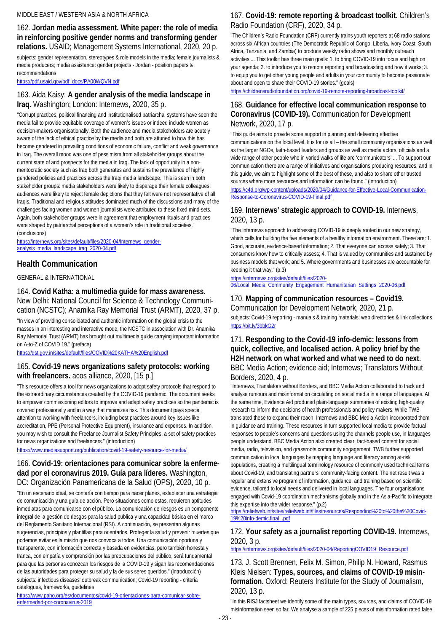#### MIDDLE EAST / WESTERN ASIA & NORTH AFRICA

### 162. **Jordan media assessment. White paper: the role of media in reinforcing positive gender norms and transforming gender relations.** USAID; Management Systems International, 2020, 20 p.

subjects: gender representation, stereotypes & role models in the media; female journalists & media producers; media assistance: gender projects - Jordan - position papers & recommendations

[https://pdf.usaid.gov/pdf\\_docs/PA00WQVN.pdf](https://pdf.usaid.gov/pdf_docs/PA00WQVN.pdf)

### 163. Aida Kaisy: **A gender analysis of the media landscape in Iraq.** Washington; London: Internews, 2020, 35 p.

"Corrupt practices, political financing and institutionalised patriarchal systems have seen the media fail to provide equitable coverage of women's issues or indeed include women as decision-makers organisationally. Both the audience and media stakeholders are acutely aware of the lack of ethical practice by the media and both are attuned to how this has become gendered in prevailing conditions of economic failure, conflict and weak governance in Iraq. The overall mood was one of pessimism from all stakeholder groups about the current state of and prospects for the media in Iraq. The lack of opportunity in a nonmeritocratic society such as Iraq both generates and sustains the prevalence of highly gendered policies and practices across the Iraqi media landscape. This is seen in both stakeholder groups: media stakeholders were likely to disparage their female colleagues; audiences were likely to reject female depictions that they felt were not representative of all Iraqis. Traditional and religious attitudes dominated much of the discussions and many of the challenges facing women and women journalists were attributed to these fixed mind-sets. Again, both stakeholder groups were in agreement that employment rituals and practices were shaped by patriarchal perceptions of a women's role in traditional societies." (conclusions)

[https://internews.org/sites/default/files/2020-04/Internews\\_gender](https://internews.org/sites/default/files/2020-04/Internews_gender-analysis_media_landscape_iraq_2020-04.pdf)[analysis\\_media\\_landscape\\_iraq\\_2020-04.pdf](https://internews.org/sites/default/files/2020-04/Internews_gender-analysis_media_landscape_iraq_2020-04.pdf)

## **Health Communication**

GENERAL & INTERNATIONAL

### 164. **Covid Katha: a multimedia guide for mass awareness.**  New Delhi: National Council for Science & Technology Communication (NCSTC); Anamika Ray Memorial Trust (ARMT), 2020, 37 p.

"In view of providing consolidated and authentic information on the global crisis to the masses in an interesting and interactive mode, the NCSTC in association with Dr. Anamika Ray Memorial Trust (ARMT) has brought out multimedia guide carrying important information on A-to-Z of COVID 19." (preface)

<https://dst.gov.in/sites/default/files/COVID%20KATHA%20English.pdf>

### 165. **Covid-19 news organizations safety protocols: working with freelancers.** acos alliance, 2020, [15 p.]

"This resource offers a tool for news organizations to adopt safety protocols that respond to the extraordinary circumstances created by the COVID-19 pandemic. The document seeks to empower commissioning editors to improve and adapt safety practices so the pandemic is covered professionally and in a way that minimizes risk. This document pays special attention to working with freelancers, including best practices around key issues like accreditation, PPE (Personal Protective Equipment), insurance and expenses. In addition, you may wish to consult the Freelance Journalist Safety Principles, a set of safety practices for news organizations and freelancers." (introduction)

<https://www.mediasupport.org/publication/covid-19-safety-resource-for-media/>

### 166. **Covid-19: orientaciones para comunicar sobre la enfermedad por el coronavirus 2019. Guía para líderes.** Washington, DC: Organización Panamericana de la Salud (OPS), 2020, 10 p.

"En un escenario ideal, se contaría con tiempo para hacer planes, establecer una estrategia de comunicación y una guía de acción. Pero situaciones como estas, requieren aptitudes inmediatas para comunicarse con el público. La comunicación de riesgos es un componente integral de la gestión de riesgos para la salud pública y una capacidad básica en el marco del Reglamento Sanitario Internacional (RSI). A continuación, se presentan algunas sugerencias, principios y plantillas para orientarlos. Proteger la salud y prevenir muertes que podemos evitar es la misión que nos convoca a todos. Una comunicación oportuna y transparente, con información correcta y basada en evidencias, pero también honesta y franca, con empatía y comprensión por las preocupaciones del público, será fundamental para que las personas conozcan los riesgos de la COVID-19 y sigan las recomendaciones de las autoridades para proteger su salud y la de sus seres queridos." (introducción) subjects: infectious diseases' outbreak communication; Covid-19 reporting - criteria catalogues, frameworks, guidelines

[https://www.paho.org/es/documentos/covid-19-orientaciones-para-comunicar-sobre](https://www.paho.org/es/documentos/covid-19-orientaciones-para-comunicar-sobre-enfermedad-por-coronavirus-2019)[enfermedad-por-coronavirus-2019](https://www.paho.org/es/documentos/covid-19-orientaciones-para-comunicar-sobre-enfermedad-por-coronavirus-2019)

### 167. **Covid-19: remote reporting & broadcast toolkit.** Children's Radio Foundation (CRF), 2020, 34 p.

"The Children's Radio Foundation (CRF) currently trains youth reporters at 68 radio stations across six African countries (The Democratic Republic of Congo, Liberia, Ivory Coast, South Africa, Tanzania, and Zambia) to produce weekly radio shows and monthly outreach activities ... This toolkit has three main goals: 1. to bring COVID-19 into focus and high on your agenda; 2. to introduce you to remote reporting and broadcasting and how it works; 3. to equip you to get other young people and adults in your community to become passionate about and open to share their COVID-19 stories." (goals)

<https://childrensradiofoundation.org/covid-19-remote-reporting-broadcast-toolkit/>

### 168. **Guidance for effective local communication response to Coronavirus (COVID-19).** Communication for Development Network, 2020, 17 p.

"This guide aims to provide some support in planning and delivering effective communications on the local level. It is for us all – the small community organisations as well as the larger NGOs, faith-based leaders and groups as well as media actors, officials and a wide range of other people who in varied walks of life are 'communicators' ... To support our communication there are a range of initiatives and organisations producing resources, and in this guide, we aim to highlight some of the best of these, and also to share other trusted sources where more resources and information can be found." (introduction)

[https://c4d.org/wp-content/uploads/2020/04/Guidance-for-Effective-Local-Communication-](https://c4d.org/wp-content/uploads/2020/04/Guidance-for-Effective-Local-Communication-Response-to-Coronavirus-COVID-19-Final.pdf)[Response-to-Coronavirus-COVID-19-Final.pdf](https://c4d.org/wp-content/uploads/2020/04/Guidance-for-Effective-Local-Communication-Response-to-Coronavirus-COVID-19-Final.pdf)

### 169. **Internews' strategic approach to COVID-19.** Internews, 2020, 13 p.

"The Internews approach to addressing COVID-19 is deeply rooted in our new strategy, which calls for building the five elements of a healthy information environment. These are: 1. Good, accurate, evidence-based information; 2. That everyone can access safely; 3. That consumers know how to critically assess; 4. That is valued by communities and sustained by business models that work; and 5. Where governments and businesses are accountable for keeping it that way." (p.3)

[https://internews.org/sites/default/files/2020-](https://internews.org/sites/default/files/2020-06/Local_Media_Community_Engagement_Humanitarian_Settings_2020-06.pdf)

[06/Local\\_Media\\_Community\\_Engagement\\_Humanitarian\\_Settings\\_2020-06.pdf](https://internews.org/sites/default/files/2020-06/Local_Media_Community_Engagement_Humanitarian_Settings_2020-06.pdf)

### 170. **Mapping of communication resources – Covid19.**

Communication for Development Network, 2020, 21 p. subjects: Covid-19 reporting - manuals & training materials; web directories & link collections <https://bit.ly/3bbkG2r>

### 171. **Responding to the Covid-19 info-demic: lessons from quick, collective, and localised action. A policy brief by the H2H network on what worked and what we need to do next.**  BBC Media Action; evidence aid; Internews; Translators Without Borders, 2020, 4 p.

"Internews, Translators without Borders, and BBC Media Action collaborated to track and analyse rumours and misinformation circulating on social media in a range of languages. At the same time, Evidence Aid produced plain-language summaries of existing high-quality research to inform the decisions of health professionals and policy makers. While TWB translated these to expand their reach, Internews and BBC Media Action incorporated them in guidance and training. These resources in turn supported local media to provide factual responses to people's concerns and questions using the channels people use, in languages people understand. BBC Media Action also created clear, fact-based content for social media, radio, television, and grassroots community engagement. TWB further supported communication in local languages by mapping language and literacy among at-risk populations, creating a multilingual terminology resource of commonly used technical terms about Covid-19, and translating partners' community-facing content. The net result was a regular and extensive program of information, guidance, and training based on scientific evidence, tailored to local needs and delivered in local languages. The four organisations engaged with Covid-19 coordination mechanisms globally and in the Asia-Pacific to integrate this expertise into the wider response." (p.2)

[https://reliefweb.int/sites/reliefweb.int/files/resources/Responding%20to%20the%20Covid-](https://reliefweb.int/sites/reliefweb.int/files/resources/Responding%20to%20the%20Covid-19%20info-demic.final_.pdf)[19%20info-demic.final\\_.pdf](https://reliefweb.int/sites/reliefweb.int/files/resources/Responding%20to%20the%20Covid-19%20info-demic.final_.pdf)

### 172. **Your safety as a journalist reporting COVID-19.** Internews, 2020, 3 p.

[https://internews.org/sites/default/files/2020-04/ReportingCOVID19\\_Resource.pdf](https://internews.org/sites/default/files/2020-04/ReportingCOVID19_Resource.pdf)

173. J. Scott Brennen, Felix M. Simon, Philip N. Howard, Rasmus Kleis Nielsen: **Types, sources, and claims of COVID-19 misinformation.** Oxford: Reuters Institute for the Study of Journalism, 2020, 13 p.

"In this RISJ factsheet we identify some of the main types, sources, and claims of COVID-19 misinformation seen so far. We analyse a sample of 225 pieces of misinformation rated false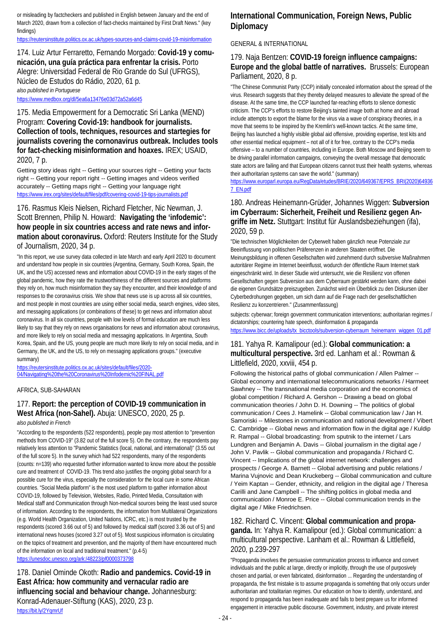or misleading by factcheckers and published in English between January and the end of March 2020, drawn from a collection of fact-checks maintained by First Draft News." (key findings)

<https://reutersinstitute.politics.ox.ac.uk/types-sources-and-claims-covid-19-misinformation>

174. Luiz Artur Ferraretto, Fernando Morgado: **Covid-19 y comunicación, una guía práctica para enfrentar la crisis.** Porto Alegre: Universidad Federal de Rio Grande do Sul (UFRGS), Núcleo de Estudos do Rádio, 2020, 61 p. *also published in Portuguese*

<https://www.medbox.org/dl/5ea6a13476e03d72a52a6d45>

175. Media Empowerment for a Democratic Sri Lanka (MEND) Program: **Covering Covid-19: handbook for journalists. Collection of tools, techniques, resources and startegies for journalists covering the cornonavirus outbreak. Includes tools for fact-checking misinformation and hoaxes.** IREX; USAID, 2020, 7 p.

Getting story ideas right -- Getting your sources right -- Getting your facts right -- Getting your report right -- Getting images and videos verified accurately -- Getting maps right -- Getting your language right <https://www.irex.org/sites/default/files/pdf/covering-covid-19-tips-journalists.pdf>

#### 176. Rasmus Kleis Nielsen, Richard Fletcher, Nic Newman, J. Scott Brennen, Philip N. Howard: **Navigating the 'infodemic': how people in six countries access and rate news and information about coronavirus.** Oxford: Reuters Institute for the Study of Journalism, 2020, 34 p.

"In this report, we use survey data collected in late March and early April 2020 to document and understand how people in six countries (Argentina, Germany, South Korea, Spain, the UK, and the US) accessed news and information about COVID-19 in the early stages of the global pandemic, how they rate the trustworthiness of the different sources and platforms they rely on, how much misinformation they say they encounter, and their knowledge of and responses to the coronavirus crisis. We show that news use is up across all six countries, and most people in most countries are using either social media, search engines, video sites, and messaging applications (or combinations of these) to get news and information about coronavirus. In all six countries, people with low levels of formal education are much less likely to say that they rely on news organisations for news and information about coronavirus, and more likely to rely on social media and messaging applications. In Argentina, South Korea, Spain, and the US, young people are much more likely to rely on social media, and in Germany, the UK, and the US, to rely on messaging applications groups." (executive summary)

[https://reutersinstitute.politics.ox.ac.uk/sites/default/files/2020-](https://reutersinstitute.politics.ox.ac.uk/sites/default/files/2020-04/Navigating%20the%20Coronavirus%20Infodemic%20FINAL.pdf) [04/Navigating%20the%20Coronavirus%20Infodemic%20FINAL.pdf](https://reutersinstitute.politics.ox.ac.uk/sites/default/files/2020-04/Navigating%20the%20Coronavirus%20Infodemic%20FINAL.pdf)

#### AFRICA, SUB-SAHARAN

## 177. **Report: the perception of COVID-19 communication in West Africa (non-Sahel).** Abuja: UNESCO, 2020, 25 p.

*also published in French*

"According to the respondents (522 respondents), people pay most attention to "prevention methods from COVID-19" (3.82 out of the full score 5). On the contrary, the respondents pay relatively less attention to "Pandemic Statistics (local, national, and international)" (3.55 out of the full score 5). In the survey which had 522 respondents, many of the respondents (counts: n=139) who requested further information wanted to know more about the possible cure and treatment of COVID-19. This trend also justifies the ongoing global search for a possible cure for the virus, especially the consideration for the local cure in some African countries. "Social Media platform" is the most used platform to gather information about COVID-19, followed by Television, Websites, Radio, Printed Media, Consultation with Medical staff and Communication through Non-medical sources being the least used source of information. According to the respondents, the information from Multilateral Organizations (e.g. World Health Organization, United Nations, ICRC, etc.) is most trusted by the respondents (scored 3.66 out of 5) and followed by medical staff (scored 3.36 out of 5) and international news houses (scored 3.27 out of 5). Most suspicious information is circulating on the topics of treatment and prevention, and the majority of them have encountered much of the information on local and traditional treatment." (p.4-5) <https://unesdoc.unesco.org/ark:/48223/pf0000373798>

178. Daniel Ominde Okoth: **Radio and pandemics. Covid-19 in East Africa: how community and vernacular radio are influencing social and behaviour change.** Johannesburg:

# Konrad-Adenauer-Stiftung (KAS), 2020, 23 p.

<https://bit.ly/2YqmrUf>

## **International Communication, Foreign News, Public Diplomacy**

#### GENERAL & INTERNATIONAL

### 179. Naja Bentzen: **COVID-19 foreign influence campaigns: Europe and the global battle of narratives.** Brussels: European Parliament, 2020, 8 p.

"The Chinese Communist Party (CCP) initially concealed information about the spread of the virus. Research suggests that they thereby delayed measures to alleviate the spread of the disease. At the same time, the CCP launched far-reaching efforts to silence domestic criticism. The CCP's efforts to restore Beijing's tainted image both at home and abroad include attempts to export the blame for the virus via a wave of conspiracy theories, in a move that seems to be inspired by the Kremlin's well-known tactics. At the same time, Beijing has launched a highly visible global aid offensive, providing expertise, test kits and other essential medical equipment – not all of it for free, contrary to the CCP's media offensive – to a number of countries, including in Europe. Both Moscow and Beijing seem to be driving parallel information campaigns, conveying the overall message that democratic state actors are failing and that European citizens cannot trust their health systems, whereas their authoritarian systems can save the world." (summary)

[https://www.europarl.europa.eu/RegData/etudes/BRIE/2020/649367/EPRS\\_BRI\(2020\)64936](https://www.europarl.europa.eu/RegData/etudes/BRIE/2020/649367/EPRS_BRI(2020)649367_EN.pdf) [7\\_EN.pdf](https://www.europarl.europa.eu/RegData/etudes/BRIE/2020/649367/EPRS_BRI(2020)649367_EN.pdf)

### 180. Andreas Heinemann-Grüder, Johannes Wiggen: **Subversion im Cyberraum: Sicherheit, Freiheit und Resilienz gegen Angriffe im Netz.** Stuttgart: Institut für Auslandsbeziehungen (ifa), 2020, 59 p.

"Die technischen Möglichkeiten der Cyberwelt haben gänzlich neue Potenziale zur Beeinflussung von politischen Präferenzen in anderen Staaten eröffnet. Die Meinungsbildung in offenen Gesellschaften wird zunehmend durch subversive Maßnahmen autoritärer Regime im Internet beeinflusst, wodurch der öffentliche Raum Internet stark eingeschränkt wird. In dieser Studie wird untersucht, wie die Resilienz von offenen Gesellschaften gegen Subversion aus dem Cyberraum gestärkt werden kann, ohne dabei die eigenen Grundsätze preiszugeben. Zunächst wird ein Überblick zu den Diskursen über Cyberbedrohungen gegeben, um sich dann auf die Frage nach der gesellschaftlichen Resilienz zu konzentrieren." (Zusammenfassung)

subjects: cyberwar: foreign government communication interventions; authoritarian regimes / dictatorships; countering hate speech, disinformation & propaganda [https://www.bicc.de/uploads/tx\\_bicctools/subversion-cyberraum\\_heinemann\\_wiggen\\_01.pdf](https://www.bicc.de/uploads/tx_bicctools/subversion-cyberraum_heinemann_wiggen_01.pdf)

### 181. Yahya R. Kamalipour (ed.): **Global communication: a multicultural perspective.** 3rd ed. Lanham et al.: Rowman & Littlefield, 2020, xxviii, 454 p.

Following the historical paths of global communication / Allen Palmer -- Global economy and international telecommunications networks / Harmeet Sawhney -- The transnational media corporation and the economics of global competition / Richard A. Gershon -- Drawing a bead on global communication theories / John D. H. Downing -- The politics of global communication / Cees J. Hamelink -- Global communication law / Jan H. Samoriski -- Milestones in communication and national development / Vibert C. Cambridge -- Global news and information flow in the digital age / Kuldip R. Rampal -- Global broadcasting: from sputnik to the internet / Lars Lundgren and Benjamin A. Davis -- Global journalism in the digital age / John V. Pavlik -- Global communication and propaganda / Richard C. Vincent -- Implications of the global internet network: challenges and prospects / George A. Barnett -- Global advertising and public relations / Marina Vujnovic and Dean Kruckeberg -- Global communication and culture / Yeim Kaptan -- Gender, ethnicity, and religion in the digital age / Theresa Carilli and Jane Campbell -- The shifting politics in global media and communication / Monroe E. Price -- Global communication trends in the digital age / Mike Friedrichsen.

#### 182. Richard C. Vincent: **Global communication and propaganda.** In: Yahya R. Kamalipour (ed.): Global communication: a multicultural perspective. Lanham et al.: Rowman & Littlefield, 2020, p.239-297

"Propaganda involves the persuasive communication process to influence and convert individuals and the public at large, directly or implicitly, through the use of purposively chosen and partial, or even fabricated, disinformation ... Regarding the understanding of propaganda, the first mistake is to assume propaganda is somehting that only occurs under authoritarian and totalitarian regimes. Our education on how to identify, understand, and respond to propaganda has been inadequate and fails to best prepare us for informed engagement in interactive public discourse. Government, industry, and private interest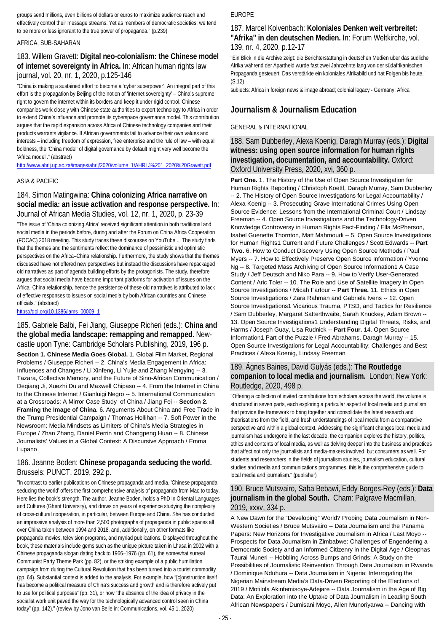groups send millions, even billions of dollars or euros to maximize audience reach and effectively control their message streams. Yet as members of democratic societies, we tend to be more or less ignorant to the true power of propaganda." (p.239)

#### AFRICA, SUB-SAHARAN

### 183. Willem Gravett: **Digital neo-colonialism: the Chinese model of internet sovereignty in Africa.** In: African human rights law journal, vol. 20, nr. 1, 2020, p.125-146

"China is making a sustained effort to become a 'cyber superpower'. An integral part of this effort is the propagation by Beijing of the notion of 'internet sovereignty' – China's supreme right to govern the internet within its borders and keep it under rigid control. Chinese companies work closely with Chinese state authorities to export technology to Africa in order to extend China's influence and promote its cyberspace governance model. This contribution argues that the rapid expansion across Africa of Chinese technology companies and their products warrants vigilance. If African governments fail to advance their own values and interests – including freedom of expression, free enterprise and the rule of law – with equal boldness, the 'China model' of digital governance by default might very well become the 'Africa model'." (abstract)

[http://www.ahrlj.up.ac.za/images/ahrlj/2020/volume\\_1/AHRLJ%201\\_2020%20Gravett.pdf](http://www.ahrlj.up.ac.za/images/ahrlj/2020/volume_1/AHRLJ%201_2020%20Gravett.pdf)

#### ASIA & PACIFIC

#### 184. Simon Matingwina: **China colonizing Africa narrative on social media: an issue activation and response perspective.** In: Journal of African Media Studies, vol. 12, nr. 1, 2020, p. 23-39

"The issue of 'China colonizing Africa' received significant attention in both traditional and social media in the periods before, during and after the Forum on China Africa Cooperation (FOCAC) 2018 meeting. This study traces these discourses on YouTube ... The study finds that the themes and the sentiments reflect the dominance of pessimistic and optimistic perspectives on the Africa–China relationship. Furthermore, the study shows that the themes discussed have not offered new perspectives but instead the discussions have repackaged old narratives as part of agenda building efforts by the protagonists. The study, therefore argues that social media have become important platforms for activation of issues on the Africa–China relationship, hence the persistence of these old narratives is attributed to lack of effective responses to issues on social media by both African countries and Chinese officials." (abstract)

[https://doi.org/10.1386/jams\\_00009\\_1](https://doi.org/10.1386/jams_00009_1)

#### 185. Gabriele Balbi, Fei Jiang, Giuseppe Richeri (eds.): **China and the global media landscape: remapping and remapped.** Newcastle upon Tyne: Cambridge Scholars Publishing, 2019, 196 p.

**Section 1. Chinese Media Goes Global.** 1. Global Film Market, Regional Problems / Giuseppe Richeri -- 2. China's Media Engagement in Africa: Influences and Changes / Li Xinfeng, Li Yujie and Zhang Mengying -- 3. Tazara, Collective Memory, and the Future of Sino-African Communication / Deqiang Ji, Xuezhi Du and Maxwell Chipaso -- 4. From the Internet in China to the Chinese Internet / Gianluigi Negro -- 5. International Communication at a Crossroads: A Mirror Case Study of China / Jiang Fei -- **Section 2. Framing the Image of China.** 6. Arguments About China and Free Trade in the Trump Presidential Campaign / Thomas Hollihan -- 7. Soft Power in the Newsroom: Media Mindsets as Limiters of China's Media Strategies in Europe / Zhan Zhang, Daniel Perrin and Changpeng Huan -- 8. Chinese Journalists' Values in a Global Context: A Discursive Approach / Emma Lupano

#### 186. Jeanne Boden: **Chinese propaganda seducing the world.**  Brussels: PUNCT, 2019, 292 p.

"In contrast to earlier publications on Chinese propaganda and media, 'Chinese propaganda seducing the world' offers the first comprehensive analysis of propaganda from Mao to today. Here lies the book's strength. The author, Jeanne Boden, holds a PhD in Oriental Languages and Cultures (Ghent University), and draws on years of experience studying the complexity of cross-cultural cooperation, in particular, between Europe and China. She has conducted an impressive analysis of more than 2,500 photographs of propaganda in public spaces all over China taken between 1994 and 2018, and, additionally, on other formats like propaganda movies, television programs, and myriad publications. Displayed throughout the book, these materials include gems such as the unique picture taken in Lhasa in 2002 with a Chinese propaganda slogan dating back to 1966–1976 (pp. 61), the somewhat surreal Communist Party Theme Park (pp. 82), or the striking example of a public humiliation campaign from during the Cultural Revolution that has been turned into a tourist commodity (pp. 64). Substantial context is added to the analysis. For example, how "[c]onstruction itself has become a political measure of China's success and growth and is therefore actively put to use for political purposes" (pp. 31), or how "the absence of the idea of privacy in the socialist work unit paved the way for the technologically advanced control seen in China today" (pp. 142)." (review by Jono van Belle in: Communications, vol. 45:1, 2020)

#### EUROPE

#### 187. Marcel Kolvenbach: **Koloniales Denken weit verbreitet: "Afrika" in den deutschen Medien.** In: Forum Weltkirche, vol. 139, nr. 4, 2020, p.12-17

"Ein Blick in die Archive zeigt: die Berichterstattung in deutschen Medien über das südliche Afrika während der Apartheid wurde fast zwei Jahrzehnte lang von der südafrikanischen Propaganda gesteuert. Das verstärkte ein koloniales Afrikabild und hat Folgen bis heute." (S.12)

subjects: Africa in foreign news & image abroad; colonial legacy - Germany; Africa

### **Journalism & Journalism Education**

#### GENERAL & INTERNATIONAL

188. Sam Dubberley, Alexa Koenig, Daragh Murray (eds.): **Digital witness: using open source information for human rights investigation, documentation, and accountability.** Oxford: Oxford University Press, 2020, xvi, 360 p.

**Part One.** 1. The History of the Use of Open Source Investigation for Human Rights Reporting / Christoph Koettl, Daragh Murray, Sam Dubberley -- 2. The History of Open Source Investigations for Legal Accountability / Alexa Koenig -- 3. Prosecuting Grave International Crimes Using Open Source Evidence: Lessons from the International Criminal Court / Lindsay Freeman -- 4. Open Source Investigations and the Technology-Driven Knowledge Controversy in Human Rights Fact-Finding / Ella McPherson, Isabel Guenette Thornton, Matt Mahmoudi -- 5. Open Source Investigations for Human Rights1 Current and Future Challenges / Scott Edwards -- **Part Two.** 6. How to Conduct Discovery Using Open Source Methods / Paul Myers -- 7. How to Effectively Preserve Open Source Information / Yvonne Ng -- 8. Targeted Mass Archiving of Open Source Information1 A Case Study / Jeff Deutsch and Niko Para -- 9. How to Verify User-Generated Content / Aric Toler -- 10. The Role and Use of Satellite Imagery in Open Source Investigations / Micah Farfour -- **Part Three.** 11. Ethics in Open Source Investigations / Zara Rahman and Gabriela Ivens -- 12. Open Source Investigations1 Vicarious Trauma, PTSD, and Tactics for Resilience / Sam Dubberley, Margaret Satterthwaite, Sarah Knuckey, Adam Brown -- 13. Open Source Investigations1 Understanding Digital Threats, Risks, and Harms / Joseph Guay, Lisa Rudnick -- **Part Four.** 14. Open Source Information1 Part of the Puzzle / Fred Abrahams, Daragh Murray -- 15. Open Source Investigations for Legal Accountability: Challenges and Best Practices / Alexa Koenig, Lindsay Freeman

### 189. Ágnes Baines, David Gulyás (eds.): **The Routledge companion to local media and journalism.** London; New York: Routledge, 2020, 498 p.

"Offering a collection of invited contributions from scholars across the world, the volume is structured in seven parts, each exploring a particular aspect of local media and journalism that provide the framework to bring together and consolidate the latest research and theorisations from the field, and fresh understandings of local media from a comparative perspective and within a global context. Addressing the significant changes local media and journalism has undergone in the last decade, the companion explores the history, politics, ethics and contents of local media, as well as delving deeper into the business and practices that affect not only the journalists and media-makers involved, but consumers as well. For students and researchers in the fields of journalism studies, journalism education, cultural studies and media and communications programmes, this is the comprehensive guide to local media and journalism." (publisher)

#### 190. Bruce Mutsvairo, Saba Bebawi, Eddy Borges-Rey (eds.): **Data journalism in the global South.** Cham: Palgrave Macmillan, 2019, xxxv, 334 p.

A New Dawn for the "Developing" World? Probing Data Journalism in Non-Western Societies / Bruce Mutsvairo -- Data Journalism and the Panama Papers: New Horizons for Investigative Journalism in Africa / Last Moyo -- Prospects for Data Journalism in Zimbabwe: Challenges of Engendering a Democratic Society and an Informed Citizenry in the Digital Age / Cleophas Taurai Muneri -- Hobbling Across Bumps and Grinds: A Study on the Possibilities of Journalistic Reinvention Through Data Journalism in Rwanda / Dominique Nduhura -- Data Journalism in Nigeria: Interrogating the Nigerian Mainstream Media's Data-Driven Reporting of the Elections of 2019 / Motilola Akinfemisoye-Adejare -- Data Journalism in the Age of Big Data: An Exploration into the Uptake of Data Journalism in Leading South African Newspapers / Dumisani Moyo, Allen Munoriyarwa -- Dancing with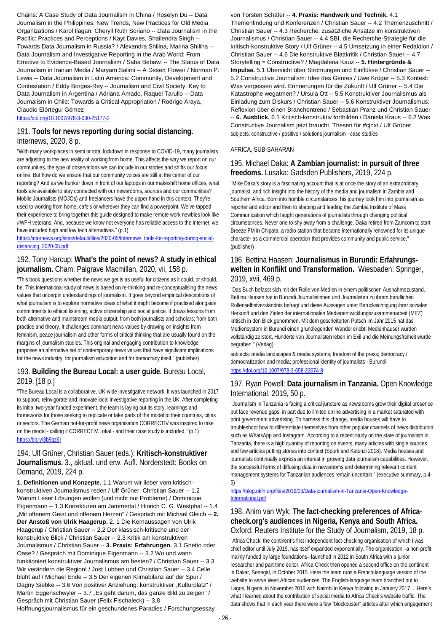Chains: A Case Study of Data Journalism in China / Roselyn Du -- Data Journalism in the Philippines: New Trends, New Practices for Old Media Organizations / Karol Ilagan, Cheryll Ruth Soriano -- Data Journalism in the Pacific: Practices and Perceptions / Kayt Davies, Shailendra Singh -- Towards Data Journalism in Russia? / Alexandra Shilina, Marina Shilina -- Data Journalism and Investigative Reporting in the Arab World: From Emotive to Evidence-Based Journalism / Saba Bebawi -- The Status of Data Journalism in Iranian Media / Maryam Salimi -- A Desert Flower / Norman P. Lewis -- Data Journalism in Latin America: Community, Development and Contestation / Eddy Borges-Rey -- Journalism and Civil Society: Key to Data Journalism in Argentina / Adriana Amado, Raquel Tarullo -- Data Journalism in Chile: Towards a Critical Appropriation / Rodrigo Araya, Claudio Elórtegui Gómez

<https://doi.org/10.1007/978-3-030-25177-2>

#### 191. **Tools for news reporting during social distancing.**  Internews, 2020, 8 p.

"With many workplaces in semi or total lockdown in response to COVID-19, many journalists are adjusting to the new reality of working from home. This affects the way we report on our communities, the type of observations we can include in our stories and shifts our focus online. But how do we ensure that our community voices are still at the center of our reporting? And as we hunker down in front of our laptops in our makeshift home offices, what tools are available to stay connected with our newsrooms, sources and our communities? Mobile Journalists (MOJOs) and freelancers have the upper hand in this context. They're used to working from home, cafe's or wherever they can find a powerpoint. We've tapped their experience to bring together this guide designed to make remote work newbies look like #WFH veterans. And, because we know not everyone has reliable access to the internet, we have included high and low tech alternatives." (p.1)

#### [https://internews.org/sites/default/files/2020-05/Internews\\_tools-for-reporting-during-social](https://internews.org/sites/default/files/2020-05/Internews_tools-for-reporting-during-social-distancing_2020-05.pdf)[distancing\\_2020-05.pdf](https://internews.org/sites/default/files/2020-05/Internews_tools-for-reporting-during-social-distancing_2020-05.pdf)

### 192. Tony Harcup: **What's the point of news? A study in ethical journalism.** Cham: Palgrave Macmillan, 2020, vii, 158 p.

"This book questions whether the news we get is as useful for citizens as it could, or should, be. This international study of news is based on re-thinking and re-conceptualising the news values that underpin understandings of journalism. It goes beyond empirical descriptions of what journalism is to explore normative ideas of what it might become if practised alongside commitments to ethical listening, active citizenship and social justice. It draws lessons from both alternative and mainstream media output; from both journalists and scholars; from both practice and theory. It challenges dominant news values by drawing on insights from feminism, peace journalism and other forms of critical thinking that are usually found on the margins of journalism studies. This original and engaging contribution to knowledge proposes an alternative set of contemporary news values that have significant implications for the news industry, for journalism education and for democracy itself." (publisher)

#### 193. **Building the Bureau Local: a user guide.** Bureau Local, 2019, [18 p.]

"The Bureau Local is a collaborative, UK-wide investigative network. It was launched in 2017 to support, reinvigorate and innovate local investigative reporting in the UK. After completing its initial two-year funded experiment, the team is laying out its story, learnings and frameworks for those seeking to replicate or take parts of the model to their countries, cities or sectors. The German not-for-profit news organisation CORRECTIV was inspired to take on the model - calling it CORRECTIV.Lokal - and their case study is included." (p.1) <https://bit.ly/3b9gz6I>

### 194. Ulf Grüner, Christian Sauer (eds.): **Kritisch-konstruktiver Journalismus.** 3., aktual. und erw. Aufl. Norderstedt: Books on Demand, 2019, 224 p.

**1. Definitionen und Konzepte.** 1.1 Warum wir lieber vom kritischkonstruktiven Journalismus reden / Ulf Grüner, Christian Sauer -- 1.2 Warum Leser Lösungen wollen (und nicht nur Probleme) / Dominique Eigenmann -- 1.3 Korrekturen am Jammertal / Hinrich C. G. Westphal -- 1.4 "Mit offenem Geist und offenem Herzen" / Gespräch mit Michael Gleich -- **2. Der Anstoß von Ulrik Haagerup.** 2. 1 Die Kernaussagen von Ulrik Haagerup / Christian Sauer -- 2.2 Der klassisch-kritische und der konstruktive Blick / Christian Sauer -- 2.3 Kritik am konstruktiven Journalismus / Christian Sauer -- **3. Praxis: Erfahrungen.** 3.1 Ghetto oder Oase? / Gespräch mit Dominique Eigenmann -- 3.2 Wo und wann funktioniert konstruktiver Journalismus am besten? / Christian Sauer -- 3.3 Wir verändern die Region! / Jost Lubben und Christian Sauer -- 3.4 Celle blüht auf / Michael Ende -- 3.5 Der eigenen Klimabilanz auf der Spur / Dagny Siebke -- 3.6 Von positiver Anziehung: konstruktiver "Kulturplatz" / Martin Eggenschwyler -- 3.7 "Es geht darum, das ganze Bild zu zeigen" / Gespräch mit Christian Sauer (Felix Fischaleck) -- 3.8

Hoffnungsjournalismus für ein geschundenes Paradies / Forschungsessay

von Torsten Schäfer -- **4. Praxis: Handwerk und Technik.** 4.1 Themenfindung und Konferenzen / Christian Sauer -- 4.2 Themenzuschnitt / Christian Sauer -- 4.3 Recherche: zusätzliche Ansätze im konstruktiven Journalismus / Christian Sauer -- 4.4 SBI, die Recherche-Strategie für die kritisch-konstruktive Story / Ulf Grüner -- 4.5 Umsetzung in einer Redaktion / Christian Sauer -- 4.6 Die konstruktive Blattkritik / Christian Sauer -- 4.7 Storytelling = Constructive? / Magdalena Kauz -- **5. Hintergründe & Impulse.** 5.1 Übersicht über Strömungen und Einflüsse / Christian Sauer -- 5.2 Constructive Journalism: Idee des Genres / Uwe Krüger -- 5.3 Kontext: Was vergessen wird. Erinnerungen für die Zukunft / Ulf Grüner -- 5.4 Die Katastrophe wegatmen? / Ursula Ott -- 5.5 Konstruktiver Journalismus als Einladung zum Diskurs / Christian Sauer -- 5.6 Konstruktiver Journalismus: Reflexion über einen Branchentrend / Sebastian Pranz und Christian Sauer -- **6. Ausblick.** 6.1 Kritisch-konstruktiv fortbilden / Daniela Kraus -- 6.2 Was Constructive Journalism jetzt braucht. Thesen für #cinxt / Ulf Grüner subjects: constructive / positive / solutions journalism - case studies

#### AFRICA, SUB-SAHARAN

#### 195. Michael Daka: **A Zambian journalist: in pursuit of three freedoms.** Lusaka: Gadsden Publishers, 2019, 224 p.

"Mike Daka's story is a fascinating account that is at once the story of an extraordinary journalist, and rich insight into the history of the media and journalism in Zambia and Southern Africa. Born into humble circumstances, his journey took him into journalism as reporter and editor and then to shaping and leading the Zambia Institute of Mass Communication which taught generations of journalists through changing political circumstances. Never one to shy away from a challenge, Daka retired from Zamcom to start Breeze FM in Chipata, a radio station that became internationally renowned for its unique character as a commercial operation that provides community and public service." (publisher)

#### 196. Bettina Haasen: **Journalismus in Burundi: Erfahrungswelten in Konflikt und Transformation.** Wiesbaden: Springer, 2019, xvii, 469 p.

"Das Buch befasst sich mit der Rolle von Medien in einem politischen Ausnahmezustand. Bettina Haasen hat in Burundi Journalistinnen und Journalisten zu ihrem beruflichen Rollenselbstverständnis befragt und diese Aussagen unter Berücksichtigung ihrer sozialen Herkunft und den Zielen der internationalen Medienentwicklungszusammenarbeit (MEZ) kritisch in den Blick genommen. Mit dem gescheiterten Putsch im Jahr 2015 hat das Mediensystem in Burundi einen grundlegenden Wandel erlebt: Medienhäuser wurden vollständig zerstört, Hunderte von Journalisten leben im Exil und die Meinungsfreiheit wurde begraben." (Verlag)

subjects: media landscapes & media systems; freedom of the press; democracy / democratization and media; professional identity of journalists - Burundi <https://doi.org/10.1007/978-3-658-23674-8>

### 197. Ryan Powell: **Data journalism in Tanzania.** Open Knowledge International, 2019, 50 p.

"Journalism in Tanzania is facing a critical juncture as newsrooms grow their digital presence but face revenue gaps, in part due to limited online advertising in a market saturated with print government advertising. To harness this change, media houses will have to troubleshoot how to differentiate themselves from other popular channels of news distribution such as WhatsApp and Instagram. According to a recent study on the state of journalism in Tanzania, there is a high quantity of reporting on events, many articles with single sources and few articles putting stories into context (Spurk and Katunzi 2018). Media houses and journalists continually express an interest in growing data journalism capabilities. However, the successful forms of diffusing data in newsrooms and determining relevant content management systems for Tanzanian audiences remain uncertain." (executive summary, p.4-  $5)$ 

[https://blog.okfn.org/files/2019/03/Data-journalism-in-Tanzania-Open-Knowledge-](https://blog.okfn.org/files/2019/03/Data-journalism-in-Tanzania-Open-Knowledge-International.pdf)[International.pdf](https://blog.okfn.org/files/2019/03/Data-journalism-in-Tanzania-Open-Knowledge-International.pdf)

#### 198. Anim van Wyk: **The fact-checking preferences of Africacheck.org's audiences in Nigeria, Kenya and South Africa.**  Oxford: Reuters Institute for the Study of Journalism, 2019, 18 p.

"Africa Check, the continent's first independent fact-checking organisation of which I was chief editor until July 2019, has itself expanded exponentially. The organisation –a non-profit mainly funded by large foundations– launched in 2012 in South Africa with a junior researcher and part-time editor. Africa Check then opened a second office on the continent in Dakar, Senegal, in October 2015. Here the team runs a French-language version of the website to serve West African audiences. The English-language team branched out to Lagos, Nigeria, in November 2016 with Nairobi in Kenya following in January 2017 ... Here's what I learned about the contribution of social media to Africa Check's website traffic: The data shows that in each year there were a few "blockbuster" articles after which engagement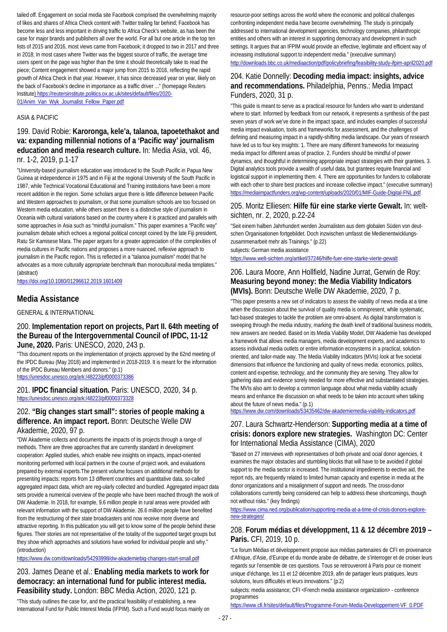tailed off. Engagement on social media site Facebook comprised the overwhelming majority of likes and shares of Africa Check content with Twitter trailing far behind; Facebook has become less and less important in driving traffic to Africa Check's website, as has been the case for major brands and publishers all over the world. For all but one article in the top ten lists of 2015 and 2016, most views came from Facebook; it dropped to two in 2017 and three in 2018; In most cases where Twitter was the biggest source of traffic, the average time users spent on the page was higher than the time it should theoretically take to read the piece; Content engagement showed a major jump from 2015 to 2016, reflecting the rapid growth of Africa Check in that year. However, it has since decreased year on year, likely on the back of Facebook's decline in importance as a traffic driver ..." (homepage Reuters Institute) https://reutersinstitute.politics.ox.ac.uk/sites/default/files/2020- 01/Anim\_Van\_Wyk\_Journalist\_Fellow\_Paper.pdf

#### ASIA & PACIFIC

199. David Robie: **Karoronga, kele'a, talanoa, tapoetethakot and va: expanding millennial notions of a 'Pacific way' journalism education and media research culture.** In: Media Asia, vol. 46, nr. 1-2, 2019, p.1-17

"University-based journalism education was introduced to the South Pacific in Papua New Guinea at independence in 1975 and in Fiji at the regional University of the South Pacific in 1987, while Technical Vocational Educational and Training institutions have been a more recent addition in the region. Some scholars argue there is little difference between Pacific and Western approaches to journalism, or that some journalism schools are too focused on Western media education, while others assert there is a distinctive style of journalism in Oceania with cultural variations based on the country where it is practiced and parallels with some approaches in Asia such as "mindful journalism." This paper examines a "Pacific way" journalism debate which echoes a regional political concept coined by the late Fiji president, Ratu Sir Kamisese Mara. The paper argues for a greater appreciation of the complexities of media cultures in Pacific nations and proposes a more nuanced, reflexive approach to journalism in the Pacific region. This is reflected in a "talanoa journalism" model that he advocates as a more culturally appropriate benchmark than monocultural media templates." (abstract)

<https://doi.org/10.1080/01296612.2019.1601409>

#### **Media Assistance**

GENERAL & INTERNATIONAL

#### 200. **Implementation report on projects, Part II. 64th meeting of the Bureau of the Intergovernmental Council of IPDC, 11-12 June, 2020.** Paris: UNESCO, 2020, 243 p.

"This document reports on the implementation of projects approved by the 62nd meeting of the IPDC Bureau (May 2018) and implemented in 2018-2019. It is meant for the information of the IPDC Bureau Members and donors." (p.1) <https://unesdoc.unesco.org/ark:/48223/pf0000373386>

#### 201. **IPDC financial situation.** Paris: UNESCO, 2020, 34 p. <https://unesdoc.unesco.org/ark:/48223/pf0000373328>

#### 202. **"Big changes start small": stories of people making a difference. An impact report.** Bonn: Deutsche Welle DW Akademie, 2020, 97 p.

"DW Akademie collects and documents the impacts of its projects through a range of methods. There are three approaches that are currently standard in development cooperation: Applied studies, which enable new insights on impacts, impact-oriented monitoring performed with local partners in the course of project work, and evaluations prepared by external experts.The present volume focuses on additional methods for presenting impacts: reports from 13 different countries and quantitative data, so-called aggregated impact data, which are reg-ularly collected and bundled. Aggregated impact data sets provide a numerical overview of the people who have been reached through the work of DW Akademie. In 2018, for example, 9.6 million people in rural areas were provided with relevant information with the support of DW Akademie. 26.6 million people have benefited from the restructuring of their state broadcasters and now receive more diverse and attractive reporting. In this publication you will get to know some of the people behind these figures. Their stories are not representative of the totality of the supported target groups but they show which approaches and solutions have worked for individual people and why." (introduction)

<https://www.dw.com/downloads/54293998/dw-akademiebig-changes-start-small.pdf>

203. James Deane et al.: **Enabling media markets to work for democracy: an international fund for public interest media. Feasibility study.** London: BBC Media Action, 2020, 121 p.

"This study outlines the case for, and the practical feasibility of establishing, a new International Fund for Public Interest Media (IFPIM). Such a Fund would focus mainly on

resource-poor settings across the world where the economic and political challenges confronting independent media have become overwhelming. The study is principally addressed to international development agencies, technology companies, philanthropic entities and others with an interest in supporting democracy and development in such settings. It argues that an IFPIM would provide an effective, legitimate and efficient way of increasing institutional support to independent media." (executive summary) <http://downloads.bbc.co.uk/mediaaction/pdf/policybriefing/feasibility-study-ifpim-april2020.pdf>

#### 204. Katie Donnelly: **Decoding media impact: insights, advice and recommendations.** Philadelphia, Penns.: Media Impact Funders, 2020, 31 p.

"This guide is meant to serve as a practical resource for funders who want to understand where to start. Informed by feedback from our network, it represents a synthesis of the past seven years of work we've done in the impact space, and includes examples of successful media impact evaluation, tools and frameworks for assessment, and the challenges of defining and measuring impact in a rapidly-shifting media landscape. Our years of research have led us to four key insights: 1. There are many different frameworks for measuring media impact for different areas of practice. 2. Funders should be mindful of power dynamics, and thoughtful in determining appropriate impact strategies with their grantees. 3. Digital analytics tools provide a wealth of useful data, but grantees require financial and logistical support in implementing them. 4. There are opportunities for funders to collaborate with each other to share best practices and increase collective impact." (executive summary) <https://mediaimpactfunders.org/wp-content/uploads/2020/01/MIF-Guide-Digital-FNL.pdf>

#### 205. Moritz Elliesen: **Hilfe für eine starke vierte Gewalt.** In: weltsichten, nr. 2, 2020, p.22-24

"Seit einem halben Jahrhundert werden Journalisten aus dem globalen Süden von deutschen Organisationen fortgebildet. Doch inzwischen umfasst die Medienentwicklungszusammenarbeit mehr als Trainings." (p.22) subjects: German media assistance

<https://www.welt-sichten.org/artikel/37246/hilfe-fuer-eine-starke-vierte-gewalt>

### 206. Laura Moore, Ann Hollfield, Nadine Jurrat, Gerwin de Roy: **Measuring beyond money: the Media Viability Indicators (MVIs).** Bonn: Deutsche Welle DW Akademie, 2020, 7 p.

"This paper presents a new set of indicators to assess the viability of news media at a time when the discussion about the survival of quality media is omnipresent, while systematic, fact-based strategies to tackle the problem are omni-absent. As digital transformation is sweeping through the media industry, marking the death knell of traditional business models, new answers are needed. Based on its Media Viability Model, DW Akademie has developed a framework that allows media managers, media development experts, and academics to assess individual media outlets or entire information ecosystems in a practical, solutionoriented, and tailor-made way. The Media Viability Indicators (MVIs) look at five societal dimensions that influence the functioning and quality of news media: economics, politics, content and expertise, technology, and the community they are serving. They allow for gathering data and evidence sorely needed for more effective and substantiated strategies. The MVIs also aim to develop a common language about what media viability actually means and enhance the discussion on what needs to be taken into account when talking about the future of news media." (p.1)

<https://www.dw.com/downloads/53435462/dw-akademiemedia-viability-indicators.pdf>

### 207. Laura Schwartz-Henderson: **Supporting media at a time of crisis: donors explore new strategies.** Washington DC: Center for International Media Assistance (CIMA), 2020

"Based on 27 interviews with representatives of both private and ocial donor agencies, it examines the major obstacles and stumbling blocks that will have to be avoided if global support to the media sector is increased. The institutional impediments to eective aid, the report nds, are frequently related to limited human capacity and expertise in media at the donor organizations and a misalignment of support and needs. The cross-donor collaborations currently being considered can help to address these shortcomings, though not without risks." (key findings)

[https://www.cima.ned.org/publication/supporting-media-at-a-time-of-crisis-donors-explore](https://www.cima.ned.org/publication/supporting-media-at-a-time-of-crisis-donors-explore-new-strategies/)[new-strategies/](https://www.cima.ned.org/publication/supporting-media-at-a-time-of-crisis-donors-explore-new-strategies/)

#### 208. **Forum médias et développment, 11 & 12 décembre 2019 – Paris.** CFI, 2019, 10 p.

"Le forum Médias et développement propose aux médias partenaires de CFI en provenance d'Afrique, d'Asie, d'Europe et du monde arabe de débattre, de s'interroger et de croiser leurs regards sur l'ensemble de ces questions. Tous se retrouveront à Paris pour ce moment unique d'échange, les 11 et 12 décembre 2019, afin de partager leurs pratiques, leurs solutions, leurs difficultés et leurs innovations." (p.2)

subjects: media assistance; CFI <French media assistance organization> - conference programmes

[https://www.cfi.fr/sites/default/files/Programme-Forum-Media-Developpement-VF\\_0.PDF](https://www.cfi.fr/sites/default/files/Programme-Forum-Media-Developpement-VF_0.PDF)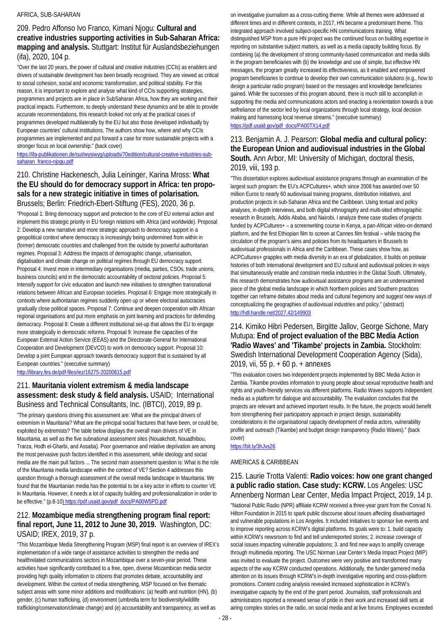#### AFRICA, SUB-SAHARAN

### 209. Pedro Affonso Ivo Franco, Kimani Njogu: **Cultural and creative industries supporting activities in Sub-Saharan Africa: mapping and analysis.** Stuttgart: Institut für Auslandsbeziehungen (ifa), 2020, 104 p.

"Over the last 20 years, the power of cultural and creative industries (CCIs) as enablers and drivers of sustainable development has been broadly recognised. They are viewed as critical to social cohesion, social and economic transformation, and political stability. For this reason, it is important to explore and analyse what kind of CCIs supporting strategies, programmes and projects are in place in SubSaharan Africa, how they are working and their practical impacts. Furthermore, to deeply understand these dynamics and be able to provide accurate recommendations, this research looked not only at the practical cases of programmes developed multilaterally by the EU but also those developed individually by European countries' cultural institutions. The authors show how, where and why CCIs programmes are implemented and put forward a case for more sustainable projects with a stronger focus on local ownership." (back cover)

[https://ifa-publikationen.de/out/wysiwyg/uploads/70edition/cultural-creative-industries-sub](https://ifa-publikationen.de/out/wysiwyg/uploads/70edition/cultural-creative-industries-sub-saharan_franco-njogu.pdf)[saharan\\_franco-njogu.pdf](https://ifa-publikationen.de/out/wysiwyg/uploads/70edition/cultural-creative-industries-sub-saharan_franco-njogu.pdf)

### 210. Christine Hackenesch, Julia Leininger, Karina Mross: **What the EU should do for democracy support in Africa: ten proposals for a new strategic initiative in times of polarisation.**  Brussels; Berlin: Friedrich-Ebert-Stiftung (FES), 2020, 36 p.

"Proposal 1: Bring democracy support and protection to the core of EU external action and implement this strategic priority in EU foreign relations with Africa (and worldwide). Proposal 2: Develop a new narrative and more strategic approach to democracy support in a geopolitical context where democracy is increasingly being undermined from within in (former) democratic countries and challenged from the outside by powerful authoritarian regimes. Proposal 3: Address the impacts of demographic change, urbanisation, digitalisation and climate change on political regimes through EU democracy support. Proposal 4: Invest more in intermediary organisations (media, parties, CSOs, trade unions, business councils) and in the democratic accountability of sectoral policies. Proposal 5: Intensify support for civic education and launch new initiatives to strengthen transnational relations between African and European societies. Proposal 6: Engage more strategically in contexts where authoritarian regimes suddenly open up or where electoral autocracies gradually close political spaces. Proposal 7: Continue and deepen cooperation with African regional organisations and put more emphasis on joint learning and practices for defending democracy. Proposal 8: Create a different institutional set-up that allows the EU to engage more strategically in democratic reforms. Proposal 9: Increase the capacities of the European External Action Service (EEAS) and the Directorate-General for International Cooperation and Development (DEVCO) to work on democracy support. Proposal 10: Develop a joint European approach towards democracy support that is sustained by all European countries." (executive summary)

<http://library.fes.de/pdf-files/iez/16275-20200615.pdf>

#### 211. **Mauritania violent extremism & media landscape assessment: desk study & field analysis.** USAID; International Business and Technical Consultants, Inc. (IBTCI), 2019, 89 p.

"The primary questions driving this assessment are: What are the principal drivers of extremism in Mauritania? What are the principal social fractures that have been, or could be, exploited by extremists? The table below displays the overall main drivers of VE in Mauritania, as well as the five subnational assessment sites (Nouakchott, Nouadhibou, Trarza, Hodh el-Gharbi, and Assaba). Poor governance and relative deprivation are among the most pervasive push factors identified in this assessment, while ideology and social media are the main pull factors ... The second main assessment question is: What is the role of the Mauritania media landscape within the context of VE? Section 4 addresses this question through a thorough assessment of the overall media landscape in Mauritania. We found that the Mauritanian media has the potential to be a key actor in efforts to counter VE in Mauritania. However, it needs a lot of capacity building and professionalization in order to be effective." (p.8-10) https://pdf.usaid.gov/pdf\_docs/PA00W5PD.pdf

### 212. **Mozambique media strengthening program final report: final report, June 11, 2012 to June 30, 2019.** Washington, DC: USAID; IREX, 2019, 37 p.

"This Mozambique Media Strengthening Program (MSP) final report is an overview of IREX's implementation of a wide range of assistance activities to strengthen the media and healthrelated communications sectors in Mozambique over a seven-year period. These activities have significantly contributed to a free, open, diverse Mozambican media sector providing high quality information to citizens that promotes debate, accountability and development. Within the context of media strengthening, MSP focused on five thematic subject areas with some minor additions and modifications: (a) health and nutrition (HN), (b) gender, (c) human trafficking, (d) environment (umbrella term for biodiversity/wildlife trafficking/conservation/climate change) and (e) accountability and transparency, as well as

on investigative journalism as a cross-cutting theme. While all themes were addressed at different times and in different contexts, in 2017, HN became a predominant theme. This integrated approach involved subject-specific HN communications training. What distinguished MSP from a pure HN project was the continued focus on building expertise in reporting on substantive subject matters, as well as a media capacity building focus. By combining (a) the development of strong community-based communication and media skills in the program beneficiaries with (b) the knowledge and use of simple, but effective HN messages, the program greatly increased its effectiveness, as it enabled and empowered program beneficiaries to continue to develop their own communication solutions (e.g., how to design a particular radio program) based on the messages and knowledge beneficiaries gained. While the successes of this program abound, there is much still to accomplish in supporting the media and communications actors and enacting a reorientation towards a true selfreliance of the sector led by local organizations through local strategy, local decision making and harnessing local revenue streams." (executive summary) [https://pdf.usaid.gov/pdf\\_docs/PA00TX14.pdf](https://pdf.usaid.gov/pdf_docs/PA00TX14.pdf)

#### 213. Benjamin A. J. Pearson: **Global media and cultural policy: the European Union and audiovisual industries in the Global South.** Ann Arbor, MI: University of Michigan, doctoral thesis, 2019, viii, 193 p.

"This dissertation explores audiovisual assistance programs through an examination of the largest such program: the EU's ACPCultures+, which since 2008 has awarded over 50 million Euros to nearly 60 audiovisual training programs, distribution initiatives, and production projects in sub-Saharan Africa and the Caribbean. Using textual and policy analyses, in-depth interviews, and both digital ethnography and multi-sited ethnographic research in Brussels, Addis Ababa, and Nairobi, I analyze three case studies of projects funded by ACPCultures+ – a screenwriting course in Kenya, a pan-African video-on-demand platform, and the first Ethiopian film to screen at Cannes film festival – while tracing the circulation of the program's aims and policies from its headquarters in Brussels to audiovisual professionals in Africa and the Caribbean. These cases show how, as ACPCultures+ grapples with media diversity in an era of globalization, it builds on postwar histories of both international development and EU cultural and audiovisual policies in ways that simultaneously enable and constrain media industries in the Global South. Ultimately, this research demonstrates how audiovisual assistance programs are an underexamined piece of the global media landscape in which Northern policies and Southern practices together can reframe debates about media and cultural hegemony and suggest new ways of conceptualizing the geographies of audiovisual industries and policy." (abstract) <http://hdl.handle.net/2027.42/149903>

#### 214. Kimiko Hibri Pedersen, Birgitte Jallov, George Sichone, Mary Mutupa: **End of project evaluation of the BBC Media Action 'Radio Waves' and 'Tikambe' projects in Zambia.** Stockholm: Swedish International Development Cooperation Agency (Sida), 2019, vii, 55 p. + 60 p. + annexes

"This evaluation covers two independent projects implemented by BBC Media Action in Zambia. Tikambe provides information to young people about sexual reproductive health and rights and youth-friendly services via different platforms. Radio Waves supports independent media as a platform for dialogue and accountability. The evaluation concludes that the projects are relevant and achieved important results. In the future, the projects would benefit from strengthening their participatory approach in project design, sustainability considerations in the organisational capacity development of media actors, vulnerability profile and outreach (Tikambe) and budget design transparency (Radio Waves)." (back cover)

<https://bit.ly/3hJvs26>

#### AMERICAS & CARIBBEAN

#### 215. Laurie Trotta Valenti: **Radio voices: how one grant changed a public radio station. Case study: KCRW.** Los Angeles: USC Annenberg Norman Lear Center, Media Impact Project, 2019, 14 p.

"National Public Radio (NPR) affiliate KCRW received a three-year grant from the Conrad N. Hilton Foundation in 2015 to spark public discourse about issues affecting disadvantaged and vulnerable populations in Los Angeles. It included initiatives to sponsor live events and to improve reporting across KCRW's digital platforms. Its goals were to: 1. build capacity within KCRW's newsroom to find and tell underreported stories; 2. increase coverage of social issues impacting vulnerable populations; 3. and find new ways to amplify coverage through multimedia reporting. The USC Norman Lear Center's Media Impact Project (MIP) was invited to evaluate the project. Outcomes were very positive and transformed many aspects of the way KCRW conducted operations. Additionally, the funder garnered media attention on its issues through KCRW's in-depth investigative reporting and cross-platform promotions. Content coding analysis revealed increased sophistication in KCRW's investigative capacity by the end of the grant period. Journalists, staff professionals and administrators reported a renewed sense of pride in their work and increased skill sets at airing complex stories on the radio, on social media and at live forums. Employees exceeded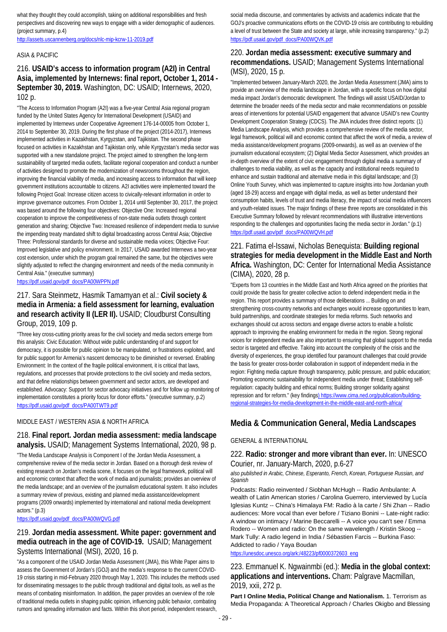what they thought they could accomplish, taking on additional responsibilities and fresh perspectives and discovering new ways to engage with a wider demographic of audiences. (project summary, p.4)

<http://assets.uscannenberg.org/docs/nlc-mip-kcrw-11-2019.pdf>

#### ASIA & PACIFIC

### 216. **USAID's access to information program (A2I) in Central Asia, implemented by Internews: final report, October 1, 2014 - September 30, 2019.** Washington, DC: USAID; Internews, 2020, 102 p.

"The Access to Information Program (A2I) was a five-year Central Asia regional program funded by the United States Agency for International Development (USAID) and implemented by Internews under Cooperative Agreement 176-14-00005 from October 1, 2014 to September 30, 2019. During the first phase of the project (2014-2017), Internews implemented activities in Kazakhstan, Kyrgyzstan, and Tajikistan. The second phase focused on activities in Kazakhstan and Tajikistan only, while Kyrgyzstan's media sector was supported with a new standalone project. The project aimed to strengthen the long-term sustainability of targeted media outlets, facilitate regional cooperation and conduct a number of activities designed to promote the modernization of newsrooms throughout the region, improving the financial viability of media, and increasing access to information that will keep government institutions accountable to citizens. A2I activities were implemented toward the following Project Goal: Increase citizen access to civically-relevant information in order to improve governance outcomes. From October 1, 2014 until September 30, 2017, the project was based around the following four objectives: Objective One: Increased regional cooperation to improve the competitiveness of non-state media outlets through content generation and sharing; Objective Two: Increased resilience of independent media to survive the impending treaty mandated shift to digital broadcasting across Central Asia; Objective Three: Professional standards for diverse and sustainable media voices; Objective Four: Improved legislative and policy environment. In 2017, USAID awarded Internews a two-year cost extension, under which the program goal remained the same, but the objectives were slightly adjusted to reflect the changing environment and needs of the media community in Central Asia." (executive summary)

[https://pdf.usaid.gov/pdf\\_docs/PA00WPPN.pdf](https://pdf.usaid.gov/pdf_docs/PA00WPPN.pdf)

#### 217. Sara Steinmetz, Hasmik Tamamyan et al.: **Civil society & media in Armenia: a field assessment for learning, evaluation and research activity II (LER II).** USAID; Cloudburst Consulting Group, 2019, 109 p.

"Three key cross-cutting priority areas for the civil society and media sectors emerge from this analysis: Civic Education: Without wide public understanding of and support for democracy, it is possible for public opinion to be manipulated, or frustrations exploited, and for public support for Armenia's nascent democracy to be diminished or reversed. Enabling Environment: In the context of the fragile political environment, it is critical that laws, regulations, and processes that provide protections to the civil society and media sectors, and that define relationships between government and sector actors, are developed and established. Advocacy: Support for sector advocacy initiatives and for follow up monitoring of implementation constitutes a priority focus for donor efforts." (executive summary, p.2) [https://pdf.usaid.gov/pdf\\_docs/PA00TWT9.pdf](https://pdf.usaid.gov/pdf_docs/PA00TWT9.pdf)

#### MIDDLE EAST / WESTERN ASIA & NORTH AFRICA

#### 218. **Final report. Jordan media assessment: media landscape analysis.** USAID; Management Systems International, 2020, 98 p.

"The Media Landscape Analysis is Component I of the Jordan Media Assessment, a comprehensive review of the media sector in Jordan. Based on a thorough desk review of existing research on Jordan's media scene, it focuses on the legal framework, political will and economic context that affect the work of media and journalists; provides an overview of the media landscape; and an overview of the journalism educational system. It also includes a summary review of previous, existing and planned media assistance/development programs (2009 onwards) implemented by international and national media development actors." (p.3)

[https://pdf.usaid.gov/pdf\\_docs/PA00WQVG.pdf](https://pdf.usaid.gov/pdf_docs/PA00WQVG.pdf)

### 219. **Jordan media assessment. White paper: government and media outreach in the age of COVID-19.** USAID; Management Systems International (MSI), 2020, 16 p.

"As a component of the USAID Jordan Media Assessment (JMA), this White Paper aims to assess the Government of Jordan's (GOJ) and the media's response to the current COVID-19 crisis starting in mid-February 2020 through May 1, 2020. This includes the methods used for disseminating messages to the public through traditional and digital tools, as well as the means of combating misinformation. In addition, the paper provides an overview of the role of traditional media outlets in shaping public opinion, influencing public behavior, combating rumors and spreading information and facts. Within this short period, independent research,

social media discourse, and commentaries by activists and academics indicate that the GOJ's proactive communications efforts on the COVID-19 crisis are contributing to rebuilding a level of trust between the State and society at large, while increasing transparency." (p.2) [https://pdf.usaid.gov/pdf\\_docs/PA00WQVK.pdf](https://pdf.usaid.gov/pdf_docs/PA00WQVK.pdf)

#### 220. **Jordan media assessment: executive summary and recommendations.** USAID; Management Systems International (MSI), 2020, 15 p.

"Implemented between January-March 2020, the Jordan Media Assessment (JMA) aims to provide an overview of the media landscape in Jordan, with a specific focus on how digital media impact Jordan's democratic development. The findings will assist USAID/Jordan to determine the broader needs of the media sector and make recommendations on possible areas of interventions for potential USAID engagement that advance USAID's new Country Development Cooperation Strategy (CDCS). The JMA includes three distinct reports: (1) Media Landscape Analysis, which provides a comprehensive review of the media sector, legal framework, political will and economic context that affect the work of media, a review of media assistance/development programs (2009-onwards), as well as an overview of the journalism educational ecosystem; (2) Digital Media Sector Assessment, which provides an in-depth overview of the extent of civic engagement through digital media a summary of challenges to media viability, as well as the capacity and institutional needs required to enhance and sustain traditional and alternative media in this digital landscape; and (3) Online Youth Survey, which was implemented to capture insights into how Jordanian youth (aged 18-29) access and engage with digital media, as well as better understand their consumption habits, levels of trust and media literacy, the impact of social media influencers and youth-related issues. The major findings of these three reports are consolidated in this Executive Summary followed by relevant recommendations with illustrative interventions responding to the challenges and opportunities facing the media sector in Jordan." (p.1) [https://pdf.usaid.gov/pdf\\_docs/PA00WQVH.pdf](https://pdf.usaid.gov/pdf_docs/PA00WQVH.pdf)

### 221. Fatima el-Issawi, Nicholas Benequista: **Building regional strategies for media development in the Middle East and North Africa.** Washington, DC: Center for International Media Assistance (CIMA), 2020, 28 p.

"Experts from 13 countries in the Middle East and North Africa agreed on the priorities that could provide the basis for greater collective action to defend independent media in the region. This report provides a summary of those deliberations ... Building on and strengthening cross-country networks and exchanges would increase opportunities to learn, build partnerships, and coordinate strategies for media reforms. Such networks and exchanges should cut across sectors and engage diverse actors to enable a holistic approach to improving the enabling environment for media in the region. Strong regional voices for independent media are also important to ensuring that global support to the media sector is targeted and effective. Taking into account the complexity of the crisis and the diversity of experiences, the group identified four paramount challenges that could provide the basis for greater cross-border collaboration in support of independent media in the region: Fighting media capture through transparency, public pressure, and public education; Promoting economic sustainability for independent media under threat; Establishing selfregulation: capacity building and ethical norms; Building stronger solidarity against repression and for reform." (key findings) https://www.cima.ned.org/publication/buildingregional-strategies-for-media-development-in-the-middle-east-and-north-africa/

### **Media & Communication General, Media Landscapes**

#### GENERAL & INTERNATIONAL

#### 222. **Radio: stronger and more vibrant than ever.** In: UNESCO Courier, nr. January-March, 2020, p.6-27

*also published in Arabic, Chinese, Esperanto, French, Korean, Portuguese Russian, and Spanish*

Podcasts: Radio reinvented / Siobhan McHugh -- Radio Ambulante: A wealth of Latin American stories / Carolina Guerrero, interviewed by Lucía Iglesias Kuntz -- China's Himalaya FM: Radio à la carte / Shi Zhan -- Radio audiences: More vocal than ever before / Tiziano Bonini -- Late-night radio: A window on intimacy / Marine Beccarelli -- A voice you can't see / Emma Rodero -- Women and radio: On the same wavelength / Kristin Skoog -- Mark Tully: A radio legend in India / Sébastien Farcis -- Burkina Faso: Addicted to radio / Yaya Boudan

[https://unesdoc.unesco.org/ark:/48223/pf0000372603\\_eng](https://unesdoc.unesco.org/ark:/48223/pf0000372603_eng)

223. Emmanuel K. Ngwainmbi (ed.): **Media in the global context: applications and interventions.** Cham: Palgrave Macmillan, 2019, xxii, 272 p.

**Part I Online Media, Political Change and Nationalism.** 1. Terrorism as Media Propaganda: A Theoretical Approach / Charles Okigbo and Blessing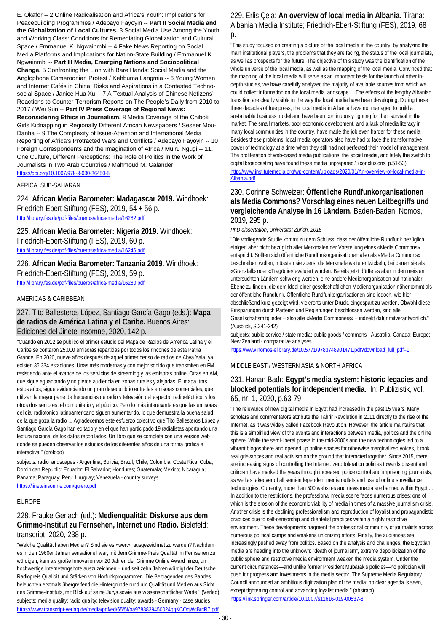E. Okafor -- 2 Online Radicalisation and Africa's Youth: Implications for Peacebuilding Programmes / Adebayo Fayoyin -- **Part II Social Media and the Globalization of Local Cultures.** 3 Social Media Use Among the Youth and Working Class: Conditions for Remediating Globalization and Cultural Space / Emmanuel K. Ngwainmbi -- 4 Fake News Reporting on Social Media Platforms and Implications for Nation-State Building / Emmanuel K. Ngwainmbi -- **Part III Media, Emerging Nations and Sociopolitical Change.** 5 Confronting the Lion with Bare Hands: Social Media and the Anglophone Cameroonian Protest / Kehbuma Langmia -- 6 Young Women and Internet Cafés in China: Risks and Aspirations in a Contested Technosocial Space / Janice Hua Xu -- 7 A Textual Analysis of Chinese Netizens' Reactions to Counter-Terrorism Reports on The People's Daily from 2010 to 2017 / Wei Sun -- **Part IV Press Coverage of Regional News: Reconsidering Ethics in Journalism.** 8 Media Coverage of the Chibok Girls Kidnapping in Regionally Different African Newspapers / Seseer Mou-Danha -- 9 The Complexity of Issue-Attention and International Media Reporting of Africa's Protracted Wars and Conflicts / Adebayo Fayoyin -- 10 Foreign Correspondents and the Imagination of Africa / Muiru Ngugi -- 11. One Culture, Different Perceptions: The Role of Politics in the Work of Journalists in Two Arab Countries / Mahmoud M. Galander <https://doi.org/10.1007/978-3-030-26450-5>

AFRICA, SUB-SAHARAN

224. **African Media Barometer: Madagascar 2019.** Windhoek: Friedrich-Ebert-Stiftung (FES), 2019, 54 + 56 p. <http://library.fes.de/pdf-files/bueros/africa-media/16282.pdf>

225. **African Media Barometer: Nigeria 2019.** Windhoek: Friedrich-Ebert-Stiftung (FES), 2019, 60 p. <http://library.fes.de/pdf-files/bueros/africa-media/16246.pdf>

226. **African Media Barometer: Tanzania 2019.** Windhoek: Friedrich-Ebert-Stiftung (FES), 2019, 59 p. <http://library.fes.de/pdf-files/bueros/africa-media/16280.pdf>

#### AMERICAS & CARIBBEAN

227. Tito Ballesteros López, Santiago García Gago (eds.): **Mapa de radios de América Latina y el Caribe.** Buenos Aires: Ediciones del Jinete Insomne, 2020, 142 p.

"Cuando en 2012 se publicó el primer estudio del Mapa de Radios de América Latina y el Caribe se contaron 25.000 emisoras repartidas por todos los rincones de esta Patria Grande. En 2020, nueve años después de aquel primer censo de radios de Abya Yala, ya existen 35.334 estaciones. Unas más modernas y con mejor sonido que transmiten en FM, resistiendo ante el avance de los servicios de streaming y las emisoras online. Otras en AM, que sigue aguantando y no pierde audiencia en zonas rurales y alejadas. El mapa, tras estos años, sigue evidenciando un gran desequilibrio entre las emisoras comerciales, que utilizan la mayor parte de frecuencias de radio y televisión del espectro radioeléctrico, y los otros dos sectores: el comunitario y el público. Pero lo más interesante es que las emisoras del dial radiofónico latinoamericano siguen aumentando, lo que demuestra la buena salud de la que goza la radio ... Agradecemos este esfuerzo colectivo que Tito Ballesteros López y Santiago García Gago han editado y en el que han participado 19 radialistas aportando una lectura nacional de los datos recopilados. Un libro que se completa con una versión web donde se pueden observar los estudios de los diferentes años de una forma gráfica e interactiva." (prólogo)

subjects: radio landscapes - Argentina; Bolivia; Brazil; Chile; Colombia; Costa Rica; Cuba; Dominican Republic; Ecuador; El Salvador; Honduras; Guatemala; Mexico; Nicaragua; Panama; Paraguay; Peru; Uruguay; Venezuela - country surveys <https://jineteinsomne.com/quiero.pdf>

#### EUROPE

### 228. Frauke Gerlach (ed.): **Medienqualität: Diskurse aus dem Grimme-Institut zu Fernsehen, Internet und Radio.** Bielefeld: transcript, 2020, 238 p.

"Welche Qualität haben Medien? Sind sie es »wert«, ausgezeichnet zu werden? Nachdem es in den 1960er Jahren sensationell war, mit dem Grimme-Preis Qualität im Fernsehen zu würdigen, kam als große Innovation vor 20 Jahren der Grimme Online Award hinzu, um hochwertige Internetangebote auszuzeichnen – und seit zehn Jahren würdigt der Deutsche Radiopreis Qualität und Stärken von Hörfunkprogrammen. Die Beitragenden des Bandes beleuchten erstmals übergreifend die Hintergründe rund um Qualität und Medien aus Sicht des Grimme-Instituts, mit Blick auf seine Jurys sowie aus wissenschaftlicher Warte." (Verlag) subjects: media quality; radio quality; television quality; awards - Germany - case studies https://www.transcript-verlag.de/media/pdf/ed/65/5f/oa9783839450024qqKCQqWcBrcR7.pdf

#### 229. Erlis Çela: **An overview of local media in Albania.** Tirana: Albanian Media Institute; Friedrich-Ebert-Stiftung (FES), 2019, 68  $D<sub>0</sub>$

"This study focused on creating a picture of the local media in the country, by analyzing the main institutional players, the problems that they are facing, the status of the local journalists, as well as prospects for the future. The objective of this study was the identification of the whole universe of the local media, as well as the mapping of the local media. Convinced that the mapping of the local media will serve as an important basis for the launch of other indepth studies, we have carefully analyzed the majority of available sources from which we could collect information on the local media landscape ... The effects of the lengthy Albanian transition are clearly visible in the way the local media have been developing. During these three decades of free press, the local media in Albania have not managed to build a sustainable business model and have been continuously fighting for their survival in the market. The small markets, poor economic development, and a lack of media literacy in many local communities in the country, have made the job even harder for these media. Besides these problems, local media operators also have had to face the transformative power of technology at a time when they still had not perfected their model of management. The proliferation of web-based media publications, the social media, and lately the switch to digital broadcasting have found these media unprepared." (conclusions, p.51-53) [http://www.institutemedia.org/wp-content/uploads/2020/01/An-overview-of-local-media-in-](http://www.institutemedia.org/wp-content/uploads/2020/01/An-overview-of-local-media-in-Albania.pdf)[Albania.pdf](http://www.institutemedia.org/wp-content/uploads/2020/01/An-overview-of-local-media-in-Albania.pdf)

#### 230. Corinne Schweizer: **Öffentliche Rundfunkorganisationen als Media Commons? Vorschlag eines neuen Leitbegriffs und vergleichende Analyse in 16 Ländern.** Baden-Baden: Nomos, 2019, 295 p.

*PhD dissertation, Universität Zürich, 2016*

"Die vorliegende Studie kommt zu dem Schluss, dass der öffentliche Rundfunk bezüglich einiger, aber nicht bezüglich aller Merkmalen der Vorstellung eines «Media Commons» entspricht. Sollten sich öffentliche Rundfunkorganisationen also als «Media Commons» beschreiben wollen, müssten sie zuerst die Merkmale weiterentwickeln, bei denen sie als «Grenzfall» oder «Tragödie» evaluiert wurden. Bereits jetzt dürfte es aber in den meisten untersuchten Ländern schwierig werden, eine andere Medienorganisation auf nationaler Ebene zu finden, die dem Ideal einer gesellschaftlichen Medienorganisation näherkommt als der öffentliche Rundfunk. Öffentliche Rundfunkorganisationen sind jedoch, wie hier abschließend kurz gezeigt wird, vielerorts unter Druck, eingespart zu werden. Obwohl diese Einsparungen durch Parteien und Regierungen beschlossen werden, sind alle Gesellschaftsmitglieder – also alle «Media Commoners» – indirekt dafür mitverantwortlich." (Ausblick, S.241-242)

subjects: public service / state media; public goods / commons - Australia; Canada; Europe; New Zealand - comparative analyses

[https://www.nomos-elibrary.de/10.5771/9783748901471.pdf?download\\_full\\_pdf=1](https://www.nomos-elibrary.de/10.5771/9783748901471.pdf?download_full_pdf=1)

#### MIDDLE EAST / WESTERN ASIA & NORTH AFRICA

### 231. Hanan Badr: **Egypt's media system: historic legacies and blocked potentials for independent media.** In: Publizistik, vol. 65, nr. 1, 2020, p.63-79

"The relevance of new digital media in Egypt had increased in the past 15 years. Many scholars and commentators attribute the Tahrir Revolution in 2011 directly to the rise of the Internet, as it was widely called Facebook Revolution. However, the article maintains that this is a simplified view of the events and interactions between media, politics and the online sphere. While the semi-liberal phase in the mid-2000s and the new technologies led to a vibrant blogosphere and opened up online spaces for otherwise marginalized voices, it took real grievances and real activism on the ground that interacted together. Since 2015, there are increasing signs of controlling the Internet: zero toleration policies towards dissent and criticism have marked the years through increased police control and imprisoning journalists, as well as takeover of all semi-independent media outlets and use of online surveillance technologies. Currently, more than 500 websites and news media are banned within Egypt ... In addition to the restrictions, the professional media scene faces numerous crises: one of which is the erosion of the economic viability of media in times of a massive journalism crisis. Another crisis is the declining professionalism and reproduction of loyalist and propagandistic practices due to self-censorship and clientelist practices within a highly restrictive environment. These developments fragment the professional community of journalists across numerous political camps and weakens unionizing efforts. Finally, the audiences are increasingly pushed away from politics. Based on the analysis and challenges, the Egyptian media are heading into the unknown: "death of journalism", extreme depoliticization of the public sphere and restrictive media environment weaken the media system. Under the current circumstances—and unlike former President Mubarak's policies—no politician will push for progress and investments in the media sector. The Supreme Media Regulatory Council announced an ambitious digitization plan of the media; no clear agenda is seen, except tightening control and advancing loyalist media." (abstract) <https://link.springer.com/article/10.1007/s11616-019-00537-8>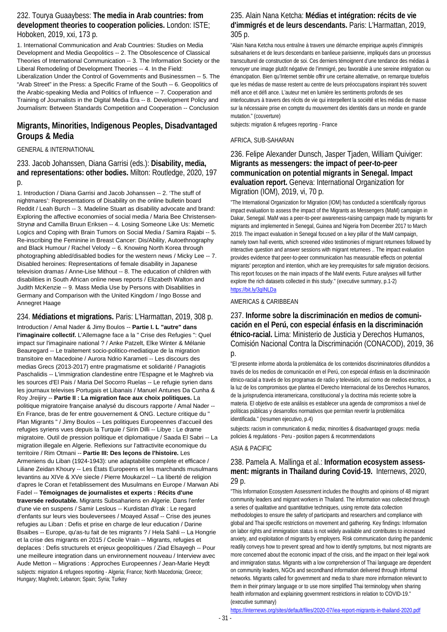#### 232. Tourya Guaaybess: **The media in Arab countries: from development theories to cooperation policies.** London: ISTE; Hoboken, 2019, xxi, 173 p.

1. International Communication and Arab Countries: Studies on Media Development and Media Geopolitics -- 2. The Obsolescence of Classical Theories of International Communication -- 3. The Information Society or the Liberal Remodeling of Development Theories -- 4. In the Field: Liberalization Under the Control of Governments and Businessmen -- 5. The "Arab Street" in the Press: a Specific Frame of the South -- 6. Geopolitics of the Arabic-speaking Media and Politics of Influence -- 7. Cooperation and Training of Journalists in the Digital Media Era -- 8. Development Policy and Journalism: Between Standards Competition and Cooperation -- Conclusion

### **Migrants, Minorities, Indigenous Peoples, Disadvantaged Groups & Media**

#### GENERAL & INTERNATIONAL

233. Jacob Johanssen, Diana Garrisi (eds.): **Disability, media, and representations: other bodies.** Milton: Routledge, 2020, 197 p.

1. Introduction / Diana Garrisi and Jacob Johanssen -- 2. 'The stuff of nightmares': Representations of Disability on the online bulletin board Reddit / Leah Burch -- 3. Madeline Stuart as disability advocate and brand: Exploring the affective economies of social media / Maria Bee Christensen-Strynø and Camilla Bruun Eriksen -- 4. Losing Someone Like Us: Memetic Logics and Coping with Brain Tumors on Social Media / Samira Rajabi -- 5. Re-inscribing the Feminine in Breast Cancer: Dis/Ability, Autoethnography and Black Humour / Rachel Velody -- 6. Knowing North Korea through photographing abled/disabled bodies for the western news / Micky Lee -- 7. Disabled heroines: Representations of female disability in Japanese television dramas / Anne-Lise Mithout -- 8. The education of children with disabilities in South African online news reports / Elizabeth Walton and Judith McKenzie -- 9. Mass Media Use by Persons with Disabilities in Germany and Comparison with the United Kingdom / Ingo Bosse and Annegret Haage

### 234. **Médiations et migrations.** Paris: L'Harmattan, 2019, 308 p.

Introduction / Amal Nader & Jimy Boulos -- **Partie I. L "autre" dans l'imaginaire collectif.** L'Allemagne face a la " Crise des Refugies ": Quel impact sur l'imaginaire national ? / Anke Patzelt, Elke Winter & Mélanie Beauregard -- Le traitement socio-politico-mediatique de la migration transitoire en Macedoine / Aurora Ndrio Karameti -- Les discours des medias Grecs (2013-2017) entre pragmatisme et solidarité / Panagiotis Paschalidis -- L'immigration clandestine entre l'Espagne et le Maghreb via les sources d'El Pais / Maria Del Socorro Ruelas -- Le refugie syrien dans les journaux televises Portugais et Libanais / Manuel Antunes Da Cunha & Roy Jreijiry -- **Partie II : La migration face aux choix politiques.** La politique migratoire française analysé du discours rapporte / Amal Nader -- En France, bras de fer entre gouvernement & ONG. Lecture critique du " Plan Migrants " / Jimy Boulos -- Les politiques Europeennes d'accueil des refugies syriens vues depuis la Turquie / Sirin Dilli -- Libye : Le drame migratoire. Outil de pression politique et diplomatique / Saada El Sabri -- La migration illegale en Algerie. Reflexions sur l'attractivite economique du territoire / Rim Otmani -- **Partie III: Des leçons de l'histoire.** Les Armeniens du Liban (1924-1943): une adaptabilite complete et efficace / Liliane Zeidan Khoury -- Les États Europeens et les marchands musulmans levantins au XIVe & XVe siecle / Pierre Moukarzel -- La liberté de religion d'apres le Coran et l'etablissement des Musulmans en Europe / Marwan Abi Fadel -- **Témoignages de journalistes et experts : Récits d'une traversée redoutable.** Migrants Subsahariens en Algerie. Dans l'enfer d'une vie en suspens / Samir Leslous -- Kurdistan d'Irak : Le regard d'enfants sur leurs vies bouleversees / Moayed Assaf -- Crise des jeunes refugies au Liban : Defis et prise en charge de leur education / Darine Bsaibes -- Europe, qu'as-tu fait de tes migrants ? / Hela Sahli -- La Hongrie et la crise des migrants en 2015 / Cecile Vrain -- Migrants, refugies et deplaces : Defis structurels et enjeux geopolitiques / Ziad Elsayegh -- Pour une meilleure integration dans un environnement nouveau / Interview avec Aude Metton -- Migrations : Approches Europeennes / Jean-Marie Heydt subjects: migration & refugees reporting - Algeria; France; North Macedonia; Greece; Hungary; Maghreb; Lebanon; Spain; Syria; Turkey

#### 235. Alain Nana Ketcha: **Médias et intégration: récits de vie d'immigrés et de leurs descendants.** Paris: L'Harmattan, 2019, 305 p.

"Alain Nana Ketcha nous entraîne à travers une démarche empirique auprès d'immigrés subsahariens et de leurs descendants en banlieue parisienne, impliqués dans un processus transculturel de construction de soi. Ces derniers témoignent d'une tendance des médias à renvoyer une image plutôt négative de l'immigré, peu favorable à une sereine intégration ou émancipation. Bien qu'Internet semble offrir une certaine alternative, on remarque toutefois que les médias de masse restent au centre de leurs préoccupations inspirant très souvent méfi ance et défi ance. L'auteur met en lumière les sentiments profonds de ses interlocuteurs à travers des récits de vie qui interpellent la société et les médias de masse sur la nécessaire prise en compte du mouvement des identités dans un monde en grande mutation." (couverture)

### subjects: migration & refugees reporting - France

#### AFRICA, SUB-SAHARAN

236. Felipe Alexander Dunsch, Jasper Tjaden, William Quiviger: **Migrants as messengers: the impact of peer-to-peer communication on potential migrants in Senegal. Impact evaluation report.** Geneva: International Organization for Migration (IOM), 2019, vi, 70 p.

"The International Organization for Migration (IOM) has conducted a scientifically rigorous impact evaluation to assess the impact of the Migrants as Messengers (MaM) campaign in Dakar, Senegal. MaM was a peer-to-peer awareness-raising campaign made by migrants for migrants and implemented in Senegal, Guinea and Nigeria from December 2017 to March 2019. The impact evaluation in Senegal focused on a key pillar of the MaM campaign, namely town hall events, which screened video testimonies of migrant returnees followed by interactive question and answer sessions with migrant returnees .. The impact evaluation provides evidence that peer-to-peer communication has measurable effects on potential migrants' perception and intention, which are key prerequisites for safe migration decisions. This report focuses on the main impacts of the MaM events. Future analyses will further explore the rich datasets collected in this study." (executive summary, p.1-2) <https://bit.ly/3gINLDa>

AMERICAS & CARIBBEAN

#### 237. **Informe sobre la discriminación en medios de comunicación en el Perú, con especial énfasis en la discriminación étnico-racial.** Lima: Ministerio de Justicia y Derechos Humanos, Comisión Nacional Contra la Discriminación (CONACOD), 2019, 36 p.

"El presente informe aborda la problemática de los contenidos discriminatorios difundidos a través de los medios de comunicación en el Perú, con especial énfasis en la discriminación étnico-racial a través de los programas de radio y televisión, así como de medios escritos, a la luz de los compromisos que plantea el Derecho Internacional de los Derechos Humanos, de la jurisprudencia interamericana, constitucional y la doctrina más reciente sobre la materia. El objetivo de este análisis es establecer una agenda de compromisos a nivel de políticas públicas y desarrollos normativos que permitan revertir la problemática identificada." (resumen ejecutivo, p.4)

subjects: racism in communication & media; minorities & disadvantaged groups: media policies & regulations - Peru - position papers & recommendations

#### ASIA & PACIFIC

#### 238. Pamela A. Mallinga et al.: **Information ecosystem assessment: migrants in Thailand during Covid-19.** Internews, 2020, 29 p.

"This Information Ecosystem Assessment includes the thoughts and opinions of 48 migrant community leaders and migrant workers in Thailand. The information was collected through a series of qualitative and quantitative techniques, using remote data collection methodologies to ensure the safety of participants and researchers and compliance with global and Thai specific restrictions on movement and gathering. Key findings: Information on labor rights and immigration status is not widely available and contributes to increased anxiety, and exploitation of migrants by employers. Risk communication during the pandemic readily conveys how to prevent spread and how to identify symptoms, but most migrants are more concerned about the economic impact of the crisis, and the impact on their legal work and immigration status. Migrants with a low comprehension of Thai language are dependent on community leaders, NGOs and secondhand information delivered through informal networks. Migrants called for government and media to share more information relevant to them in their primary language or to use more simplified Thai terminology when sharing health information and explaining government restrictions in relation to COVID-19." (executive summary)

<https://internews.org/sites/default/files/2020-07/iea-report-migrants-in-thailand-2020.pdf>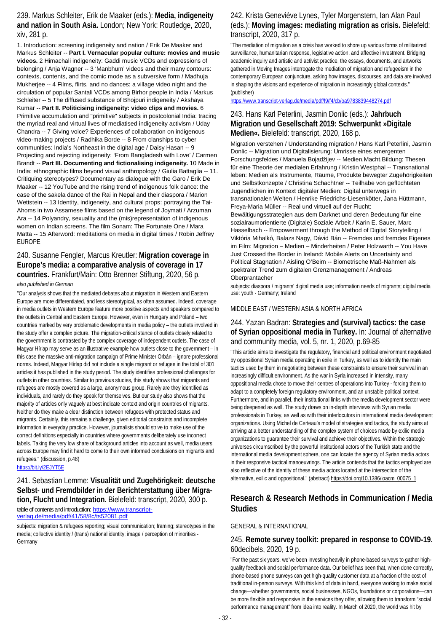239. Markus Schleiter, Erik de Maaker (eds.): **Media, indigeneity and nation in South Asia.** London; New York: Routledge, 2020, xiv, 281 p.

1. Introduction: screening indigeneity and nation / Erik De Maaker and Markus Schleiter -- **Part I. Vernacular popular culture: movies and music videos.** 2 Himachali indigeneity: Gaddi music VCDs and expressions of belonging / Anja Wagner -- 3 'Manbhum' videos and their many contours: contexts, contents, and the comic mode as a subversive form / Madhuja Mukherjee -- 4 Films, flirts, and no dances: a village video night and the circulation of popular Santali VCDs among Birhor people in India / Markus Schleiter -- 5 The diffused substance of Bhojpuri indigeneity / Akshaya Kumar -- **Part II. Politicising indigeneity: video clips and movies.** 6 Primitive accumulation and "primitive" subjects in postcolonial India: tracing the myriad real and virtual lives of mediatised indigeneity activism / Uday Chandra -- 7 Giving voice? Experiences of collaboration on indigenous video-making projects / Radhika Borde -- 8 From clanships to cyber communities: India's Northeast in the digital age / Daisy Hasan -- 9 Projecting and rejecting indigeneity: 'From Bangladesh with Love' / Carmen Brandt -- **Part III. Documenting and fictionalising indigeneity.** 10 Made in India: ethnographic films beyond visual anthropology / Giulia Battaglia -- 11. Critiquing stereotypes? Documentary as dialogue with the Garo / Erik De Maaker -- 12 YouTube and the rising trend of indigenous folk dance: the case of the sakela dance of the Rai in Nepal and their diaspora / Marion Wettstein -- 13 Identity, indigeneity, and cultural props: portraying the Tai-Ahoms in two Assamese films based on the legend of Joymati / Arzuman Ara -- 14 Polyandry, sexuality and the (mis)representation of indigenous women on Indian screens. The film Sonam: The Fortunate One / Mara Matta -- 15 Afterword: meditations on media in digital times / Robin Jeffrey EUROPE

#### 240. Susanne Fengler, Marcus Kreutler: **Migration coverage in Europe's media: a comparative analysis of coverage in 17 countries.** Frankfurt/Main: Otto Brenner Stiftung, 2020, 56 p. *also published in German*

"Our analysis shows that the mediated debates about migration in Western and Eastern Europe are more differentiated, and less stereotypical, as often assumed. Indeed, coverage in media outlets in Western Europe feature more positive aspects and speakers compared to the outlets in Central and Eastern Europe. However, even in Hungary and Poland – two countries marked by very problematic developments in media policy – the outlets involved in the study offer a complex picture. The migration-critical stance of outlets closely related to the government is contrasted by the complex coverage of independent outlets. The case of Magyar Hírlap may serve as an illustrative example how outlets close to the government – in this case the massive anti-migration campaign of Prime Minister Orbán – ignore professional norms. Indeed, Magyar Hírlap did not include a single migrant or refugee in the total of 301 articles it has published in the study period. The study identifies professional challenges for outlets in other countries. Similar to previous studies, this study shows that migrants and refugees are mostly covered as a large, anonymous group. Rarely are they identified as individuals, and rarely do they speak for themselves. But our study also shows that the majority of articles only vaguely at best indicate context and origin countries of migrants. Neither do they make a clear distinction between refugees with protected status and migrants. Certainly, this remains a challenge, given editorial constraints and incomplete information in everyday practice. However, journalists should strive to make use of the correct definitions especially in countries where governments deliberately use incorrect labels. Taking the very low share of background articles into account as well, media users across Europe may find it hard to come to their own informed conclusions on migrants and refugees." (discussion, p.48)

<https://bit.ly/2EJYT5E>

241. Sebastian Lemme: **Visualität und Zugehörigkeit: deutsche Selbst- und Fremdbilder in der Berichterstattung über Migration, Flucht und Integration.** Bielefeld: transcript, 2020, 300 p. table of contents and introduction: [https://www.transcript](https://www.transcript-verlag.de/media/pdf/41/58/8c/ts52081.pdf)[verlag.de/media/pdf/41/58/8c/ts52081.pdf](https://www.transcript-verlag.de/media/pdf/41/58/8c/ts52081.pdf)

subjects: migration & refugees reporting; visual communication; framing; stereotypes in the media; collective identity / (trans) national identity; image / perception of minorities - Germany

### 242. Krista Geneviève Lynes, Tyler Morgenstern, Ian Alan Paul (eds.): **Moving images: mediating migration as crisis.** Bielefeld: transcript, 2020, 317 p.

"The mediation of migration as a crisis has worked to shore up various forms of militarized surveillance, humanitarian response, legislative action, and affective investment. Bridging academic inquiry and artistic and activist practice, the essays, documents, and artworks gathered in Moving Images interrogate the mediation of migration and refugeeism in the contemporary European conjuncture, asking how images, discourses, and data are involved in shaping the visions and experience of migration in increasingly global contexts." (publisher)

<https://www.transcript-verlag.de/media/pdf/f9/f4/cb/oa9783839448274.pdf>

### 243. Hans Karl Peterlini, Jasmin Donlic (eds.): **Jahrbuch Migration und Gesellschaft 2019: Schwerpunkt »Digitale Medien«.** Bielefeld: transcript, 2020, 168 p.

Migration verstehen / Understanding migration / Hans Karl Peterlini, Jasmin Donlic -- Migration und Digitalisierung: Umrisse eines emergenten Forschungsfeldes / Manuela Bojadžijev -- Medien.Macht.Bildung: Thesen für eine Theorie der medialen Erfahrung / Kristin Westphal -- Transnational leben: Medien als Instrumente, Räume, Produkte bewegter Zugehörigkeiten und Selbstkonzepte / Christina Schachtner -- Teilhabe von geflüchteten Jugendlichen im Kontext digitaler Medien: Digital unterwegs in transnationalen Welten / Henrike Friedrichs-Liesenkötter, Jana Hüttmann, Freya-Maria Müller -- Real und virtuell auf der Flucht: Bewältigungsstrategien aus dem Darknet und deren Bedeutung für eine sozialraumorientierte (Digitale) Soziale Arbeit / Karin E. Sauer, Marc Hasselbach -- Empowerment through the Method of Digital Storytelling / Viktória Mihalkó, Balazs Nagy, Dávid Bán -- Fremdes und fremdes Eigenes im Film: Migration – Medien – Minderheiten / Peter Holzwarth -- You Have Just Crossed the Border in Ireland: Mobile Alerts on Uncertainty and

Political Stagnation / Aisling O'Beirn -- Biometrische Maß-Nahmen als spektraler Trend zum digitalen Grenzmanagement / Andreas Oberprantacher

subjects: diaspora / migrants' digital media use; information needs of migrants; digital media use: youth - Germany; Ireland

#### MIDDLE EAST / WESTERN ASIA & NORTH AFRICA

#### 244. Yazan Badran: **Strategies and (survival) tactics: the case of Syrian oppositional media in Turkey.** In: Journal of alternative and community media, vol. 5, nr. 1, 2020, p.69-85

"This article aims to investigate the regulatory, financial and political environment negotiated by oppositional Syrian media operating in exile in Turkey, as well as to identify the main tactics used by them in negotiating between these constraints to ensure their survival in an increasingly difficult environment. As the war in Syria increased in intensity, many oppositional media chose to move their centres of operations into Turkey - forcing them to adapt to a completely foreign regulatory environment, and an unstable political context. Furthermore, and in parallel, their institutional links with the media development sector were being deepened as well. The study draws on in-depth interviews with Syrian media professionals in Turkey, as well as with their interlocutors in international media development organizations. Using Michel de Certeau's model of strategies and tactics, the study aims at arriving at a better understanding of the complex system of choices made by exilic media organizations to guarantee their survival and achieve their objectives. Within the strategic universes circumscribed by the powerful institutional actors of the Turkish state and the international media development sphere, one can locate the agency of Syrian media actors in their responsive tactical manoeuvrings. The article contends that the tactics employed are also reflective of the identity of these media actors located at the intersection of the alternative, exilic and oppositional." (abstract) https://doi.org/10.1386/joacm\_00075\_1

### **Research & Research Methods in Communication / Media Studies**

#### GENERAL & INTERNATIONAL

#### 245. **Remote survey toolkit: prepared in response to COVID-19.**  60decibels, 2020, 19 p.

"For the past six years, we've been investing heavily in phone-based surveys to gather highquality feedback and social performance data. Our belief has been that, when done correctly, phone-based phone surveys can get high-quality customer data at a fraction of the cost of traditional in-person surveys. With this kind of data in hand, everyone working to make social change—whether governments, social businesses, NGOs, foundations or corporations—can be more flexible and responsive in the services they offer, allowing them to transform "social performance management" from idea into reality. In March of 2020, the world was hit by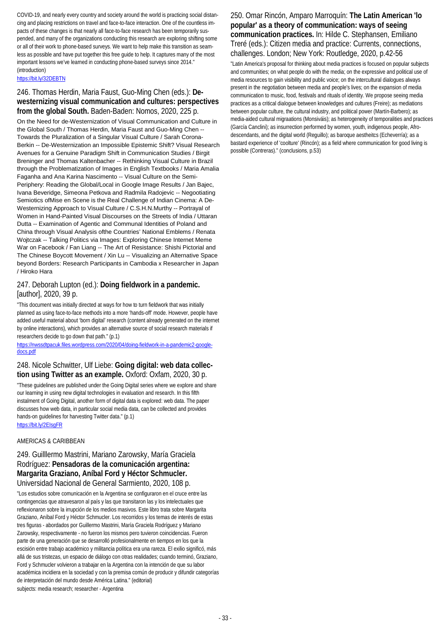COVID-19, and nearly every country and society around the world is practicing social distancing and placing restrictions on travel and face-to-face interaction. One of the countless impacts of these changes is that nearly all face-to-face research has been temporarily suspended, and many of the organizations conducting this research are exploring shifting some or all of their work to phone-based surveys. We want to help make this transition as seamless as possible and have put together this free guide to help. It captures many of the most important lessons we've learned in conducting phone-based surveys since 2014." (introduction)

<https://bit.ly/32DEBTN>

### 246. Thomas Herdin, Maria Faust, Guo-Ming Chen (eds.): **Dewesternizing visual communication and cultures: perspectives from the global South.** Baden-Baden: Nomos, 2020, 225 p.

On the Need for de-Westernization of Visual Communication and Culture in the Global South / Thomas Herdin, Maria Faust and Guo-Ming Chen -- Towards the Pluralization of a Singular Visual Culture / Sarah Corona-Berkin -- De-Westernization an Impossible Epistemic Shift? Visual Research Avenues for a Genuine Paradigm Shift in Communication Studies / Birgit Breninger and Thomas Kaltenbacher -- Rethinking Visual Culture in Brazil through the Problematization of Images in English Textbooks / Maria Amalia Faganha and Ana Karina Nascimento -- Visual Culture on the Semi-Periphery: Reading the Global/Local in Google Image Results / Jan Bajec, Ivana Beveridge, Simeona Petkova and Radmila Radojevic -- Negootiating Semiotics ofMise en Scene is the Real Challenge of Indian Cinema: A De-Westernizing Approach to Visual Culture / C.S.H.N.Murthy -- Portrayal of Women in Hand-Painted Visual Discourses on the Streets of India / Uttaran Dutta -- Examination of Agentic and Communal Identities of Poland and China through Visual Analysis ofthe Countries' National Emblems / Renata Wojtczak -- Talking Politics via Images: Exploring Chinese Internet Meme War on Facebook / Fan Liang -- The Art of Resistance: Shishi Pictorial and The Chinese Boycott Movement / Xin Lu -- Visualizing an Alternative Space beyond Borders: Research Participants in Cambodia x Researcher in Japan / Hiroko Hara

### 247. Deborah Lupton (ed.): **Doing fieldwork in a pandemic.**  [author], 2020, 39 p.

"This document was initially directed at ways for how to turn fieldwork that was initially planned as using face-to-face methods into a more 'hands-off' mode. However, people have added useful material about 'born digital' research (content already generated on the internet by online interactions), which provides an alternative source of social research materials if researchers decide to go down that path." (p.1)

[https://nwssdtpacuk.files.wordpress.com/2020/04/doing-fieldwork-in-a-pandemic2-google](https://nwssdtpacuk.files.wordpress.com/2020/04/doing-fieldwork-in-a-pandemic2-google-docs.pdf)[docs.pdf](https://nwssdtpacuk.files.wordpress.com/2020/04/doing-fieldwork-in-a-pandemic2-google-docs.pdf)

#### 248. Nicole Schwitter, Ulf Liebe: **Going digital: web data collection using Twitter as an example.** Oxford: Oxfam, 2020, 30 p.

"These guidelines are published under the Going Digital series where we explore and share our learning in using new digital technologies in evaluation and research. In this fifth instalment of Going Digital, another form of digital data is explored: web data. The paper discusses how web data, in particular social media data, can be collected and provides hands-on guidelines for harvesting Twitter data." (p.1) <https://bit.ly/2EIsgFR>

## AMERICAS & CARIBBEAN

### 249. Guilllermo Mastrini, Mariano Zarowsky, María Graciela Rodríguez: **Pensadoras de la comunicación argentina: Margarita Graziano, Aníbal Ford y Héctor Schmucler.**  Universidad Nacional de General Sarmiento, 2020, 108 p.

"Los estudios sobre comunicación en la Argentina se configuraron en el cruce entre las contingencias que atravesaron al país y las que transitaron las y los intelectuales que reflexionaron sobre la irrupción de los medios masivos. Este libro trata sobre Margarita Graziano, Aníbal Ford y Héctor Schmucler. Los recorridos y los temas de interés de estas tres figuras - abordados por Guillermo Mastrini, María Graciela Rodríguez y Mariano Zarowsky, respectivamente - no fueron los mismos pero tuvieron coincidencias. Fueron parte de una generación que se desarrolló profesionalmente en tiempos en los que la escisión entre trabajo académico y militancia política era una rareza. El exilio significó, más allá de sus tristezas, un espacio de diálogo con otras realidades; cuando terminó, Graziano, Ford y Schmucler volvieron a trabajar en la Argentina con la intención de que su labor académica incidiera en la sociedad y con la premisa común de producir y difundir categorías de interpretación del mundo desde América Latina." (editorial) subjects: media research; researcher - Argentina

250. Omar Rincón, Amparo Marroquín: **The Latin American 'lo popular' as a theory of communication: ways of seeing communication practices.** In: Hilde C. Stephansen, Emiliano Treré (eds.): Citizen media and practice: Currents, connections, challenges. London; New York: Routledge, 2020, p.42-56

"Latin America's proposal for thinking about media practices is focused on popular subjects and communities; on what people do with the media; on the expressive and political use of media resources to gain visibility and public voice; on the intercultural dialogues always present in the negotiation between media and people's lives; on the expansion of media communication to music, food, festivals and rituals of identity. We propose seeing media practices as a critical dialogue between knowledges and cultures (Freire); as mediations between popular culture, the cultural industry, and political power (Martín-Barbero); as media-aided cultural migraations (Monsiváis); as heterogeneity of temporalities and practices (García Canclini); as insurrection performed by women, youth, indigenous people, Afrodescendants, and the digital world (Reguillo); as baroque aestheitcs (Echeverría); as a bastard experience of 'coolture' (Rincón); as a field where communication for good living is possible (Contreras)." (conclusions, p.53)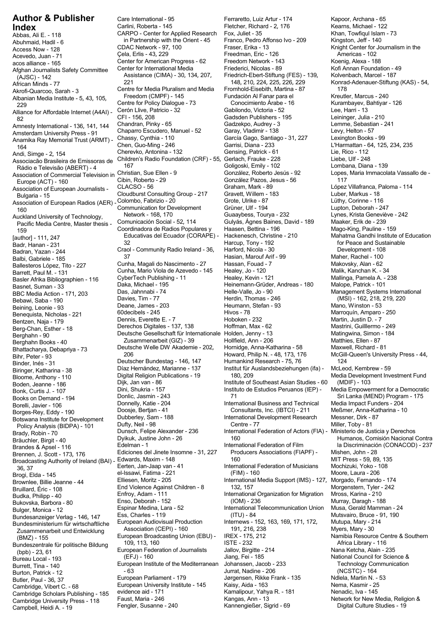Abbas, Ali E. - 118 CARPO - Center for Applied Research Fox, Juliet - 35 Khan, Towfiqul Islam - 73 Abditional, Hadit - 0. The CDAC Network - 97, 100 Fraser, Erika - 13 Knight Center for Journalism in the Access Now - 128 Americas - 102<br>Access Now - 128 Cela, Erlis - 43, 229 Freedman, Eric - 126 Americas - 102 Acevedo, Juan - 71 Çela, Erlis - 43, 229 Freedman, Eric - 126 Americas - 102 Afghan Journalists Safety Committee Center for International Media Friederici, Nicolas - 89 Kofi Annan Foundation - 4<br>Assistance (CIMA) - 30, 134, 207, Friedrich-Ebert-Stiftung (FES) - 139, Kolvenbach, Marcel - 187 (A.ISC) Assistance (CIMA) - 30, 134, 207, Friedrich-Ebert-Stiftung (FES) - 139, 139, 139, 221 (AJSC) - 142 (AJSC) - 142 (AJSC) - 142 (AJSC) - 142 (AJSC) - 142 (AJSC) - 142 (AJSC) - 142 (AJSC) - 189, 211 (AJSC) - 187 (ATICAN Minds Akrofi-Quarcoo, Sarah - 3 Centre for Media Pluralism and Media Fromhold-Eisebith, Martina - 87 178 178<br>Albanian Media Institute - 5 43 105 Freedom (CMPF) - 145 Fundación Al Fanar para el Kreutler, Marcus - 240 Albanian Media Institute - 5, 43, 105, Freedom (CMPF) - 145 Fundación Al Fanar para el Kreutler, Marcus - 240<br>216 - 216 Kurambayev, Bahtiyar - 126 , 43, 105, Centre for Policy Dialogue - 73 , 430 , 436 - 16 , 43, 436 , 4 noaman weua msuute - 5, 45, 105, Centre for Policy Dialogue - 73 Conocimiento Árabe - 16 Kurambayev, E<br>229 Kurambayev, Elisabet - 126 2008, Cerón Llive. Patricio - 32 Gabilondo. Victoria - 52 Lee. Harri - 13 Alliance for Affordable Internet (A4AI) - Cerón Llive, Patricio - 32 Gabilondo, Victoria - 52 Lee, Harri - 13 Amnesty International - 136, 141, 144 Chandran, Pinky - 65 Gadzekpo, Audrey - 3 Lemme, Sebastia<br>Amsterdam University Press - 91 Chaparro Escudero, Manuel - 52 Garay, Vladimir - 138 Levy, Helto Amsterdam University Press - 91 Chaparro Escudero, Manuel - 52 Garay, Vladimir - 138 Levy, Helton - 57<br>Anamika Ray Memorial Trust (ARMT) - Chassy, Cynthia - 110 García Gago, Santiago - 31, 227 Lex Anamika Ray Memorial Trust (ARMT) - Chassy, Cynthia - 110 García Gago, Santia<br>164 Garrisi, Diana - 233 Andrews August Chen, Guo-Ming - 246 Garrisi, Diana - 233 L'Harmattan - 64, 125, 234, 235 Chen, Guo-Ming - 246 Garrisi, Diana - 233 L'Harmattan - 64, 125, 234, 235 Cherevko, Antonina - 132 Gensing, Patrick - 61 Lie, Rico - Andi, Simge - 2 Cherevko, Antonina - 132 Gensing, Patrick - 61 Lie, Rico - 112 , 154 Children, Singo E, 1918.<br>Associacão Brasileira de Emissoras de Children's Radio Foundation (CRF) - 55, Gerlach, Frauke - 228 Liebe, Ulf Rádio e Televisão (ABERT) - 4 167 de agosto de la construção de la combana, Diana - 139 de la combana, Diana -Association of Commercial Television in Christian, Sue Ellen - 9 González, Roberto Jesús - 92 Lopes, Maria Immacolata Vassallo de - SSOCIATOR OF COMMERCIAL REFUSION IN CHARGE (SSOCIATOR)<br>EUROPE (ACT) - 160 Cibin, Roberto - 29 González Pazos, Jesus - 56 117<br>ssociation of European Journalists - CLACSO - 56 6 Graham, Mark - 89 López Villafranca, Paloma - CLACSO - 56 Graham, Mark - 89 López Villafranca, Paloma - 114 Association of European Journalists - Bulgaria - 15 Cloudburst Consulting Group - 217 Gravett, Willem - 183 Luber, Markus - 18<br>Bulgaria - 15 Cloudburst Consulting Group - 217 Gravett, Willem - 183 Luber, Markus - 18<br>In Group - 116 Consulting Group - 116 Group Association of European Radios (AER) - Colombo, Fabrizio - 20 Corole, Ulrike - 87 Corole, Ulrike - 87 Lüthy, Corinne - 116<br>Communication for Development Grüner, Ulf - 194 Lupton, Deborah - 247 Communication for Development Grüner, Ulf - 194 Lupton, Deborah - 247<br>160 Lupton, Deborah - 247 Communication for Development Guaaybess, Tourya - 232 Lynes, Krista Geneviève - 242 Auckland University of Technology, Network - 168, 170 Guaaybess, Tourya - 232 Lynes, Krista Geneviè<br>Pacific Media Centre, Master thesis - Comunicación Social - 52, 114 Gulyás, Ágnes Baines, David r doministic ordinations in the Coordinadora de Radios Populares y Baasen, Bettina - 196<br>159 Mago-King, Pauline - 210 Educativas del Ecuador (CORAPE) - Hackenesch, Christine - 210 Educativas del Ecuador (CORAPE) - Hackenesch, Christine - 210 Mahatma Gandhi Institute of Education [author] - 111, 247 Eadron Princess of the Caracteristic Caracteristic Caracteristic Caracteristic Caracteristic Craol - Community Radio Ireland - 36, Harcup, Tony - 192 for Peace and Sustainable Badran, Yazan - 244 Craol - Community Radio Ir Balbi, Gabriele - 185 37 Hasian, Marouf Arif - 99 Maher, Rachel - 100 Ballesteros López, Tito - 227 Cunha, Magali do Nascimento - 27 Hassan, Fouad - 7 Makovsky, Alan - 62 Basler Afrika Bibliographien - 116 CyberTech Publishing - 11 Healey, Kevin - 121 Mallinga, Pamela A. -<br>101 - Basnet, Suman - 33 Malope, Patrick - 101 Malope, Patrick - 101 BBC Media Action - 171, 203 David Charles (MSI) - 162, 218, 219, 220<br>Bebawi, Saba - 190<br>Beining Leonie - 93 **Deane, James - 203** Heumann, Stefan - 93 Mano, Winston - 53 Beining, Leonie - 93 Deane, James - 203 Heumann, Stefan - 93 Mano, Winston - 53 Benequista, Nicholas - 221 <sup>60decibels - 245</sup> Hivos - 78 Marroquín, Amparo - 78 Marroquín, Amparo - 7<br>1 - Bentzen Naja - 179 Martin, Justin D. - 7 Bentzen, Naja - 179 Pennis, Everette E. - 7 Pennis, Everette E. - 7 Hoboken - 232 Martin, Justin D. - 7 Pennis, Everette E. - 7 Pennis, Everette E. - 7 Hoboken - 232 Martin, Justin D. - 7 Pennis, Everechos Digitales - 137, Derechos Digitales - 137, <sup>138</sup> Hoffman, Max - 62 Mastrini, Guilllermo - 249 Berg-Chan, Esther - 18 Berghahn - 90 Deutsche Gesellschaft für Internationale Holden, Jenny - 13 Matingwina, Simon - 184 Berghahn Books - 40 Zusammenarbeit (GIZ) - 39 Hollfield, Ann - 206 Matthies, Ellen - 87<br>Bhattacharya, Debapriya - 73 Deutsche Welle DW Akademie - 202, Hornidge, Anna-Katharina - 58 Maxwell, Richard Bhattacharya, Debapriya - 73 Deutsche Welle DW Akademie - 202, Hornidge, Anna-Katharina - 58<br>Bihr. Peter - 93 Maxwell, Richard - 81 Maxwell, Richard - 81 Maxwell, Richard - 81 Maxwell, Richard - 81 Maxwe السابر المسابرية المسابرية المسابرية المسابرية المسابرية المسابرية المسابرية المسابرية المسابرية المسابرية ال<br>Binder, Inés - 31 124<br>Binneer Katharina - 38 1262 Hernández, Marianne - 137 1nstitut für Auslandsbeziehungen (i Biringer, Katharina - 38 Díaz Hernández, Marianne - 137 Institut für Auslandsbeziehungen (ifa) -<br>Bloome. Anthony - 110 Digital Religion Publications - 19 180, 209 Bloome, Anthony - 110 Digital Religion Publications - 19 180, 209 Media Development Investment Fund<br>Boden, Jeanne - 186 Dijk, Jan van - 86 Institute of Southeast Asian Studies - 60 (MDIF) - 103 Diodine, Antiony - 110<br>Boden, Jeanne - 186 Institute of Southeast Asian Studies - 60 (MDIF) - 103<br>Bonk, Curtis J. - 107 Institute - 157 Institute of Estudios Peruanos (IEP) - Media Empowerment for a Democratic Bouch, Scanne - 100<br>Bonk, Curtis J. - 107 Dini, Shukria - 157 Instituto de Estudios Peruanos (IEP) -<br>Books on Demand - 194 Donlic, Jasmin - 243 71 71 Borelli, Javier 106 Donnelly, Katie - 204 International Business and Technical Media Impact Funders - 204<br>Borges Rey Eddy - 190 Doosje, Bertjan - 41 Consultants, Inc. (IBTCI) - 211 Meßmer, Anna-Katharina - 10 Doosje, Bertjan - 41 Consultants, Inc. (IBTCI) - 211 Meßmer, Anna-Katharina - 10 Borges-Rey, Eddy - 190 Doosje, Bertjan - 41 Consultants, Inc. (IBTCI) - 211 Meßmer, Anna-Katharina - 10 Borges-Rey, Eddy - 190 Dubberley, Sam Botswana Institute for Development Dubberley, Sam - 188 International Development Research Messner, Dirk - 81<br>18 - Miller, Toby - 81 International Development Research Messner, Dirk - 81<br>18 - Centre - 77 - 27 Miller, Toby Policy Analysis (BIDPA) - 101 Dufty, Neil - 98<br>Irady, Robin - 70 Dunsch, Felipe Alexander - 236 Brady, Robin - 70 Dunsch, Felipe Alexander - 236 International Federation of Actors (FIA) - Ministerio de Justicia y Derechos<br>Brauchler, Birgit - 40 Dyikuk, Justine John - 26 160 160 Humanos, Comisión Nacional ( المادي المستعدد المستعدد المستعدد المستعدد المستعدد المستعدد المستعدد المستعدد المستعدد المستعدد المستعدد المس<br>Bräuchler, Birgit - 40 16 16 16 Edelman - 1<br>Brändes & Apsel - 116 16 16 Edelman - 1 Brennen, J. Scott - 173, 176 **Ediciones del Jinete Insomne - 31, 227** Producers Associations (FIAPF) - Mishen, John - 28<br>Brendessting Authority of Ireland (BAI) - Edwards, Maxim - 148 160 160 160 MIT Press - 59, 89, 135 Broadcasting Authority of Ireland (BAI) - Edwards, Maxim - 148 160 MIT Press - 59, 89, 13<br>Eerten. Jan-Jaap van - 41 Miternational Federation of Musicians Mochizuki. Yoko - 108 Eerten, Jan-Jaap van - 41 International Federation of Musicians Mochizuki, Yoko - 1<br>16, 37 Brogi, Elda - 145 del-Issawi, Fatima - 221 (FIM) - 160 Moore, Laura - 206 o, 37<br>Brogi, Elda - 145 Moore, Laura - 206 el-Issawi, Fatima - 221 (FIM) - 160 Moore, Elliesen, Moritz - 205 Moore,<br>Brownlee, Billie Jeanne - 44 Elliesen, Moritz - 205 Moritz - 205 Moriernational Media Support (IMS) - 127 Brownlee, Billie Jeanne - 44 Elliesen, Moritz - 205 International Media Support (IMS) - 127, Morgado, Fernando<br>174 Bruillard, Éric - 108 International Media Support (IMS) - 127, Morgenstern, Tyler - 242<br>132, 157 Morgenste Bruillard, Éric - 108<br>Bruillard, Éric - 108 Fend Violence Against Children - 8 132, 157<br>Budka. Philipp - 40 Fend of Enfroy, Adam - 111 More and the International Organization for Migration Mross, Karina - 210 Bukovska, Barbora - 80 Lnso, Deborah - 152 (IOM) - 236 Murray, Daragh - 188<br>Bulger Mopice - 12 Espinar Medina. Lara - 52 International Telecommunication Union Musa. Gerald M Bulger, Monica - 12 Espinar Medina, Lara - 52 International Telecommunication Union Musa, Gerald Mamman - 2<br>Bulger, Monica - 12 Ess, Charles - 119 (ITU) - 84 Mutsvairo, Bruce - 91, 190 Bundesanzeiger Verlag - 146, 147 Ess, Charles - 119 (ITU) - 84 (ITU) - 84 Mutsvairo, Bruce - 9<br>Bundesministerium für wirtschaftliche European Audiovisual Production Internews - 152, 163, 169, 171, 172, Mutupa, Mary - 214 Eundesministerium für wirtschaftliche European Audiovisual Production Internews - 152, 163, 169, 171, 172, Mutupa, Mary - 2<br>21. Zusammenarbeit und Entwicklung Association (CEPI) - 160 191, 216, 238 Vers, Mary - 30 20sammenarbeit und Entwicklung Association (CEPI) - 160 191, 216, 238<br>Association (CEPI) - 160 1915, 212 Manibia Resource Centre & Southern (CEPI) - 160 191, 216, 212 191, 212 20 2<br>Manibia Resource Centre European Broadcasting Union (EBU) - IREX - 175, 212 Namibia Resource Centre & Southern (BMZ) - 155<br>
undeszentrale für politische Rildung 109, 113, 160 MSTE - 232 Africa Library - 116 Bundeszentrale für politische Bildung 109, 113, 160 ISTE - 232 Africa Library - 116<br>Heropean Federation of Journalists Jallov, Birgitte - 214 Mana Ketcha, Alain - 235 European Federation of Journalists Jallov, Birgitte - 21.<br>
Curopean Federation of Journalists Jallov, Birgitte - 21.<br>
Bureau Local - 193 (EFJ) - 160 (DFJ) - 23, 61 Jiang, Fei Burrett, Tina - 140 **European Institute of the Mediterranean** Johanssen, Jacob - 233 Technology Communication Patrick - 12<br>Burrett, Tina - 140 **Fechnology Communication - 140** Furret, Nadine - 206 CMCSTC) - 164 Burton, Patrick - 12 - 63 Jurrat, Nadine - 206 (NCSTC) - 164<br>Butler, Paul - 36, 37 European Parliament - 179 Jørgensen, Rikke Frank - 135 Ndlela, Martin N. - 53 European Parliament - 179<br>Butler, Paul - 36, 37 European Parliament - 179 Jørgensen, Rikke Frank - 135 Ndlela, Martin N. - 5<br>Cambridge, Vibert C. - 68 European University Institute - 145 Kaisy, Aida - 163 Nema, Kasmir - 25 Cambridge Scholars Publishing - 185 evidence aid - 171 Kamalipour, Yahya R. - 181 Kamalipour, Yahya R. - 181 Nenadic, Iva - 145<br>Cambridge University Pross, 118 Faust, Maria - 246 Kanaas, Ann - 13 Kanaas, Ann - 13

Campbell, Heidi A. - 19

Carlini, Roberta - 145 Fletcher, Richard - 2, <sup>176</sup> Kearns, Michael - 122 **Index** in Partnership with the Orient - 45 Franco, Pedro Afformation CDAC Network - 97, 100 Center for American Progress - 62 Freedom Network - 143 Koenig, Alexa - 188<br>Center for International Media Friederici, Nicolas - 89 Kofi Annan Foundation - 49 221 148, 210, 224, 225, 226, 229 Konrad-Adenauer-Stiftung (KAS) - 54,<br>Centre for Media Pluralism and Media Fromhold-Fisebith Martina - 87 178 CFI - 156, 208 Carl Cadsden Publishers - 195 Leininger, Julia - 210<br>Chandran, Pinky - 65 Cadzekpo, Audrey - 3 Lemme, Sebastian - 241 Badran, Yazan - 244 Craol - Community Radio Ireland - 36, Harford, Nicola - 30 Development - 108 Cunha, Mario Viola de Azevedo - 145 Healey, Jo - 120 Malik, Kanchan K. - 34 Barrett, Paul M. - 131 Daka, Michael - 195 **Mart - 33 Externation - 133 Patrick - 133 Heinemann-Grüder, Andreas - 180**<br>Das, Jahnnabi - 74 **Mart - 1011 - 1012 Helle-Valle, Jo - 90** BBC Media Action - 171 Das, Jahnnabi - 74 Helle-Valle, Jo - 90 Management Systems International Bonlic, Jasmin - 243 71 Themand on Demand 201 Sri Lanka (MEND) Program - 175<br>Bonnelly, Katie - 204 75 Shows 204 11ternational Business and Technical Media Impact Funders - 204 Enfroy, Adam - 111 International Organization for Migration Mross, Karina - 210<br>188 - International Organization for Migration Murray, Daragh European University Institute - 145 Kaisy, Aida - 163 Kaish, 25 Nema, Kasmir - 25 Nema, Kasmir - 25 Nema, Kasmir - 25 Nema, Kasmir - 25 Nema, Kasmir - 25 Nema, Kasmir - 25 Nema, Kasmir - 25 Nema, Kasmir - 25 Nema, Kasmir -

**Author & Publisher** Care International - 95 Ferraretto, Luiz Artur - 174 Kapoor, Archana - 65<br>**Index** Carlini, Roberta - 145 Fletcher, Richard - 2, 176 Kearns, Michael - 122 Pacific Media Centre, Master thesis - Comunicación Social - 52, 114 Gulyás, Ágnes Baines, David - 189 Maaker, Erik de - 239 Jiang, Fei - 185 (Bureau Local Council for Science & Technology Communication

Howard, Philip N. - 48, 173, 176 McGill-Queen's University Press - 44, Humankind Research - 75, 76 124 ternational Federation of Film <sup>Ia</sup> Discriminación (CONACOD) - 237<br>Producers Associations (FIAPF) - Mishen, John - 28 Cambridge University Press - 118 Faust, Maria - 246 Kangas, Ann - 13 Kangas, Ann - 13 Network for New Media, Relig<br>Camphell Heidi A - 19 Fengler, Susanne - 240 Kannengießer, Sigrid - 69 Digital Culture Studies - 19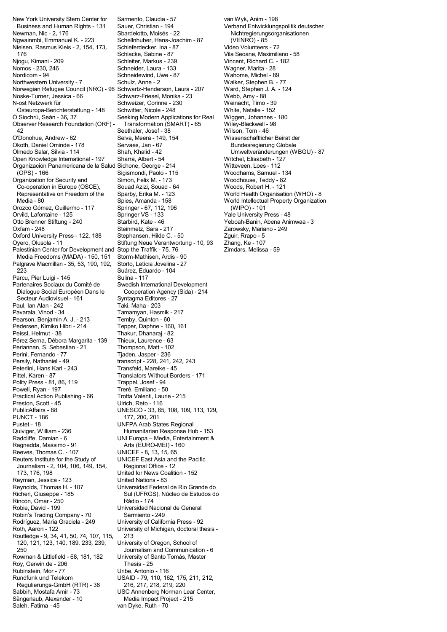Business and Human Rights - 131 Sauer, Christian - 194 Verband Entwicklungspolitik deutscher Newman, Nic - 2, 176 **Shardelotto, Moisés - 22** Nichtregierungsorganisationen<br>Ngwainmbi, Emmanuel K. - 223 Schellnhuber, Hans-Joachim - 87 (VENRO) - 85 Nielsen, Rasmus Kleis - 2, 154, 173, Schieferdecker, Ina - 8<br>176 Schlacke, Sabine - 87 176 Schlacke, Sabine - 87 Vila Seoane, Maximiliano - 58 Nomos - 230, 246 Schneider, Laura - 133 Wagner, Marita - 28 Nordicom - 94 **Schneidewind, Uwe - 87** Wahome, Michel - 89 Wahome, Michel - 89 Wahome, Michel - 89 Wahome, Michel - 89 Wahome, Michel - 89 Wahome, Michel - 89 Wahome, Michel - 77 Wahome, 20 Wahome, 20 Wahome, 20 Wahome, 20 Northwestern University - 7 Schulz, Anne - 2 Walker, Stephen B. - 77<br>Norwegian Refugee Council (NRC) - 96 Schwartz-Henderson Laura - 207 Ward Stephen J. A - 124 Norwegian Refugee Council (NRC) - 96 Schwartz-Henderson, Laura - 207 Ward, Stephen J.<br>Noske-Turner, Jessica - 66 Schwarz-Friesel, Monika - 23 Webb, Amy - 88 Noske-Turner, Jessica - 66 <sup>Schwarz-Friesel, Monika - 23 Webb, Amy - 88<br>N-ost Netzwerk für Schweizer, Corinne - 230 Weinacht. Timo - 39</sup> N-ost Netzwerk für Schweizer, Corinne - 230 Weinacht, Timo - 39 Osteuropa-Berichterstattung - 148 Ó Siochrú, Seán - 36, 37 Seeking Modern Applications for Real Wiggen, Johannes - 180<br>Observer Research Foundation (ORF) - Transformation (SMART) - 65 Wiley-Blackwell - 98 Observer Research Foundation (ORF) - Transformation (SMART) - 65 Wiley-Blackwell - 98 42 Seethaler, Josef - 38 Wilson, Tom - 46 O'Donohue, Andrew - 62 Selva, Meera - 149, 154 Wissenschaftlicher Beirat der Context Construction Servaes, Jan<br>Okoth, Daniel Ominde - 178 Servaes, Jan - 67 Servaes Bundesregierung Globale Okoth, Daniel Ominde - 178 Servaes, Jan - 67<br>Olmedo Salar, Silvia - 114 Shah, Khalid - 42 Open Knowledge International - 197 Organización Panamericana de la Salud Sichone, George - 214 Witteveen, Loes - 112 (OPS) - 166 Sigismondi, Paolo - 115 Woodhams, Samuel - 134 Organization for Security and Simon, Felix M. - 173 Woodhouse, Teddy - 82 Co-operation in Europe (OSCE), Souad Azizi, Souad - 64 Woods, Robert H. - 121 Representative on Freedom of the Sparby, Erika M. - 123 World Health Organisation (WHO) - 8<br>Media - 80 Spies, Amanda - 158 World Intellectual Property Organization Media - 80 Spies, Amanda - 158 World Intellectual Property Organization Orozco Gómez, Guillermo - 117 Springer - 67, 112, 196 (WIPO) - 101<br>Orvild, Lafontaine - 125 Springer VS - 133 Springer VS - 139 Orvild, Lafontaine - 125 **Springer VS - 133** Yale University Press - 48<br>Otto Brenner Stiftung - 240 Starbird, Kate - 46 Yeboah-Banin, Abena Ani Oxfam - 248 **Steinmetz, Sara - 217** Zarowsky, Mariano - 249<br>
Oxford University Press - 122, 188 Stephansen, Hilde C. - 50 Zguir, Rrapo - 5 Oxford University Press - 122, 188 Stephansen, Hilde C. - 50 Zguir, Rrapo - 5<br>Oyero, Olusola - 11 Stiftung Neue Verantwortung - 10, 93 Zhang, Ke - 107 Palestinian Center for Development and Stop the Traffik - 75, 76 Zimdars, Melissa - 59 Media Freedoms (MADA) - 150, 151 Storm-Mathisen, Ardis - 90<br>Valgrave Macmillan - 35, 53, 190, 192, Storto, Letícia Jovelina - 27 Palgrave Macmillan - 35, 53, 190, 192, 223 Suárez, Eduardo - 104 Parcu, Pier Luigi - 145<br>Partenaires Sociaux du Comité de Swedish Inte Dialogue Social Européen Dans le Cooperation Agency<br>Secteur Audiovisuel - 161 Syntagma Editores - 27 Secteur Audiovisuel - 161 Paul, Ian Alan - 242 Taki, Maha - 203 Pearson, Benjamin A. J. - 213 Temby, Quinton - 60<br>Pedersen, Kimiko Hibri - 214 Tepper, Daphne - 160, 161 Pedersen, Kimiko Hibri - 214<br>Peissl, Helmut - 38 Pérez Serna, Débora Margarita - 139 Thieux, Laurence - 63 Periannan, S. Sebastian - 21 Thompson, Matt - 102 Perini, Fernando - 77 Tjaden, Jasper - 236<br>Persily, Nathaniel - 49 Transcript - 228, 241, Peterlini, Hans Karl - 243<br>Pittel, Karen - 87 Polity Press - 81, 86, 119<br>
Powell, Ryan - 197 Treré, Emiliano - 50 Powell, Ryan - 197 Practical Action Publishing - 66 Trotta Valenti, Laurie - 215 Preston, Scott - 45 Ulrich, Reto - 116 PublicAffairs - 88 UNESCO - 33, 65, 108, 109, 113, 129, **PUNCT - 186<br>Pustet - 18** Pustet - 18 UNFPA Arab States Regional Quiviger, William - 236 Humanitarian Response Hub - 153 Ragnedda, Massimo - 91 Reeves, Thomas C. - 107 <br>
Reuters Institute for the Study of CUNICEF East Asia and Journalism - 2, 104, 106, 149, 154,<br>173, 176, 198 Reyman, Jessica - 123<br>Reynolds, Thomas H. - 107 Richeri, Giuseppe - 185 Sul (UFRGS), Núcleo de Estudos do Rincón, Omar - 250 **Rádio - 174**<br>Robie. David - 199 **Robie** Booking Christens Universidad N Robin's Trading Company - 70 Sarmiento - 249<br>Rodríguez, María Graciela - 249 University of Califo Rodríguez, María Graciela - 249 University of California Press - 92 Routledge - 9, 34, 41, 50, 74, 107, 115, 213 120, 121, 123, 140, 189, 233, 239, University of Oregon, School of 250 Journalism and Communication - 6 Roy, Gerwin de - 206 **Thesis - 25**<br>Rubinstein. Mor - 77 **Thesis - 1976** Uribe. Antonio Rubinstein, Mor - 77 Uribe, Antonio - 116 Regulierungs-GmbH (RTR) - 38 216, 217, 218, 219, 220<br>Sabbih, Mostafa Amir - 73 200 USC Annenberg Norman L Sabbih, Mostafa Amir - 73 USC Annenberg Norman Lear Center, Sängerlaub, Alexander - 10 Media Impact Project - 215<br>Saleh, Fatima - 45 Yan Dyke, Ruth - 70 van Dyke, Ruth - 70

New York University Stern Center for Sarmento, Claudia - 57 van Wyk, Anim - 198 Schellnhuber, Hans-Joachim - 87 (VENRO) - 85<br>Schieferdecker, Ina - 87 (Video Volunteers - 72 Shah, Khalid - 42 Umweltveränderungen (WBGU) - 87<br>Sharra, Albert - 54 Witchel, Elisabeth - 127 Stiftung Neue Verantwortung - 10, 93<br>Stop the Traffik - 75, 76 Swedish International Development<br>Cooperation Agency (Sida) - 214 Tamamyan, Hasmik - 217 Peissl, Helmut - 38 Thakur, Dhanaraj - 82 transcript - 228, 241, 242, 243<br>Transfeld. Mareike - 45 Translators Without Borders - 171<br>Trappel, Josef - 94 UNI Europa – Media, Entertainment &<br>Arts (EURO-MEI) - 160 UNICEF East Asia and the Pacific<br>Regional Office - 12 United for News Coalition - 152<br>United Nations - 83 Universidad Federal de Rio Grande do Universidad Nacional de General University of Michigan, doctoral thesis -University of Santo Tomás, Master USAID - 79, 110, 162, 175, 211, 212,

Vincent, Richard C. - 182 Yeboah-Banin, Abena Animwaa - 3